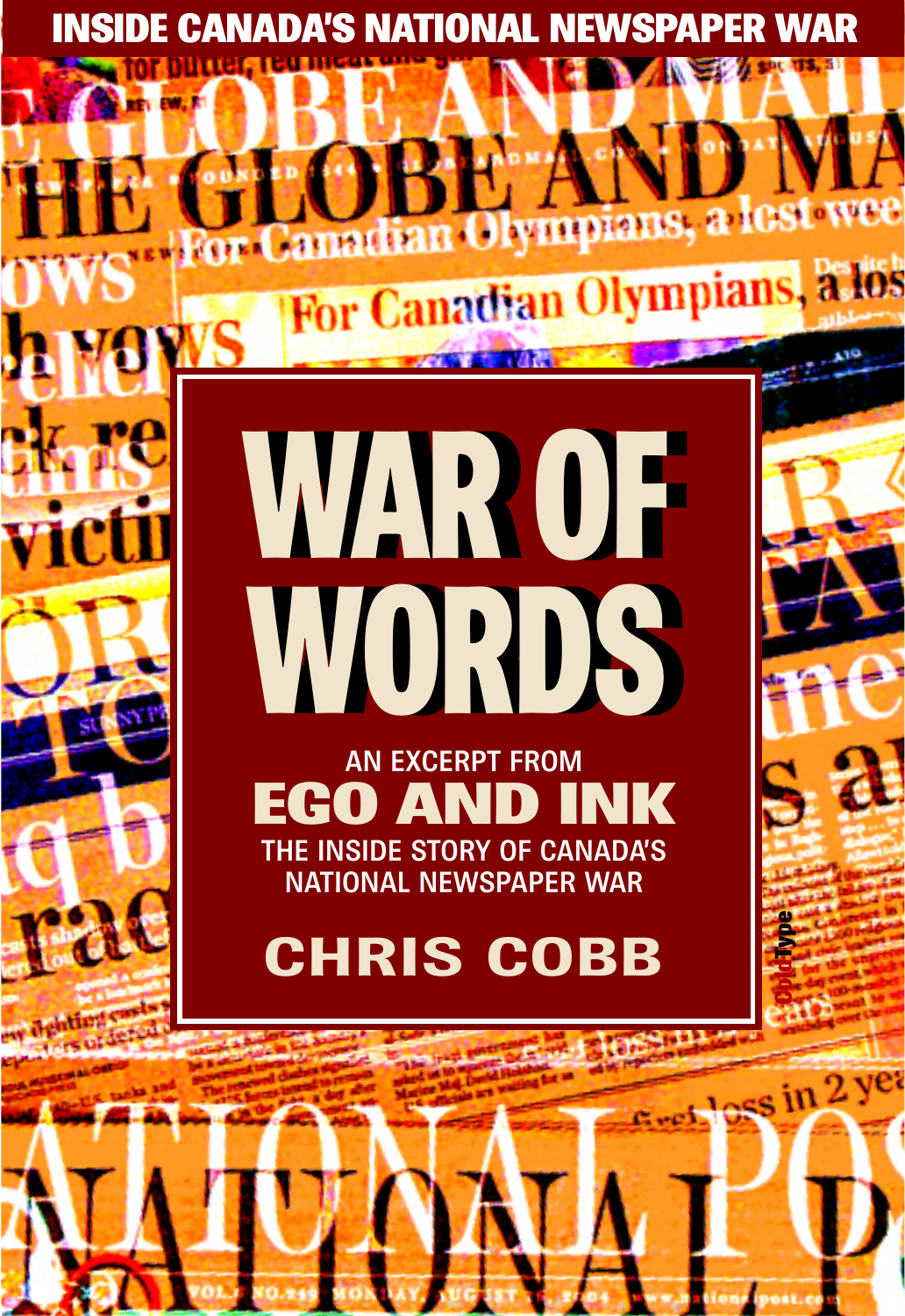

**Olympians** 

**For Canadian Olympians, a** 

# WAR OF WAR OF WORDS WORDS

AN EXCERPT FROM EGO AND INK THE INSIDE STORY OF CANADA'S NATIONAL NEWSPAPER WAR

# **CHRIS COBB**

ColdType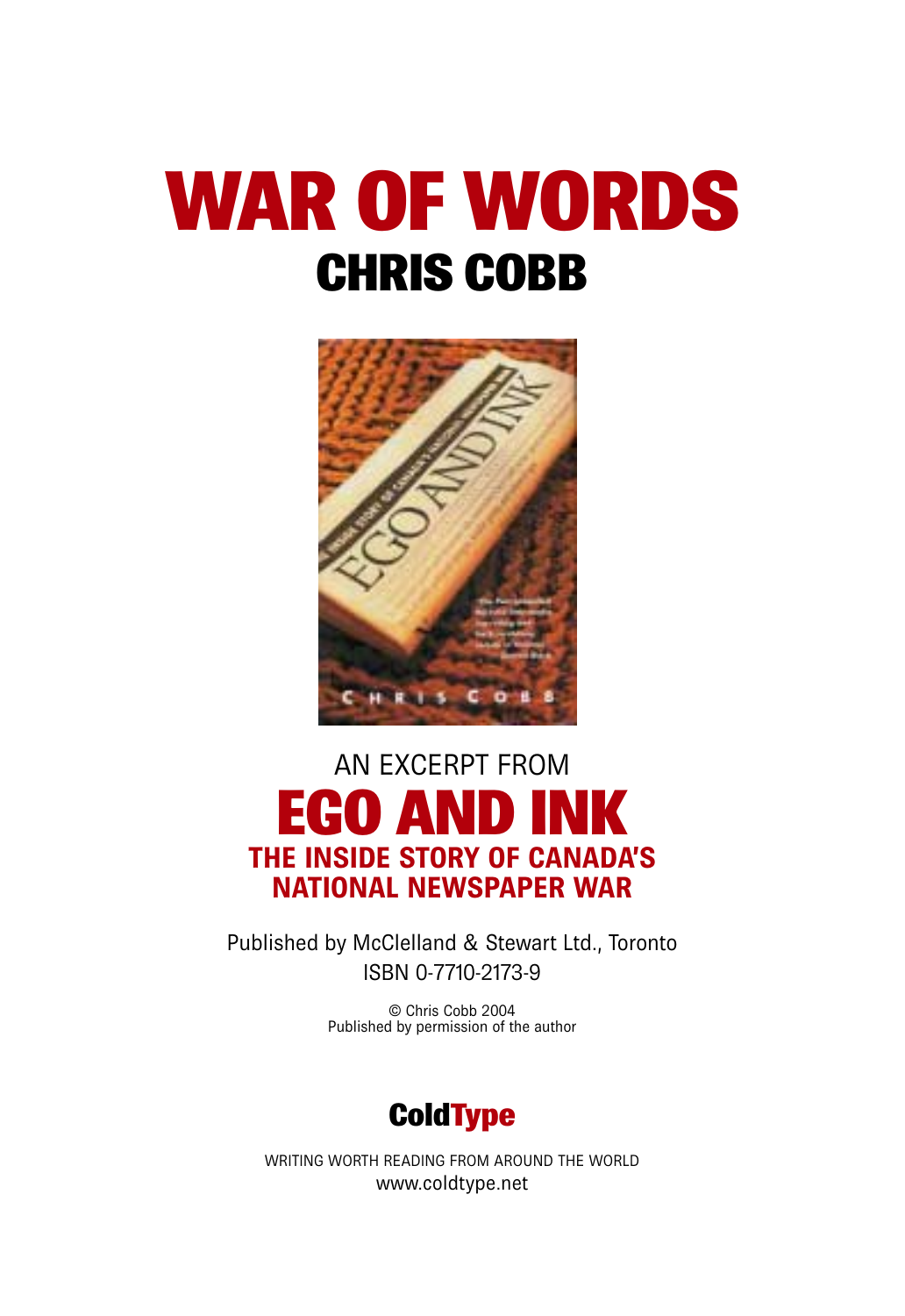# WAR OF WORDS CHRIS COBB



## AN EXCERPT FROM EGO AND INK **THE INSIDE STORY OF CANADA'S NATIONAL NEWSPAPER WAR**

Published by McClelland & Stewart Ltd., Toronto ISBN 0-7710-2173-9

> © Chris Cobb 2004 Published by permission of the author



WRITING WORTH READING FROM AROUND THE WORLD www.coldtype.net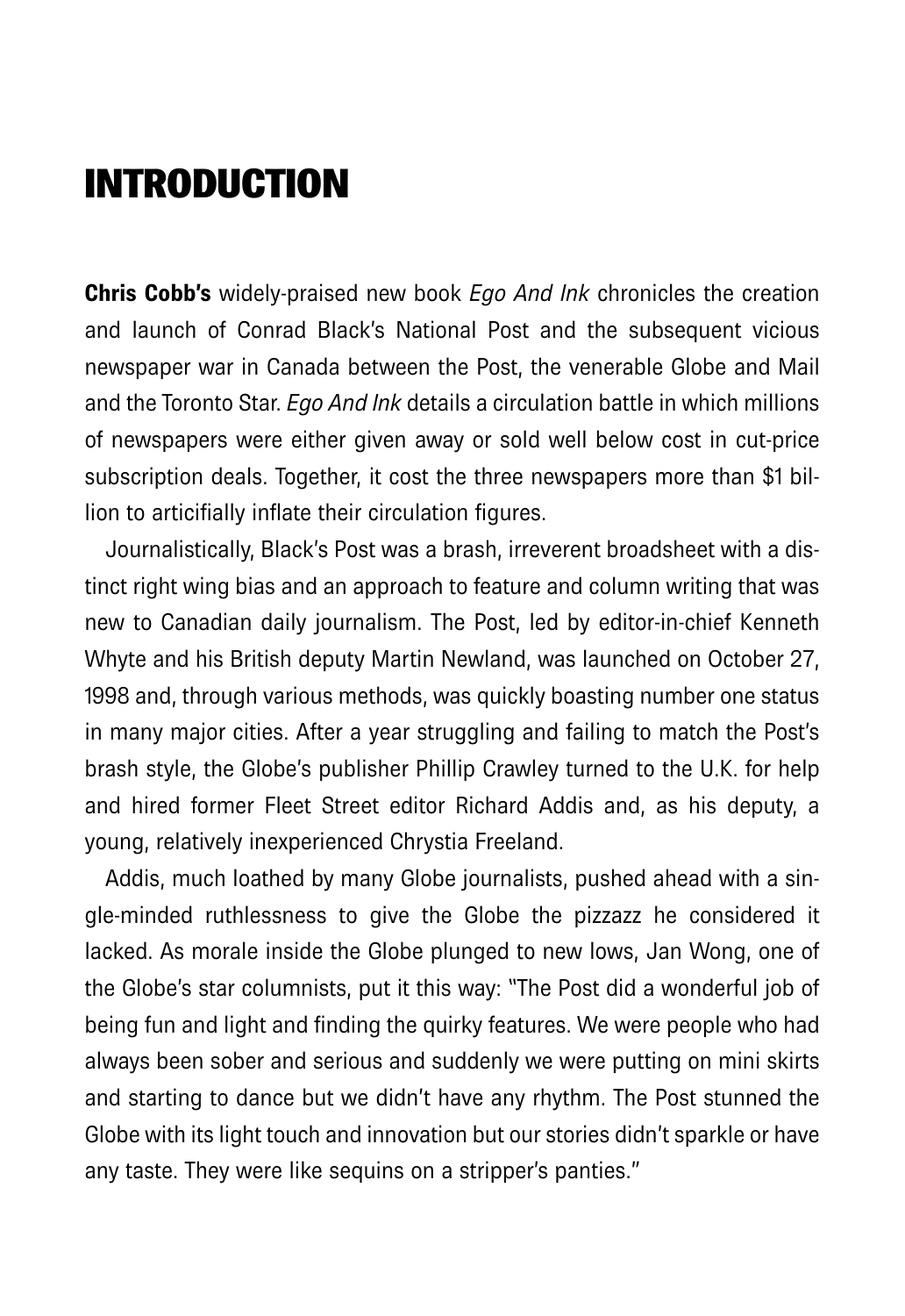## INTRODUCTION

**Chris Cobb's** widely-praised new book *Ego And Ink* chronicles the creation and launch of Conrad Black's National Post and the subsequent vicious newspaper war in Canada between the Post, the venerable Globe and Mail and the Toronto Star. *Ego And Ink* details a circulation battle in which millions of newspapers were either given away or sold well below cost in cut-price subscription deals. Together, it cost the three newspapers more than \$1 billion to articifially inflate their circulation figures.

Journalistically, Black's Post was a brash, irreverent broadsheet with a distinct right wing bias and an approach to feature and column writing that was new to Canadian daily journalism. The Post, led by editor-in-chief Kenneth Whyte and his British deputy Martin Newland, was launched on October 27, 1998 and, through various methods, was quickly boasting number one status in many major cities. After a year struggling and failing to match the Post's brash style, the Globe's publisher Phillip Crawley turned to the U.K. for help and hired former Fleet Street editor Richard Addis and, as his deputy, a young, relatively inexperienced Chrystia Freeland.

Addis, much loathed by many Globe journalists, pushed ahead with a single-minded ruthlessness to give the Globe the pizzazz he considered it lacked. As morale inside the Globe plunged to new lows, Jan Wong, one of the Globe's star columnists, put it this way: "The Post did a wonderful job of being fun and light and finding the quirky features. We were people who had always been sober and serious and suddenly we were putting on mini skirts and starting to dance but we didn't have any rhythm. The Post stunned the Globe with its light touch and innovation but our stories didn't sparkle or have any taste. They were like sequins on a stripper's panties."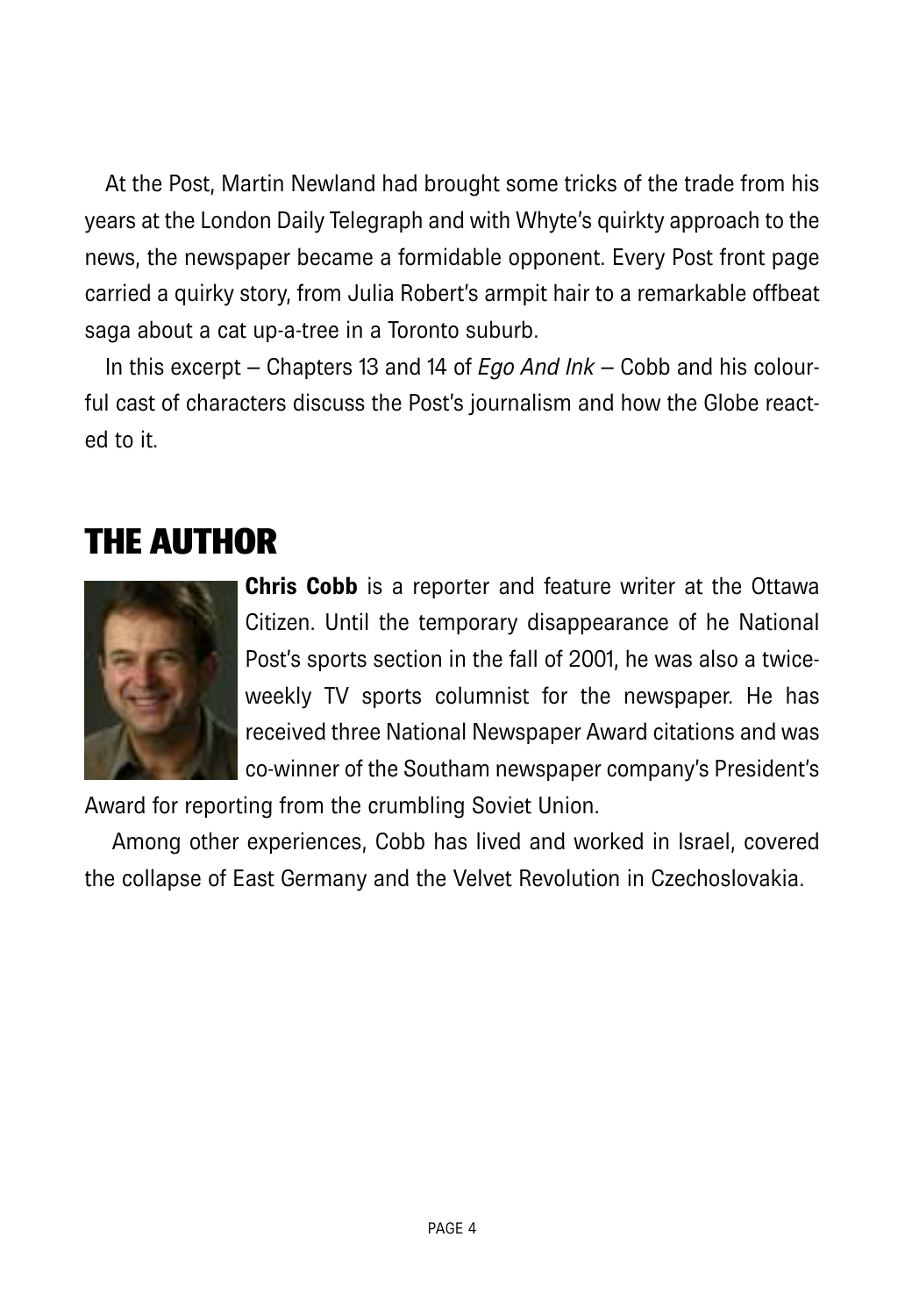At the Post, Martin Newland had brought some tricks of the trade from his years at the London Daily Telegraph and with Whyte's quirkty approach to the news, the newspaper became a formidable opponent. Every Post front page carried a quirky story, from Julia Robert's armpit hair to a remarkable offbeat saga about a cat up-a-tree in a Toronto suburb.

In this excerpt – Chapters 13 and 14 of *Ego And Ink* – Cobb and his colourful cast of characters discuss the Post's journalism and how the Globe reacted to it.

## THE AUTHOR



**Chris Cobb** is a reporter and feature writer at the Ottawa Citizen. Until the temporary disappearance of he National Post's sports section in the fall of 2001, he was also a twiceweekly TV sports columnist for the newspaper. He has received three National Newspaper Award citations and was co-winner of the Southam newspaper company's President's

Award for reporting from the crumbling Soviet Union.

Among other experiences, Cobb has lived and worked in Israel, covered the collapse of East Germany and the Velvet Revolution in Czechoslovakia.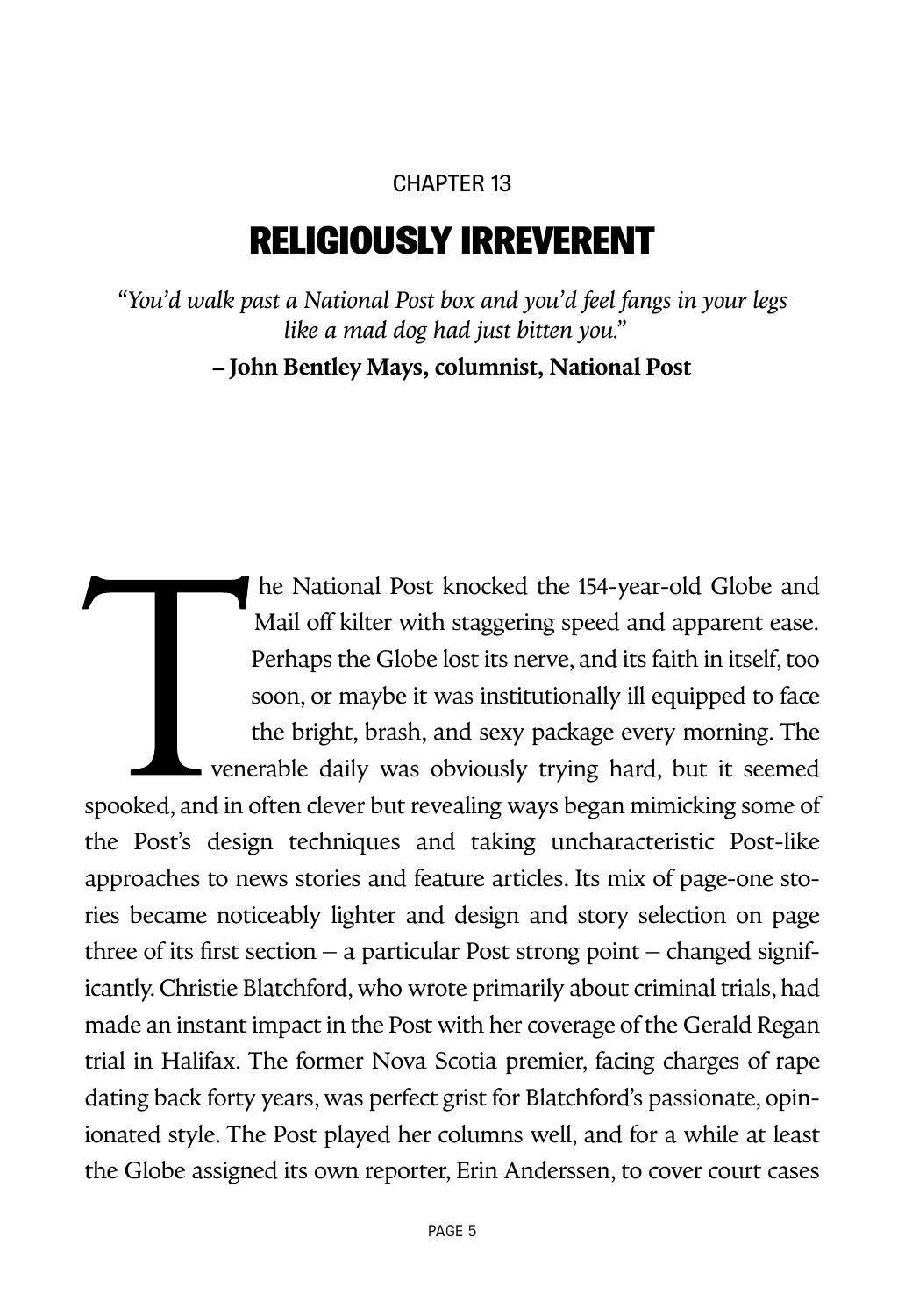#### CHAPTER 13

## RELIGIOUSLY IRREVERENT

*"You'd walk past a National Post box and you'd feel fangs in your legs like a mad dog had just bitten you."*

**– John Bentley Mays, columnist, National Post**

he National Post knocked the 154-year-old Globe and Mail off kilter with staggering speed and apparent ease. Perhaps the Globe lost its nerve, and its faith in itself, too soon, or maybe it was institutionally ill equipped to face the bright, brash, and sexy package every morning. The venerable daily was obviously trying hard, but it seemed spooked, and in often clever but revealing ways began mimicking some of the Post's design techniques and taking uncharacteristic Post-like approaches to news stories and feature articles. Its mix of page-one stories became noticeably lighter and design and story selection on page three of its first section – a particular Post strong point – changed significantly. Christie Blatchford, who wrote primarily about criminal trials, had made an instant impact in the Post with her coverage of the Gerald Regan trial in Halifax. The former Nova Scotia premier, facing charges of rape dating back forty years, was perfect grist for Blatchford's passionate, opinionated style. The Post played her columns well, and for a while at least the Globe assigned its own reporter, Erin Anderssen, to cover court cases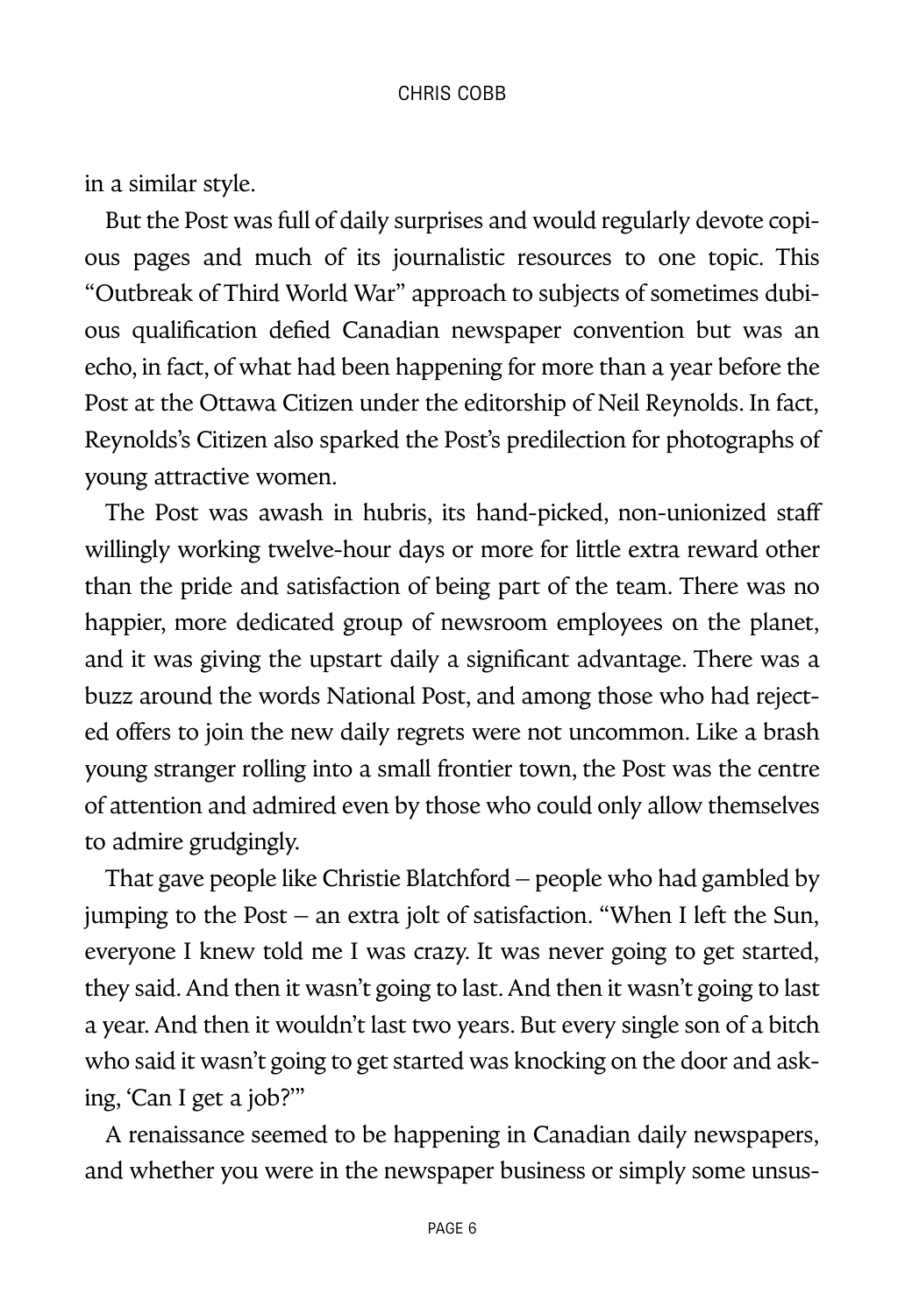in a similar style.

But the Post was full of daily surprises and would regularly devote copious pages and much of its journalistic resources to one topic. This "Outbreak of Third World War" approach to subjects of sometimes dubious qualification defied Canadian newspaper convention but was an echo, in fact, of what had been happening for more than a year before the Post at the Ottawa Citizen under the editorship of Neil Reynolds. In fact, Reynolds's Citizen also sparked the Post's predilection for photographs of young attractive women.

The Post was awash in hubris, its hand-picked, non-unionized staff willingly working twelve-hour days or more for little extra reward other than the pride and satisfaction of being part of the team. There was no happier, more dedicated group of newsroom employees on the planet, and it was giving the upstart daily a significant advantage. There was a buzz around the words National Post, and among those who had rejected offers to join the new daily regrets were not uncommon. Like a brash young stranger rolling into a small frontier town, the Post was the centre of attention and admired even by those who could only allow themselves to admire grudgingly.

That gave people like Christie Blatchford – people who had gambled by jumping to the Post – an extra jolt of satisfaction. "When I left the Sun, everyone I knew told me I was crazy. It was never going to get started, they said. And then it wasn't going to last. And then it wasn't going to last a year. And then it wouldn't last two years. But every single son of a bitch who said it wasn't going to get started was knocking on the door and asking, 'Can I get a job?'"

A renaissance seemed to be happening in Canadian daily newspapers, and whether you were in the newspaper business or simply some unsus-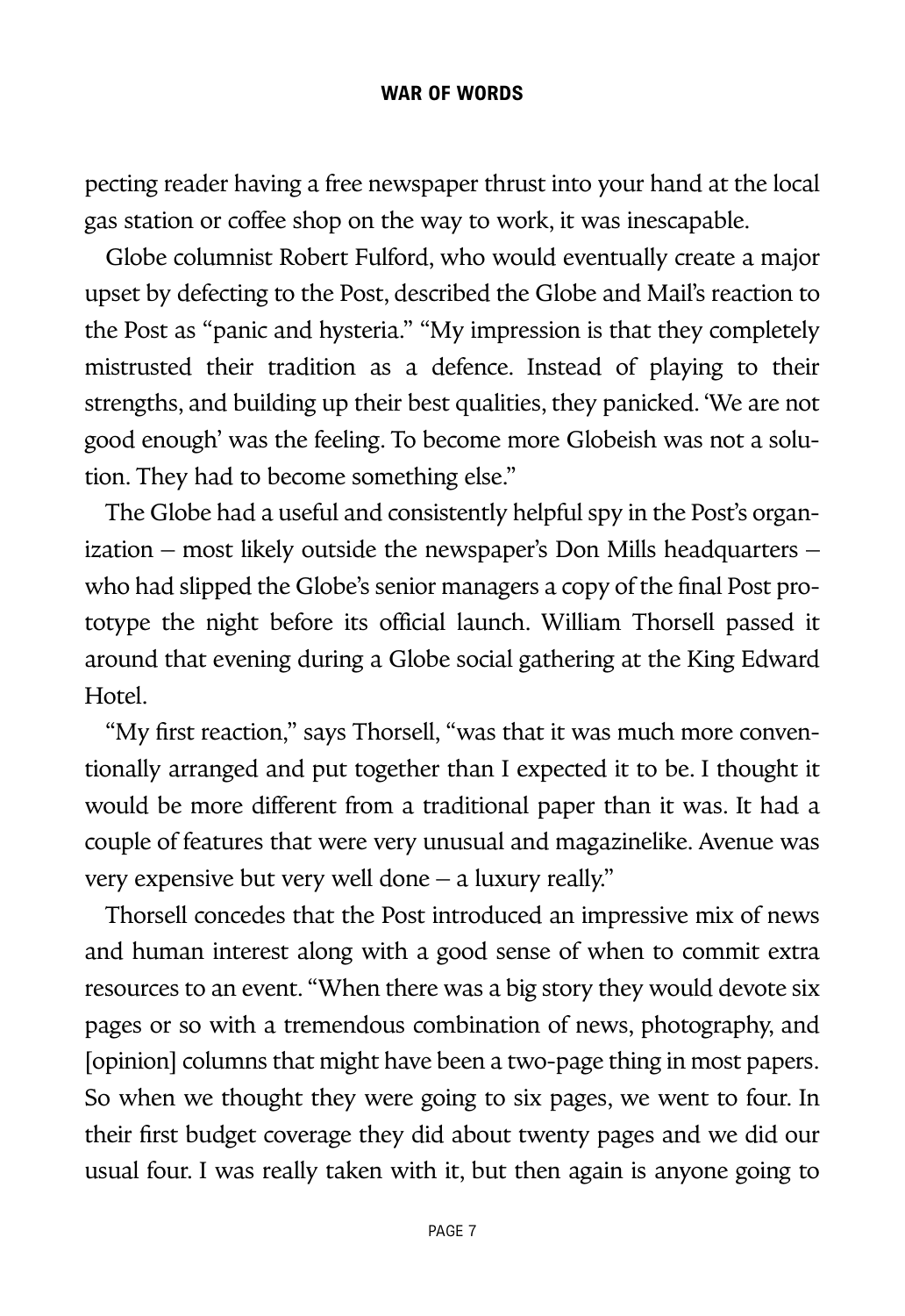pecting reader having a free newspaper thrust into your hand at the local gas station or coffee shop on the way to work, it was inescapable.

Globe columnist Robert Fulford, who would eventually create a major upset by defecting to the Post, described the Globe and Mail's reaction to the Post as "panic and hysteria." "My impression is that they completely mistrusted their tradition as a defence. Instead of playing to their strengths, and building up their best qualities, they panicked. 'We are not good enough' was the feeling. To become more Globeish was not a solution. They had to become something else."

The Globe had a useful and consistently helpful spy in the Post's organization – most likely outside the newspaper's Don Mills headquarters – who had slipped the Globe's senior managers a copy of the final Post prototype the night before its official launch. William Thorsell passed it around that evening during a Globe social gathering at the King Edward Hotel.

"My first reaction," says Thorsell, "was that it was much more conventionally arranged and put together than I expected it to be. I thought it would be more different from a traditional paper than it was. It had a couple of features that were very unusual and magazinelike. Avenue was very expensive but very well done – a luxury really."

Thorsell concedes that the Post introduced an impressive mix of news and human interest along with a good sense of when to commit extra resources to an event. "When there was a big story they would devote six pages or so with a tremendous combination of news, photography, and [opinion] columns that might have been a two-page thing in most papers. So when we thought they were going to six pages, we went to four. In their first budget coverage they did about twenty pages and we did our usual four. I was really taken with it, but then again is anyone going to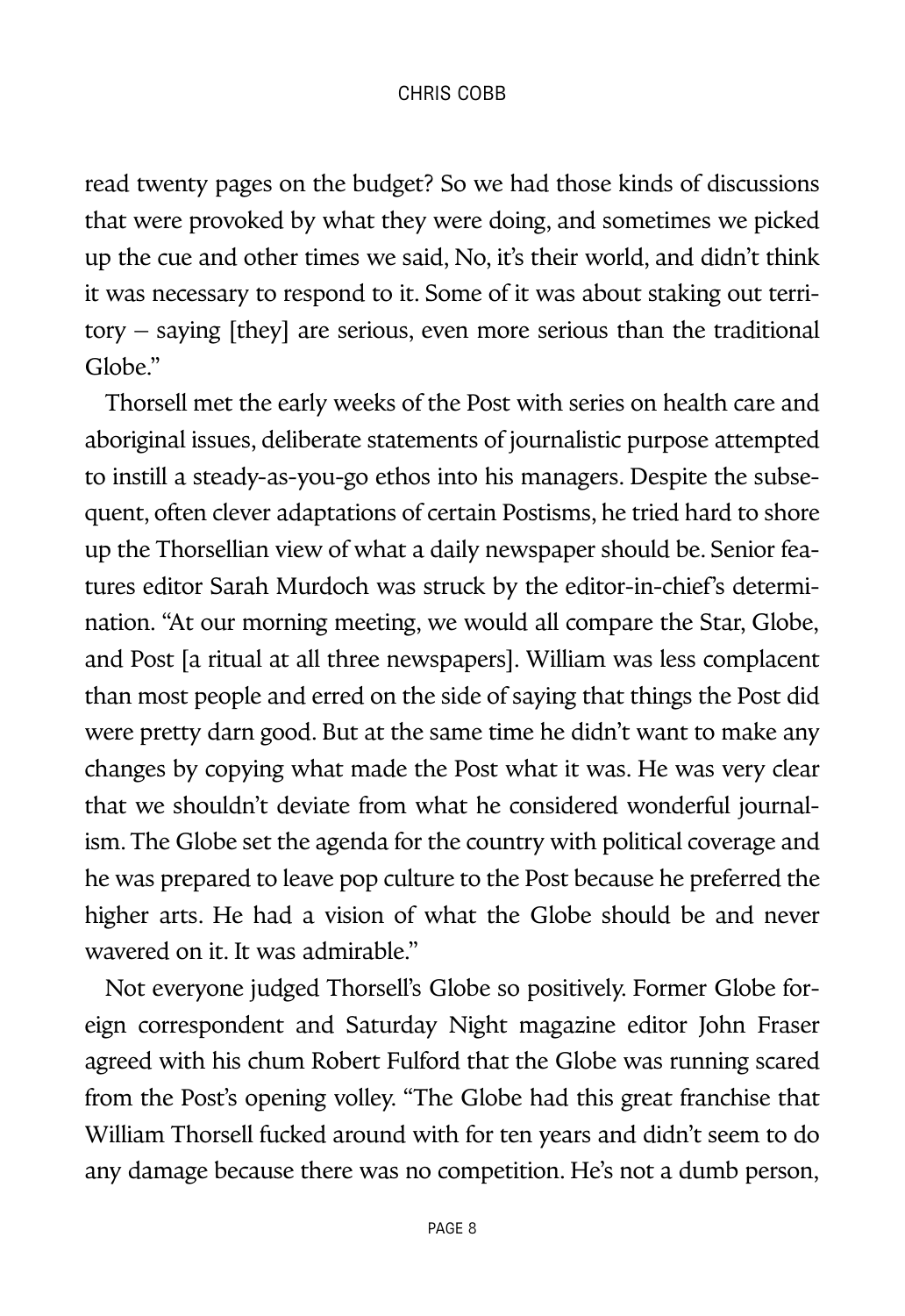read twenty pages on the budget? So we had those kinds of discussions that were provoked by what they were doing, and sometimes we picked up the cue and other times we said, No, it's their world, and didn't think it was necessary to respond to it. Some of it was about staking out territory – saying [they] are serious, even more serious than the traditional Globe."

Thorsell met the early weeks of the Post with series on health care and aboriginal issues, deliberate statements of journalistic purpose attempted to instill a steady-as-you-go ethos into his managers. Despite the subsequent, often clever adaptations of certain Postisms, he tried hard to shore up the Thorsellian view of what a daily newspaper should be. Senior features editor Sarah Murdoch was struck by the editor-in-chief's determination. "At our morning meeting, we would all compare the Star, Globe, and Post [a ritual at all three newspapers]. William was less complacent than most people and erred on the side of saying that things the Post did were pretty darn good. But at the same time he didn't want to make any changes by copying what made the Post what it was. He was very clear that we shouldn't deviate from what he considered wonderful journalism. The Globe set the agenda for the country with political coverage and he was prepared to leave pop culture to the Post because he preferred the higher arts. He had a vision of what the Globe should be and never wavered on it. It was admirable."

Not everyone judged Thorsell's Globe so positively. Former Globe foreign correspondent and Saturday Night magazine editor John Fraser agreed with his chum Robert Fulford that the Globe was running scared from the Post's opening volley. "The Globe had this great franchise that William Thorsell fucked around with for ten years and didn't seem to do any damage because there was no competition. He's not a dumb person,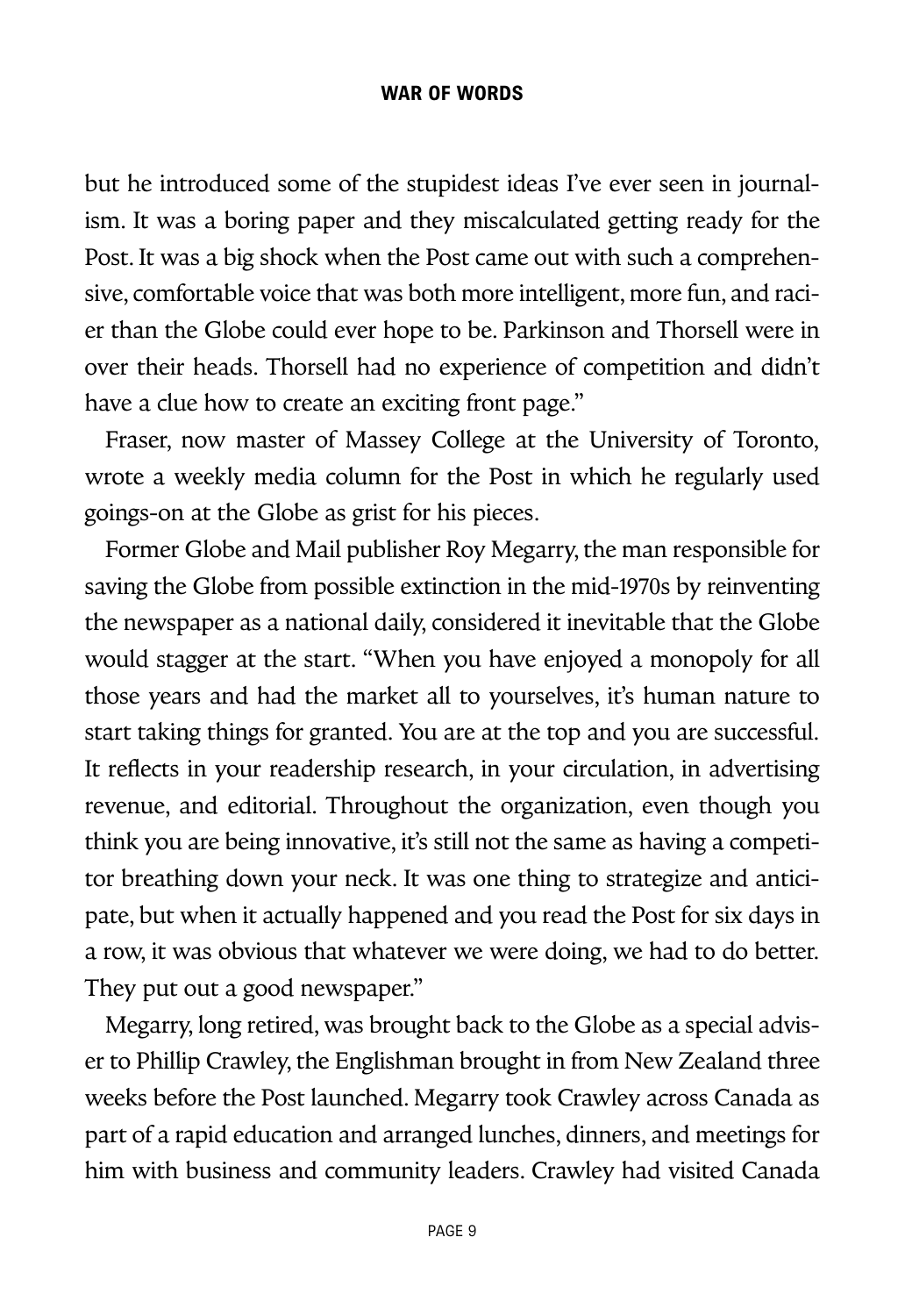but he introduced some of the stupidest ideas I've ever seen in journalism. It was a boring paper and they miscalculated getting ready for the Post. It was a big shock when the Post came out with such a comprehensive, comfortable voice that was both more intelligent, more fun, and racier than the Globe could ever hope to be. Parkinson and Thorsell were in over their heads. Thorsell had no experience of competition and didn't have a clue how to create an exciting front page."

Fraser, now master of Massey College at the University of Toronto, wrote a weekly media column for the Post in which he regularly used goings-on at the Globe as grist for his pieces.

Former Globe and Mail publisher Roy Megarry, the man responsible for saving the Globe from possible extinction in the mid-1970s by reinventing the newspaper as a national daily, considered it inevitable that the Globe would stagger at the start. "When you have enjoyed a monopoly for all those years and had the market all to yourselves, it's human nature to start taking things for granted. You are at the top and you are successful. It reflects in your readership research, in your circulation, in advertising revenue, and editorial. Throughout the organization, even though you think you are being innovative, it's still not the same as having a competitor breathing down your neck. It was one thing to strategize and anticipate, but when it actually happened and you read the Post for six days in a row, it was obvious that whatever we were doing, we had to do better. They put out a good newspaper."

Megarry, long retired, was brought back to the Globe as a special adviser to Phillip Crawley, the Englishman brought in from New Zealand three weeks before the Post launched. Megarry took Crawley across Canada as part of a rapid education and arranged lunches, dinners, and meetings for him with business and community leaders. Crawley had visited Canada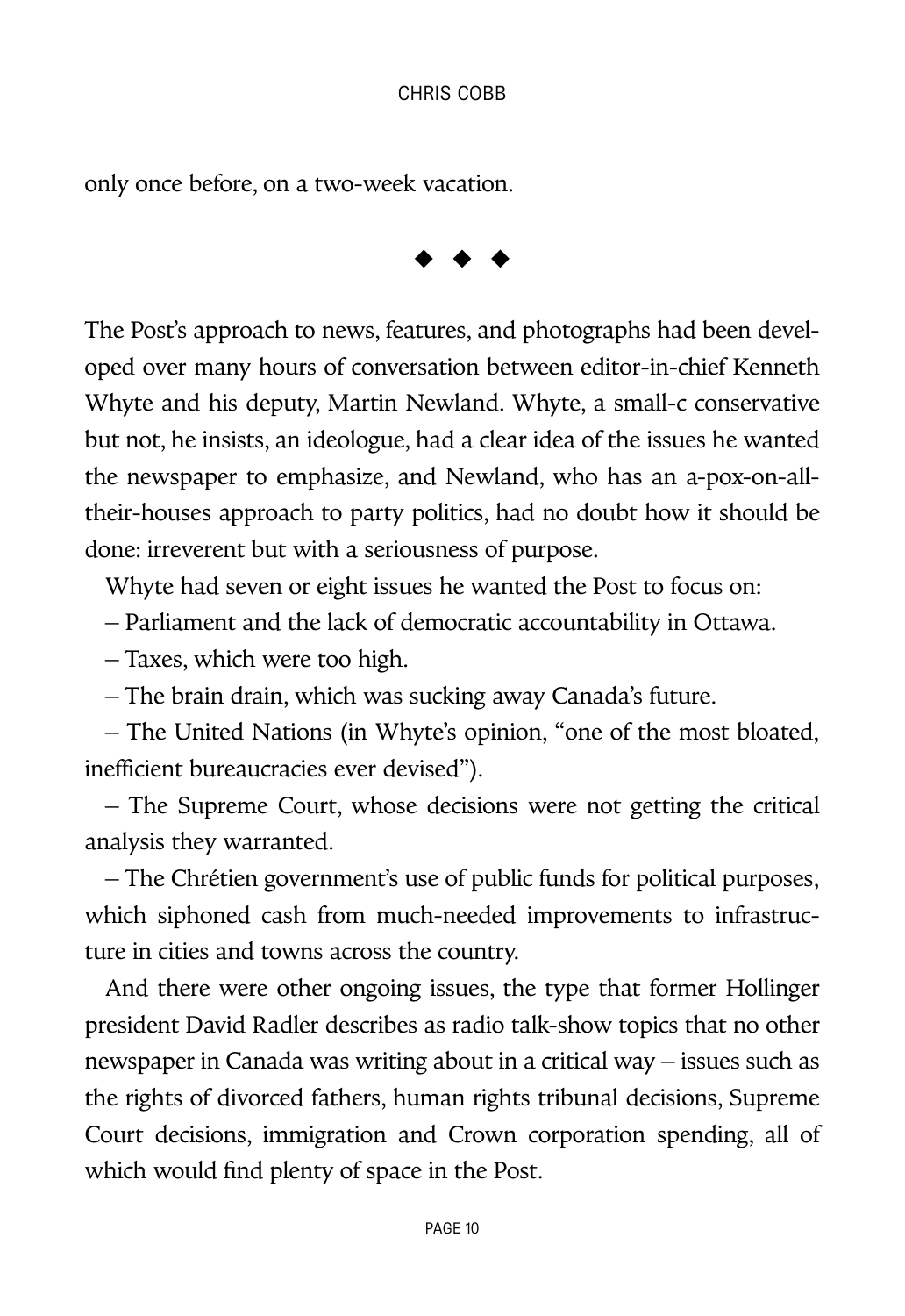only once before, on a two-week vacation.

#### ◆ ◆ ◆

The Post's approach to news, features, and photographs had been developed over many hours of conversation between editor-in-chief Kenneth Whyte and his deputy, Martin Newland. Whyte, a small-c conservative but not, he insists, an ideologue, had a clear idea of the issues he wanted the newspaper to emphasize, and Newland, who has an a-pox-on-alltheir-houses approach to party politics, had no doubt how it should be done: irreverent but with a seriousness of purpose.

Whyte had seven or eight issues he wanted the Post to focus on:

- Parliament and the lack of democratic accountability in Ottawa.
- Taxes, which were too high.
- The brain drain, which was sucking away Canada's future.

– The United Nations (in Whyte's opinion, "one of the most bloated, inefficient bureaucracies ever devised").

– The Supreme Court, whose decisions were not getting the critical analysis they warranted.

– The Chrétien government's use of public funds for political purposes, which siphoned cash from much-needed improvements to infrastructure in cities and towns across the country.

And there were other ongoing issues, the type that former Hollinger president David Radler describes as radio talk-show topics that no other newspaper in Canada was writing about in a critical way – issues such as the rights of divorced fathers, human rights tribunal decisions, Supreme Court decisions, immigration and Crown corporation spending, all of which would find plenty of space in the Post.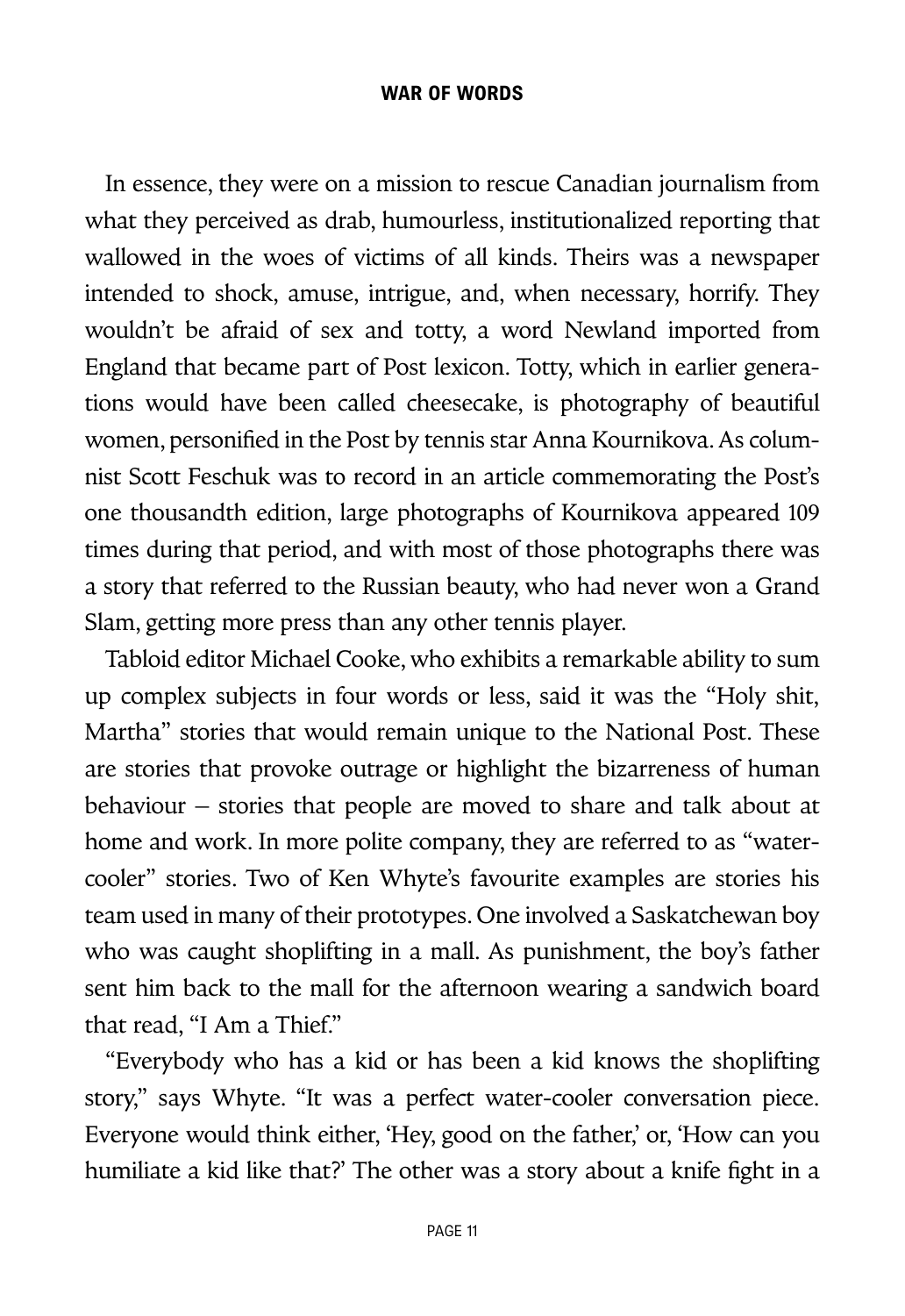In essence, they were on a mission to rescue Canadian journalism from what they perceived as drab, humourless, institutionalized reporting that wallowed in the woes of victims of all kinds. Theirs was a newspaper intended to shock, amuse, intrigue, and, when necessary, horrify. They wouldn't be afraid of sex and totty, a word Newland imported from England that became part of Post lexicon. Totty, which in earlier generations would have been called cheesecake, is photography of beautiful women, personified in the Post by tennis star Anna Kournikova. As columnist Scott Feschuk was to record in an article commemorating the Post's one thousandth edition, large photographs of Kournikova appeared 109 times during that period, and with most of those photographs there was a story that referred to the Russian beauty, who had never won a Grand Slam, getting more press than any other tennis player.

Tabloid editor Michael Cooke, who exhibits a remarkable ability to sum up complex subjects in four words or less, said it was the "Holy shit, Martha" stories that would remain unique to the National Post. These are stories that provoke outrage or highlight the bizarreness of human behaviour – stories that people are moved to share and talk about at home and work. In more polite company, they are referred to as "watercooler" stories. Two of Ken Whyte's favourite examples are stories his team used in many of their prototypes.One involved a Saskatchewan boy who was caught shoplifting in a mall. As punishment, the boy's father sent him back to the mall for the afternoon wearing a sandwich board that read, "I Am a Thief."

"Everybody who has a kid or has been a kid knows the shoplifting story," says Whyte. "It was a perfect water-cooler conversation piece. Everyone would think either, 'Hey, good on the father,' or, 'How can you humiliate a kid like that?' The other was a story about a knife fight in a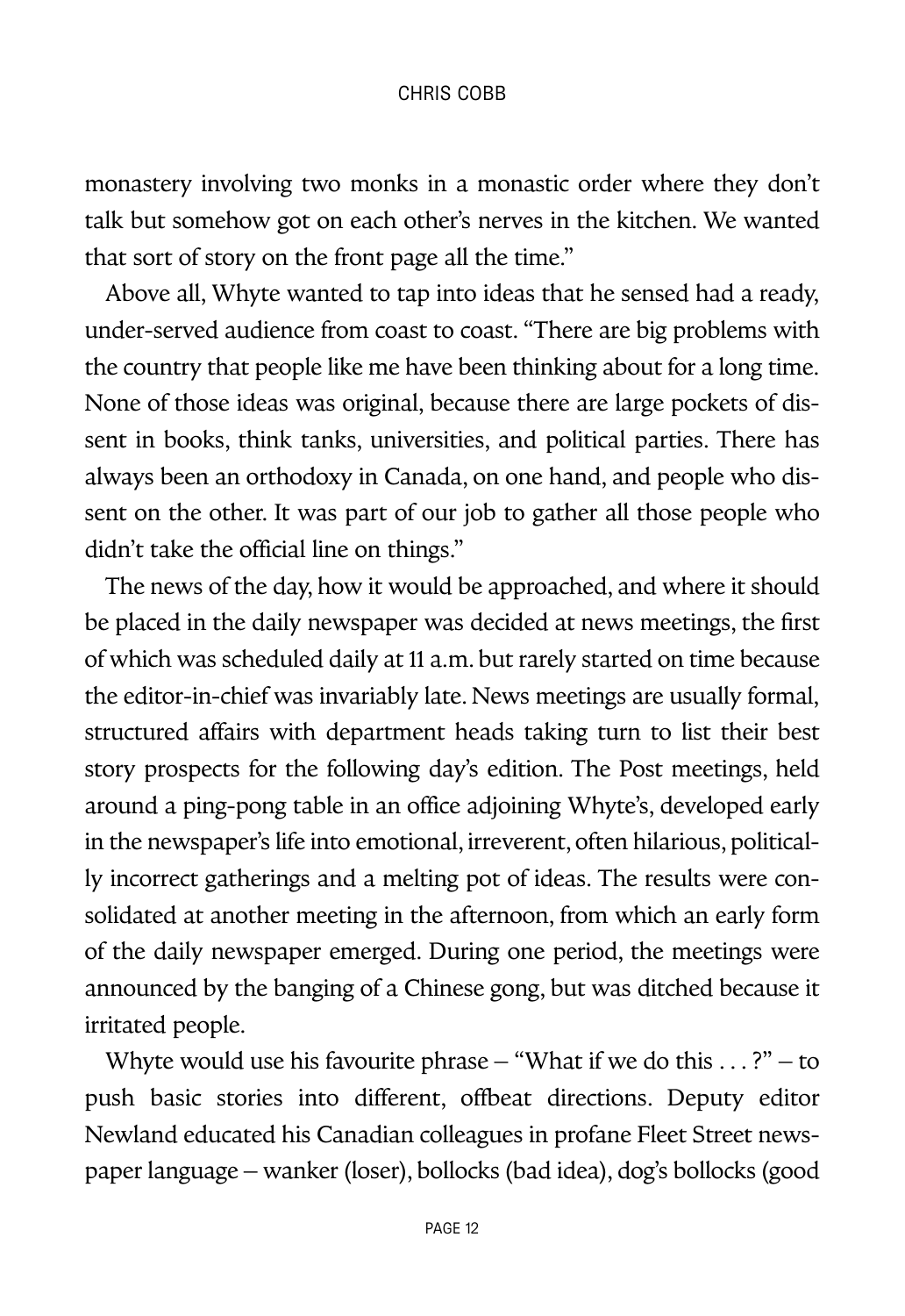monastery involving two monks in a monastic order where they don't talk but somehow got on each other's nerves in the kitchen. We wanted that sort of story on the front page all the time."

Above all, Whyte wanted to tap into ideas that he sensed had a ready, under-served audience from coast to coast. "There are big problems with the country that people like me have been thinking about for a long time. None of those ideas was original, because there are large pockets of dissent in books, think tanks, universities, and political parties. There has always been an orthodoxy in Canada, on one hand, and people who dissent on the other. It was part of our job to gather all those people who didn't take the official line on things."

The news of the day, how it would be approached, and where it should be placed in the daily newspaper was decided at news meetings, the first of which was scheduled daily at 11 a.m. but rarely started on time because the editor-in-chief was invariably late. News meetings are usually formal, structured affairs with department heads taking turn to list their best story prospects for the following day's edition. The Post meetings, held around a ping-pong table in an office adjoining Whyte's, developed early in the newspaper's life into emotional, irreverent, often hilarious, politically incorrect gatherings and a melting pot of ideas. The results were consolidated at another meeting in the afternoon, from which an early form of the daily newspaper emerged. During one period, the meetings were announced by the banging of a Chinese gong, but was ditched because it irritated people.

Whyte would use his favourite phrase  $-$  "What if we do this  $\dots$ ?" – to push basic stories into different, offbeat directions. Deputy editor Newland educated his Canadian colleagues in profane Fleet Street newspaper language – wanker (loser), bollocks (bad idea), dog's bollocks (good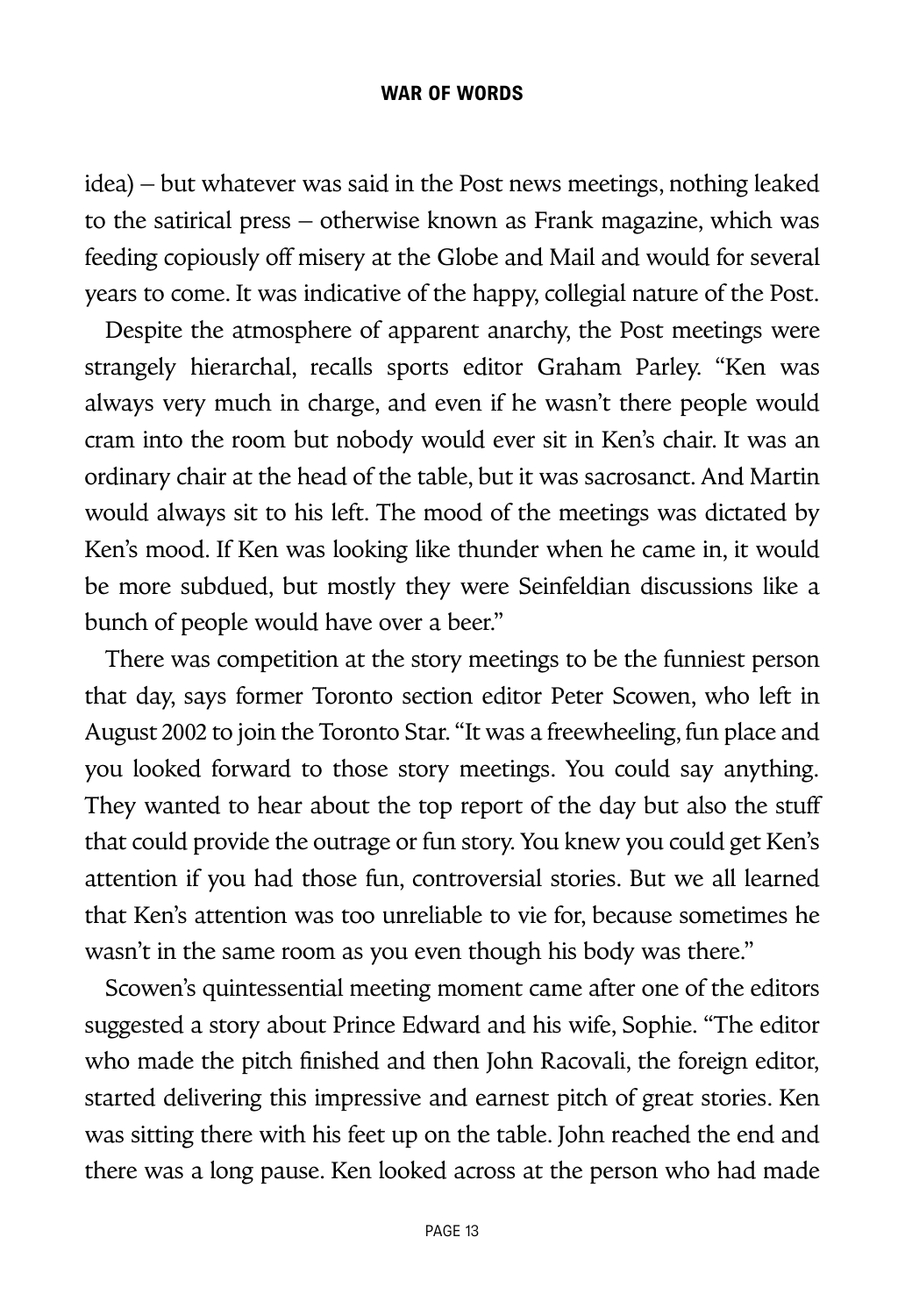idea) – but whatever was said in the Post news meetings, nothing leaked to the satirical press – otherwise known as Frank magazine, which was feeding copiously off misery at the Globe and Mail and would for several years to come. It was indicative of the happy, collegial nature of the Post.

Despite the atmosphere of apparent anarchy, the Post meetings were strangely hierarchal, recalls sports editor Graham Parley. "Ken was always very much in charge, and even if he wasn't there people would cram into the room but nobody would ever sit in Ken's chair. It was an ordinary chair at the head of the table, but it was sacrosanct. And Martin would always sit to his left. The mood of the meetings was dictated by Ken's mood. If Ken was looking like thunder when he came in, it would be more subdued, but mostly they were Seinfeldian discussions like a bunch of people would have over a beer."

There was competition at the story meetings to be the funniest person that day, says former Toronto section editor Peter Scowen, who left in August 2002 to join the Toronto Star. "It was a freewheeling, fun place and you looked forward to those story meetings. You could say anything. They wanted to hear about the top report of the day but also the stuff that could provide the outrage or fun story. You knew you could get Ken's attention if you had those fun, controversial stories. But we all learned that Ken's attention was too unreliable to vie for, because sometimes he wasn't in the same room as you even though his body was there."

Scowen's quintessential meeting moment came after one of the editors suggested a story about Prince Edward and his wife, Sophie. "The editor who made the pitch finished and then John Racovali, the foreign editor, started delivering this impressive and earnest pitch of great stories. Ken was sitting there with his feet up on the table. John reached the end and there was a long pause. Ken looked across at the person who had made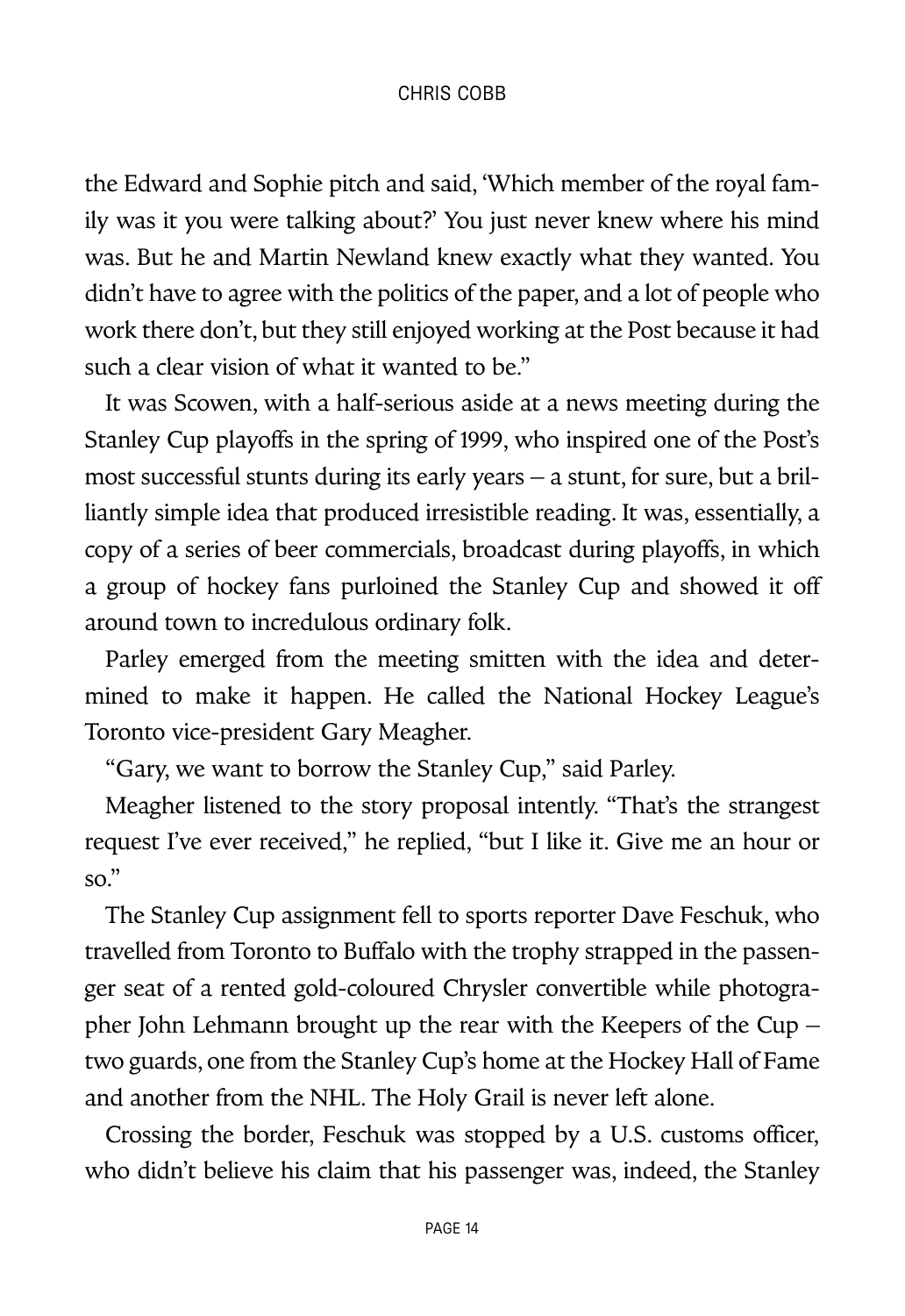the Edward and Sophie pitch and said, 'Which member of the royal family was it you were talking about?' You just never knew where his mind was. But he and Martin Newland knew exactly what they wanted. You didn't have to agree with the politics of the paper, and a lot of people who work there don't, but they still enjoyed working at the Post because it had such a clear vision of what it wanted to be."

It was Scowen, with a half-serious aside at a news meeting during the Stanley Cup playoffs in the spring of 1999, who inspired one of the Post's most successful stunts during its early years – a stunt, for sure, but a brilliantly simple idea that produced irresistible reading. It was, essentially, a copy of a series of beer commercials, broadcast during playoffs, in which a group of hockey fans purloined the Stanley Cup and showed it off around town to incredulous ordinary folk.

Parley emerged from the meeting smitten with the idea and determined to make it happen. He called the National Hockey League's Toronto vice-president Gary Meagher.

"Gary, we want to borrow the Stanley Cup," said Parley.

Meagher listened to the story proposal intently. "That's the strangest request I've ever received," he replied, "but I like it. Give me an hour or  $\mathsf{so}"$ 

The Stanley Cup assignment fell to sports reporter Dave Feschuk, who travelled from Toronto to Buffalo with the trophy strapped in the passenger seat of a rented gold-coloured Chrysler convertible while photographer John Lehmann brought up the rear with the Keepers of the Cup – two guards, one from the Stanley Cup's home at the Hockey Hall of Fame and another from the NHL. The Holy Grail is never left alone.

Crossing the border, Feschuk was stopped by a U.S. customs officer, who didn't believe his claim that his passenger was, indeed, the Stanley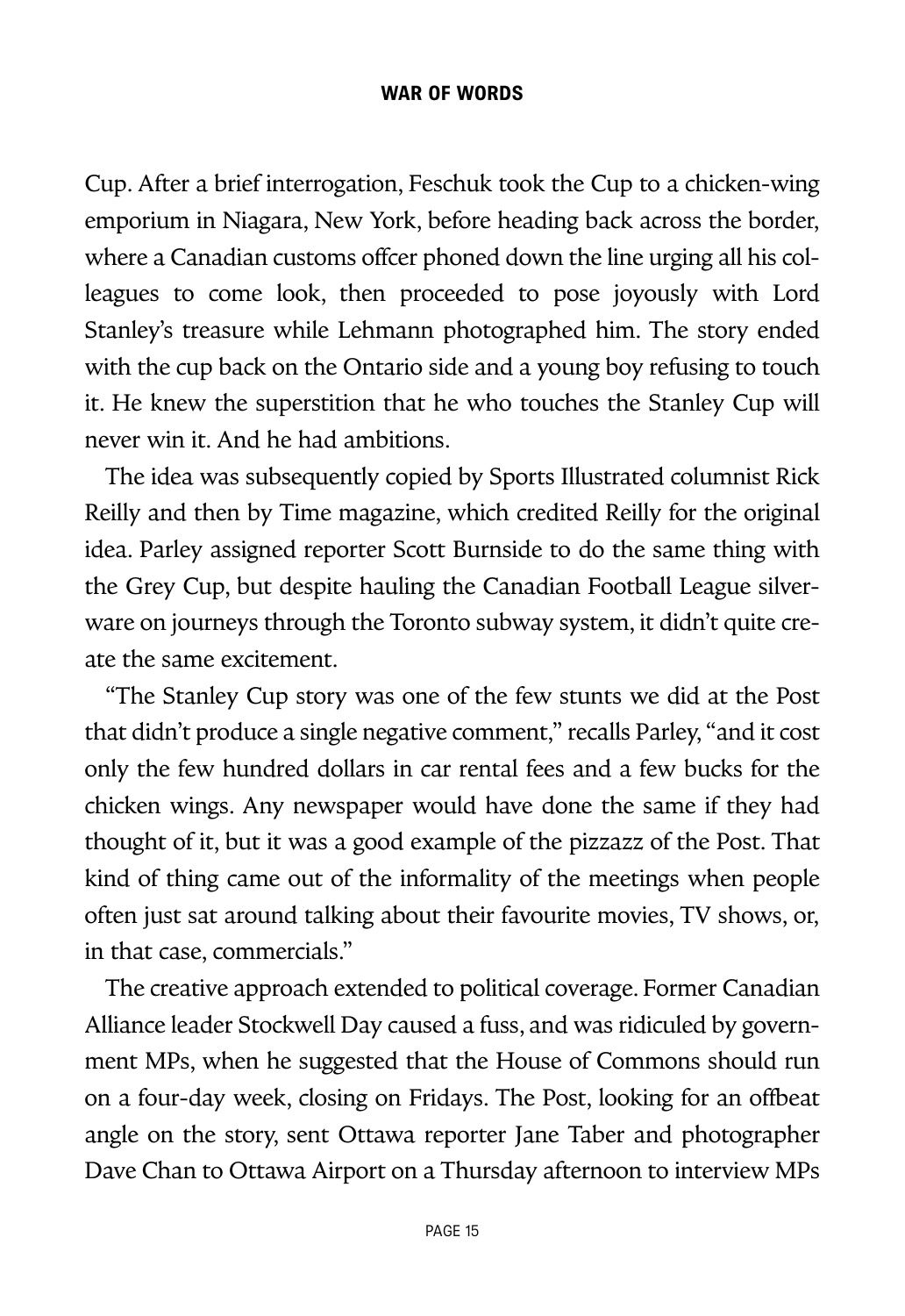Cup. After a brief interrogation, Feschuk took the Cup to a chicken-wing emporium in Niagara, New York, before heading back across the border, where a Canadian customs offcer phoned down the line urging all his colleagues to come look, then proceeded to pose joyously with Lord Stanley's treasure while Lehmann photographed him. The story ended with the cup back on the Ontario side and a young boy refusing to touch it. He knew the superstition that he who touches the Stanley Cup will never win it. And he had ambitions.

The idea was subsequently copied by Sports Illustrated columnist Rick Reilly and then by Time magazine, which credited Reilly for the original idea. Parley assigned reporter Scott Burnside to do the same thing with the Grey Cup, but despite hauling the Canadian Football League silverware on journeys through the Toronto subway system, it didn't quite create the same excitement.

"The Stanley Cup story was one of the few stunts we did at the Post that didn't produce a single negative comment," recalls Parley, "and it cost only the few hundred dollars in car rental fees and a few bucks for the chicken wings. Any newspaper would have done the same if they had thought of it, but it was a good example of the pizzazz of the Post. That kind of thing came out of the informality of the meetings when people often just sat around talking about their favourite movies, TV shows, or, in that case, commercials."

The creative approach extended to political coverage. Former Canadian Alliance leader Stockwell Day caused a fuss, and was ridiculed by government MPs, when he suggested that the House of Commons should run on a four-day week, closing on Fridays. The Post, looking for an offbeat angle on the story, sent Ottawa reporter Jane Taber and photographer Dave Chan to Ottawa Airport on a Thursday afternoon to interview MPs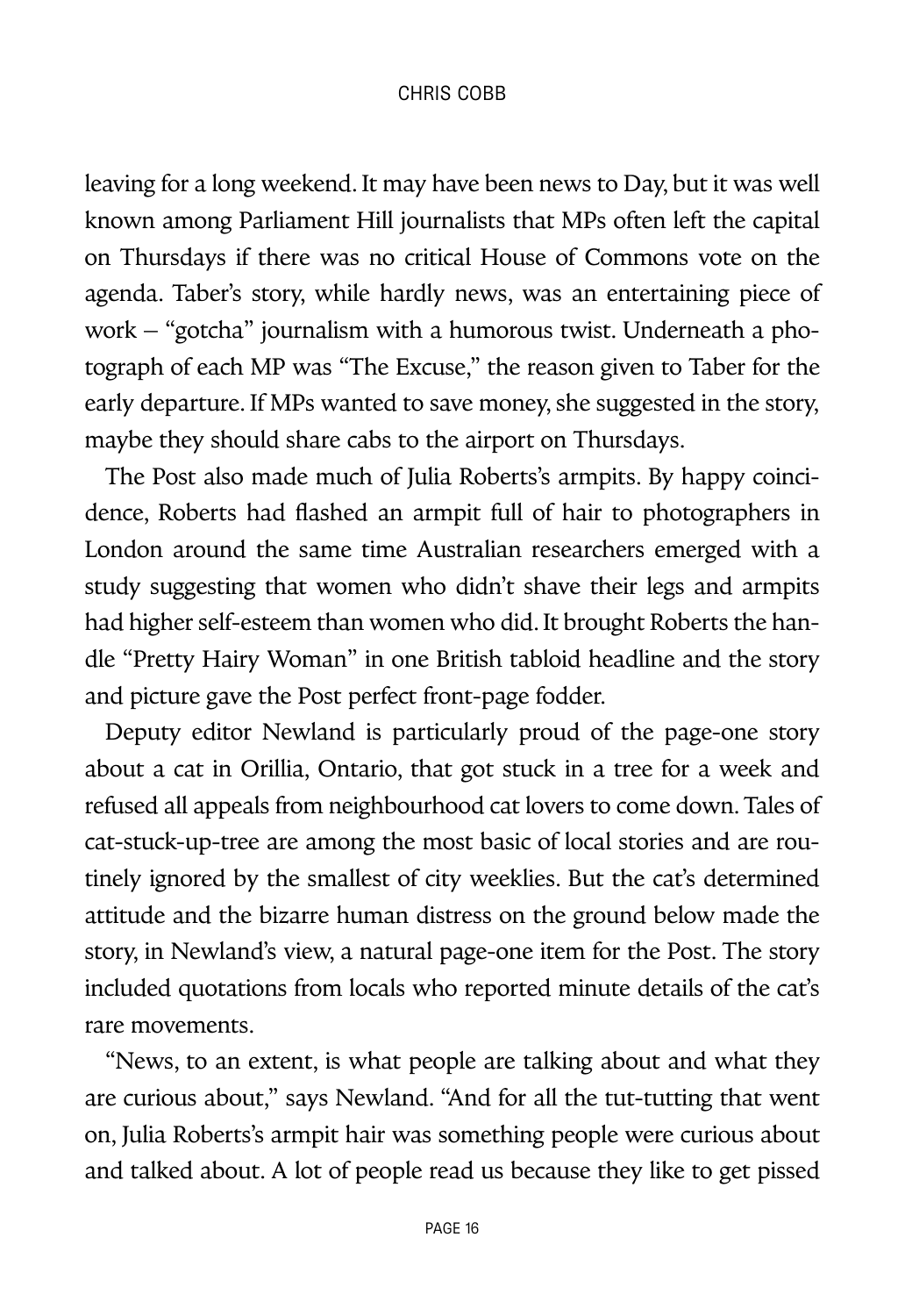leaving for a long weekend. It may have been news to Day, but it was well known among Parliament Hill journalists that MPs often left the capital on Thursdays if there was no critical House of Commons vote on the agenda. Taber's story, while hardly news, was an entertaining piece of work – "gotcha" journalism with a humorous twist. Underneath a photograph of each MP was "The Excuse," the reason given to Taber for the early departure. If MPs wanted to save money, she suggested in the story, maybe they should share cabs to the airport on Thursdays.

The Post also made much of Julia Roberts's armpits. By happy coincidence, Roberts had flashed an armpit full of hair to photographers in London around the same time Australian researchers emerged with a study suggesting that women who didn't shave their legs and armpits had higher self-esteem than women who did. It brought Roberts the handle "Pretty Hairy Woman" in one British tabloid headline and the story and picture gave the Post perfect front-page fodder.

Deputy editor Newland is particularly proud of the page-one story about a cat in Orillia, Ontario, that got stuck in a tree for a week and refused all appeals from neighbourhood cat lovers to come down. Tales of cat-stuck-up-tree are among the most basic of local stories and are routinely ignored by the smallest of city weeklies. But the cat's determined attitude and the bizarre human distress on the ground below made the story, in Newland's view, a natural page-one item for the Post. The story included quotations from locals who reported minute details of the cat's rare movements.

"News, to an extent, is what people are talking about and what they are curious about," says Newland. "And for all the tut-tutting that went on, Julia Roberts's armpit hair was something people were curious about and talked about. A lot of people read us because they like to get pissed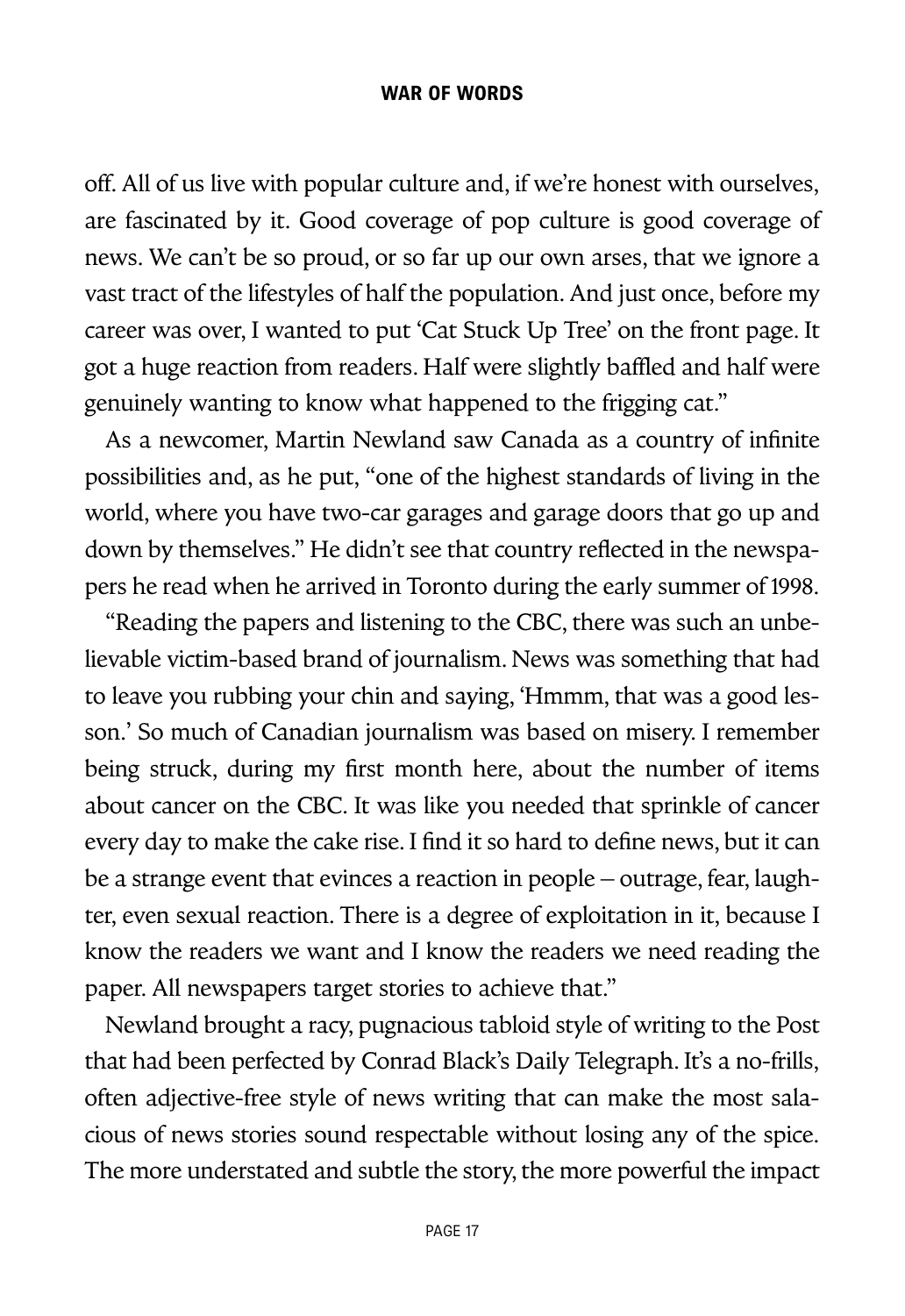off. All of us live with popular culture and, if we're honest with ourselves, are fascinated by it. Good coverage of pop culture is good coverage of news. We can't be so proud, or so far up our own arses, that we ignore a vast tract of the lifestyles of half the population. And just once, before my career was over, I wanted to put 'Cat Stuck Up Tree' on the front page. It got a huge reaction from readers. Half were slightly baffled and half were genuinely wanting to know what happened to the frigging cat."

As a newcomer, Martin Newland saw Canada as a country of infinite possibilities and, as he put, "one of the highest standards of living in the world, where you have two-car garages and garage doors that go up and down by themselves." He didn't see that country reflected in the newspapers he read when he arrived in Toronto during the early summer of 1998.

"Reading the papers and listening to the CBC, there was such an unbelievable victim-based brand of journalism. News was something that had to leave you rubbing your chin and saying, 'Hmmm, that was a good lesson.' So much of Canadian journalism was based on misery. I remember being struck, during my first month here, about the number of items about cancer on the CBC. It was like you needed that sprinkle of cancer every day to make the cake rise. I find it so hard to define news, but it can be a strange event that evinces a reaction in people – outrage, fear, laughter, even sexual reaction. There is a degree of exploitation in it, because I know the readers we want and I know the readers we need reading the paper. All newspapers target stories to achieve that."

Newland brought a racy, pugnacious tabloid style of writing to the Post that had been perfected by Conrad Black's Daily Telegraph. It's a no-frills, often adjective-free style of news writing that can make the most salacious of news stories sound respectable without losing any of the spice. The more understated and subtle the story, the more powerful the impact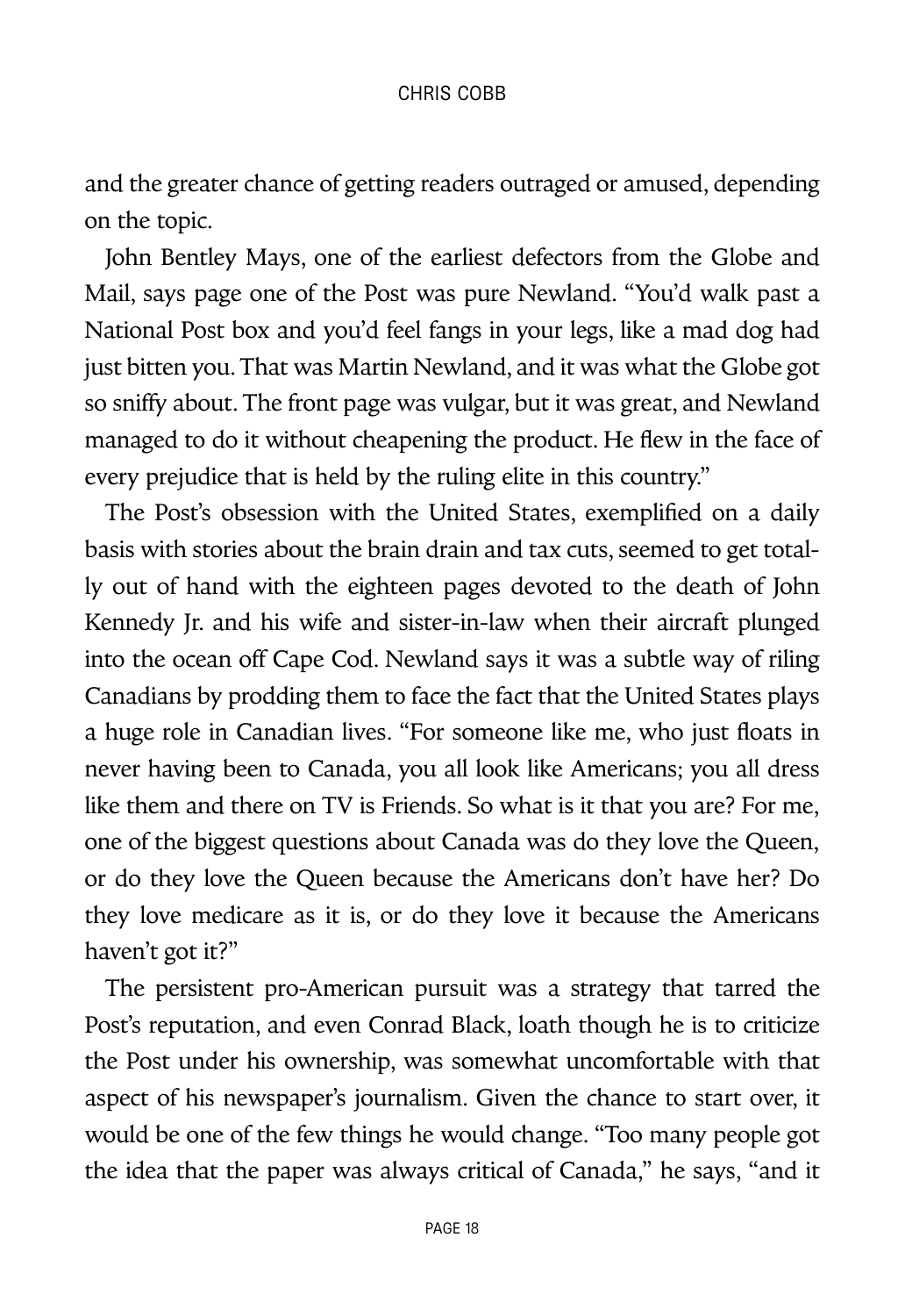and the greater chance of getting readers outraged or amused, depending on the topic.

John Bentley Mays, one of the earliest defectors from the Globe and Mail, says page one of the Post was pure Newland. "You'd walk past a National Post box and you'd feel fangs in your legs, like a mad dog had just bitten you. That was Martin Newland, and it was what the Globe got so sniffy about. The front page was vulgar, but it was great, and Newland managed to do it without cheapening the product. He flew in the face of every prejudice that is held by the ruling elite in this country."

The Post's obsession with the United States, exemplified on a daily basis with stories about the brain drain and tax cuts, seemed to get totally out of hand with the eighteen pages devoted to the death of John Kennedy Jr. and his wife and sister-in-law when their aircraft plunged into the ocean off Cape Cod. Newland says it was a subtle way of riling Canadians by prodding them to face the fact that the United States plays a huge role in Canadian lives. "For someone like me, who just floats in never having been to Canada, you all look like Americans; you all dress like them and there on TV is Friends. So what is it that you are? For me, one of the biggest questions about Canada was do they love the Queen, or do they love the Queen because the Americans don't have her? Do they love medicare as it is, or do they love it because the Americans haven't got it?"

The persistent pro-American pursuit was a strategy that tarred the Post's reputation, and even Conrad Black, loath though he is to criticize the Post under his ownership, was somewhat uncomfortable with that aspect of his newspaper's journalism. Given the chance to start over, it would be one of the few things he would change. "Too many people got the idea that the paper was always critical of Canada," he says, "and it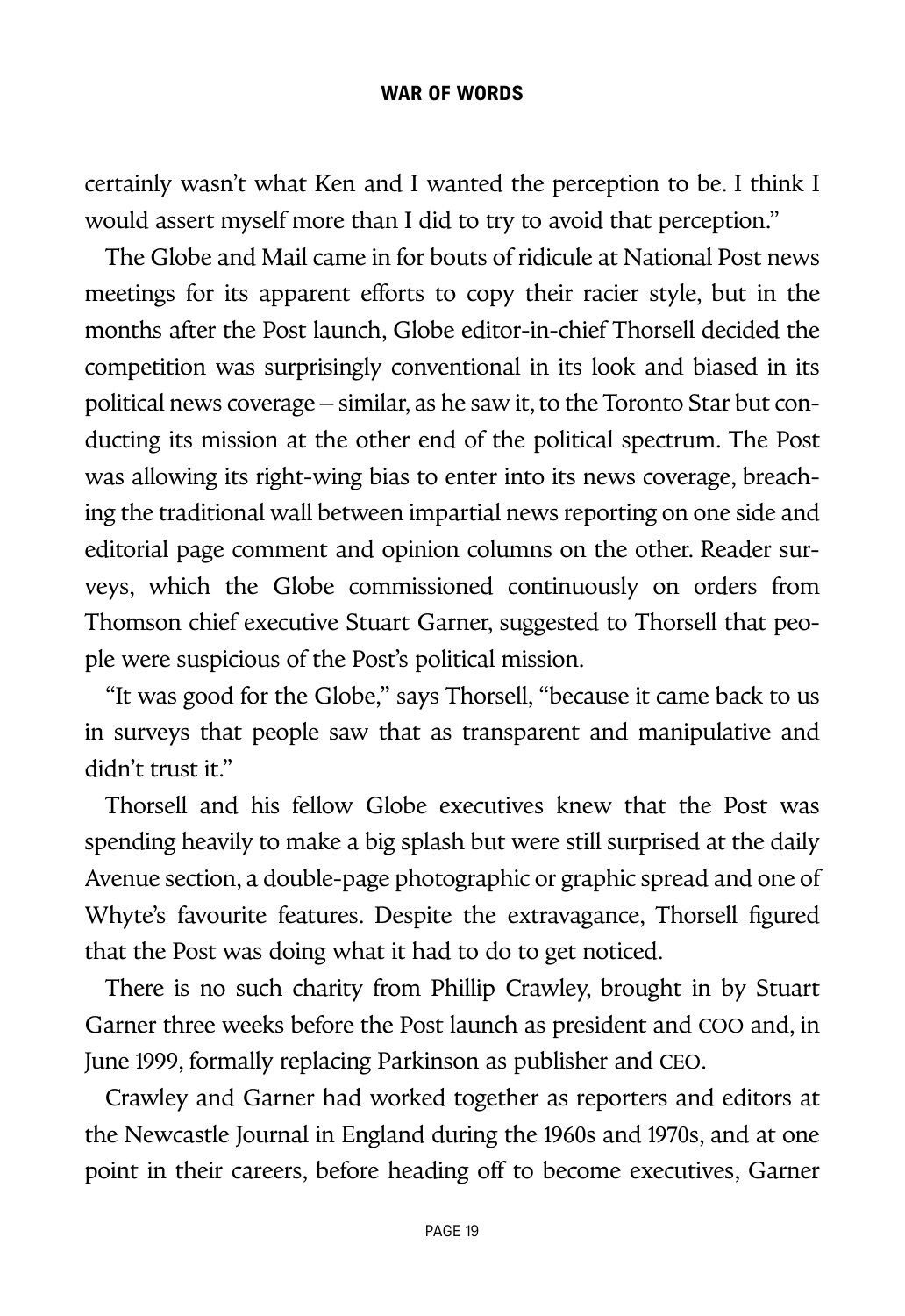certainly wasn't what Ken and I wanted the perception to be. I think I would assert myself more than I did to try to avoid that perception."

The Globe and Mail came in for bouts of ridicule at National Post news meetings for its apparent efforts to copy their racier style, but in the months after the Post launch, Globe editor-in-chief Thorsell decided the competition was surprisingly conventional in its look and biased in its political news coverage – similar, as he saw it, to the Toronto Star but conducting its mission at the other end of the political spectrum. The Post was allowing its right-wing bias to enter into its news coverage, breaching the traditional wall between impartial news reporting on one side and editorial page comment and opinion columns on the other. Reader surveys, which the Globe commissioned continuously on orders from Thomson chief executive Stuart Garner, suggested to Thorsell that people were suspicious of the Post's political mission.

"It was good for the Globe," says Thorsell, "because it came back to us in surveys that people saw that as transparent and manipulative and didn't trust it."

Thorsell and his fellow Globe executives knew that the Post was spending heavily to make a big splash but were still surprised at the daily Avenue section, a double-page photographic or graphic spread and one of Whyte's favourite features. Despite the extravagance, Thorsell figured that the Post was doing what it had to do to get noticed.

There is no such charity from Phillip Crawley, brought in by Stuart Garner three weeks before the Post launch as president and COO and, in June 1999, formally replacing Parkinson as publisher and CEO.

Crawley and Garner had worked together as reporters and editors at the Newcastle Journal in England during the 1960s and 1970s, and at one point in their careers, before heading off to become executives, Garner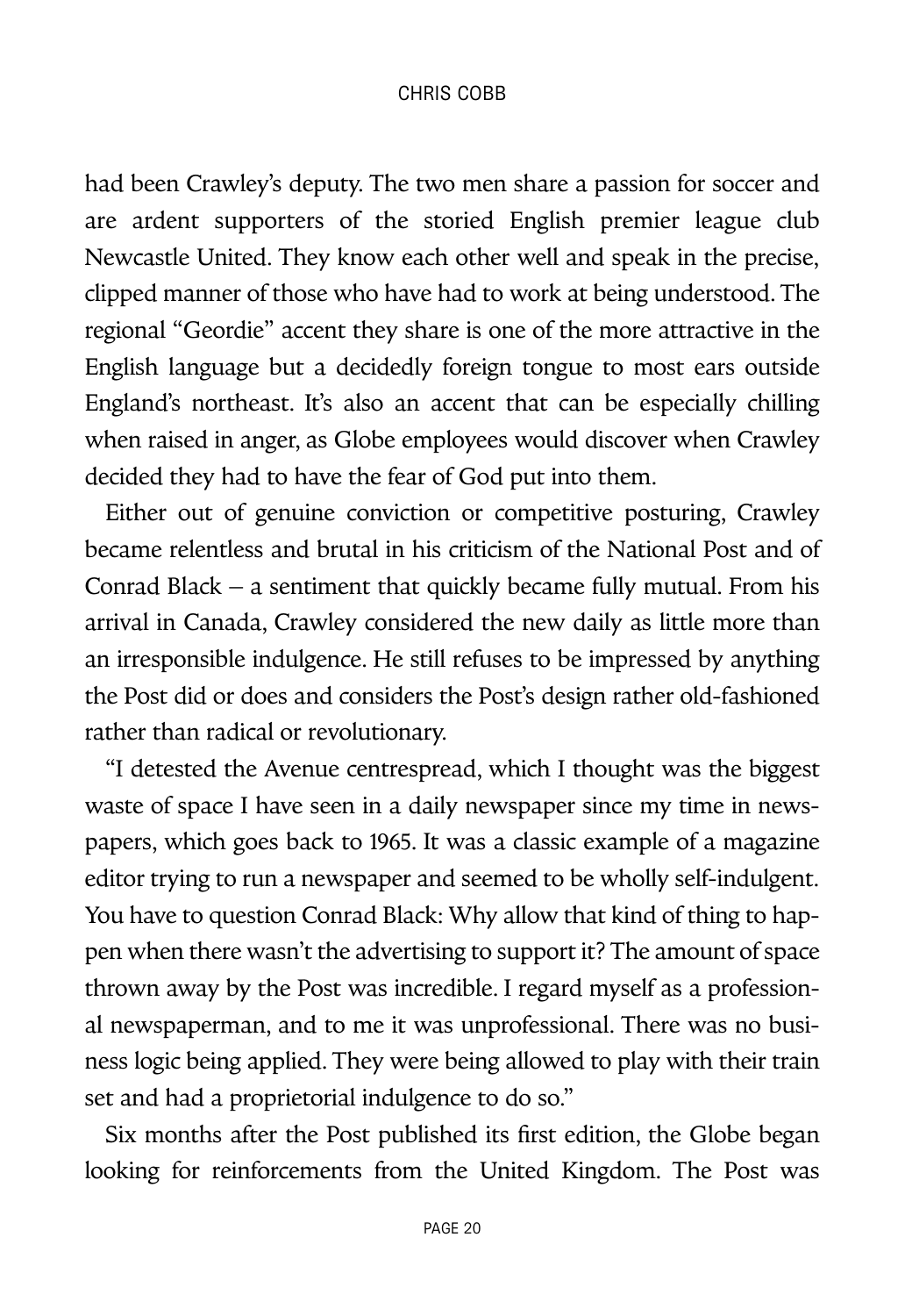had been Crawley's deputy. The two men share a passion for soccer and are ardent supporters of the storied English premier league club Newcastle United. They know each other well and speak in the precise, clipped manner of those who have had to work at being understood. The regional "Geordie" accent they share is one of the more attractive in the English language but a decidedly foreign tongue to most ears outside England's northeast. It's also an accent that can be especially chilling when raised in anger, as Globe employees would discover when Crawley decided they had to have the fear of God put into them.

Either out of genuine conviction or competitive posturing, Crawley became relentless and brutal in his criticism of the National Post and of Conrad Black – a sentiment that quickly became fully mutual. From his arrival in Canada, Crawley considered the new daily as little more than an irresponsible indulgence. He still refuses to be impressed by anything the Post did or does and considers the Post's design rather old-fashioned rather than radical or revolutionary.

"I detested the Avenue centrespread, which I thought was the biggest waste of space I have seen in a daily newspaper since my time in newspapers, which goes back to 1965. It was a classic example of a magazine editor trying to run a newspaper and seemed to be wholly self-indulgent. You have to question Conrad Black: Why allow that kind of thing to happen when there wasn't the advertising to support it? The amount of space thrown away by the Post was incredible. I regard myself as a professional newspaperman, and to me it was unprofessional. There was no business logic being applied. They were being allowed to play with their train set and had a proprietorial indulgence to do so."

Six months after the Post published its first edition, the Globe began looking for reinforcements from the United Kingdom. The Post was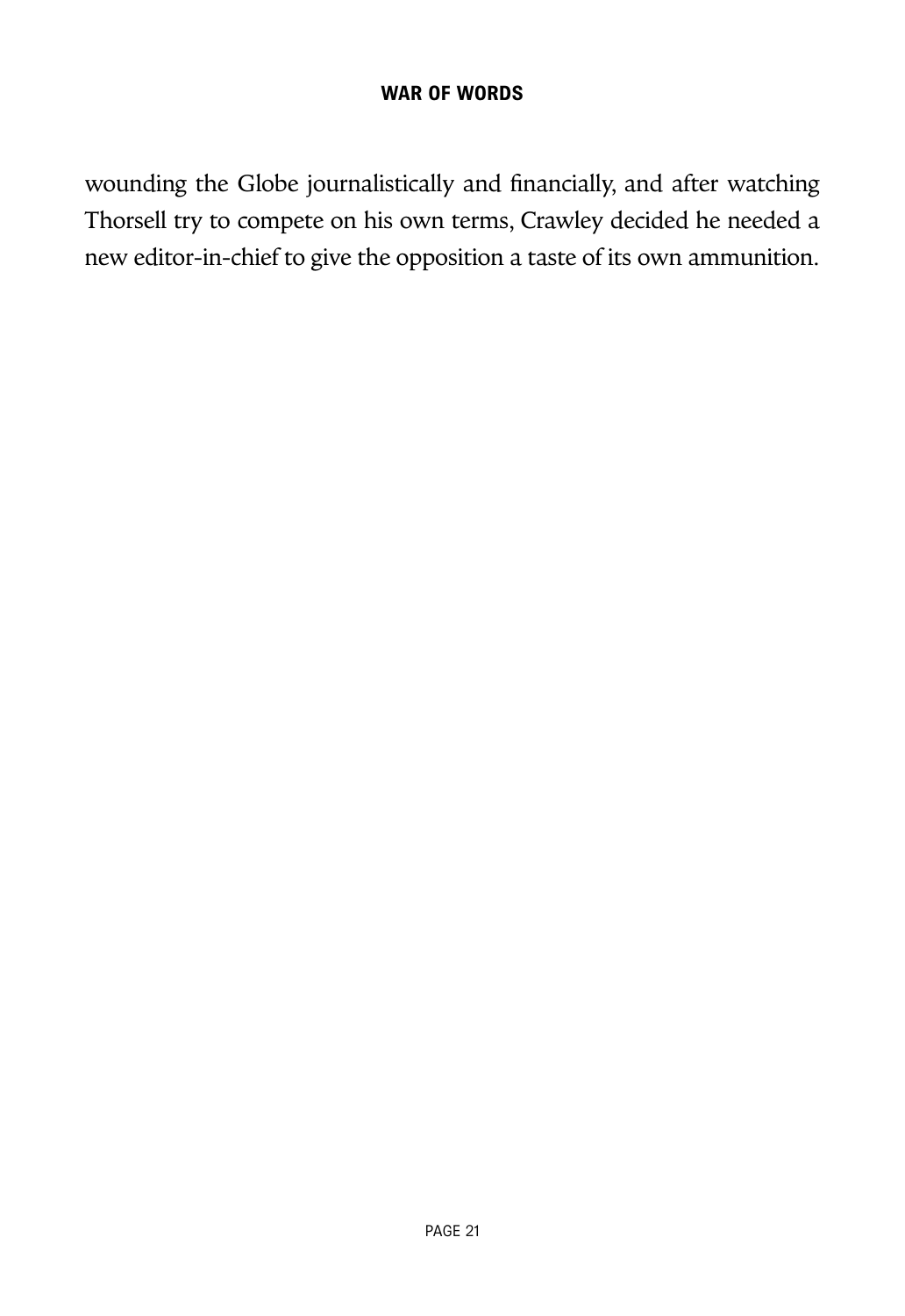wounding the Globe journalistically and financially, and after watching Thorsell try to compete on his own terms, Crawley decided he needed a new editor-in-chief to give the opposition a taste of its own ammunition.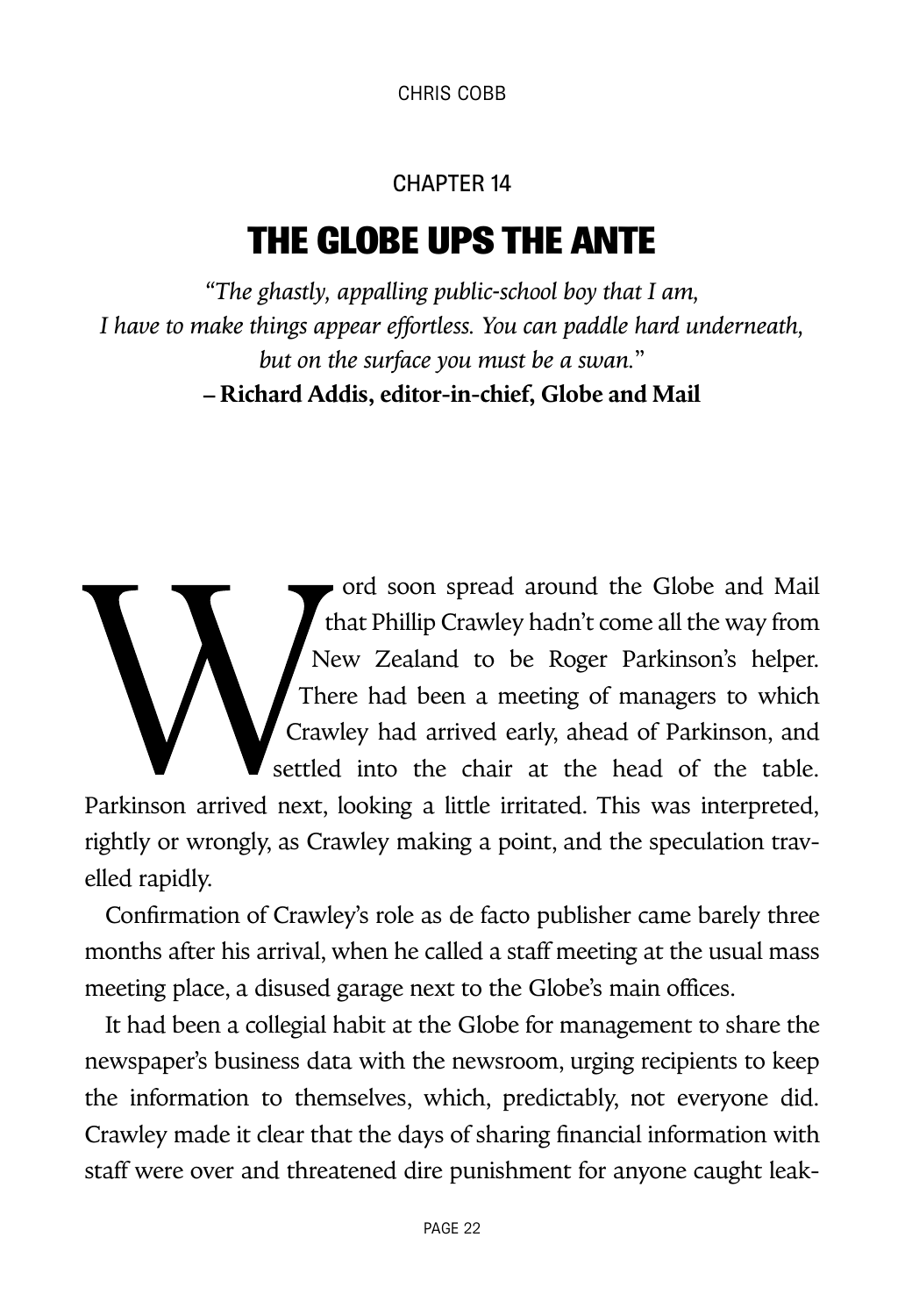#### CHAPTER 14

## THE GLOBE UPS THE ANTE

*"The ghastly, appalling public-school boy that I am, I have to make things appear effortless. You can paddle hard underneath, but on the surface you must be a swan.*" **– Richard Addis, editor-in-chief, Globe and Mail**

ord soon spread around the Globe and Mail that Phillip Crawley hadn't come all the way from New Zealand to be Roger Parkinson's helper. There had been a meeting of managers to which Crawley had arrived early, ahead of Parkinson, and settled into the chair at the head of the table.

Parkinson arrived next, looking a little irritated. This was interpreted, rightly or wrongly, as Crawley making a point, and the speculation travelled rapidly.

Confirmation of Crawley's role as de facto publisher came barely three months after his arrival, when he called a staff meeting at the usual mass meeting place, a disused garage next to the Globe's main offices.

It had been a collegial habit at the Globe for management to share the newspaper's business data with the newsroom, urging recipients to keep the information to themselves, which, predictably, not everyone did. Crawley made it clear that the days of sharing financial information with staff were over and threatened dire punishment for anyone caught leak-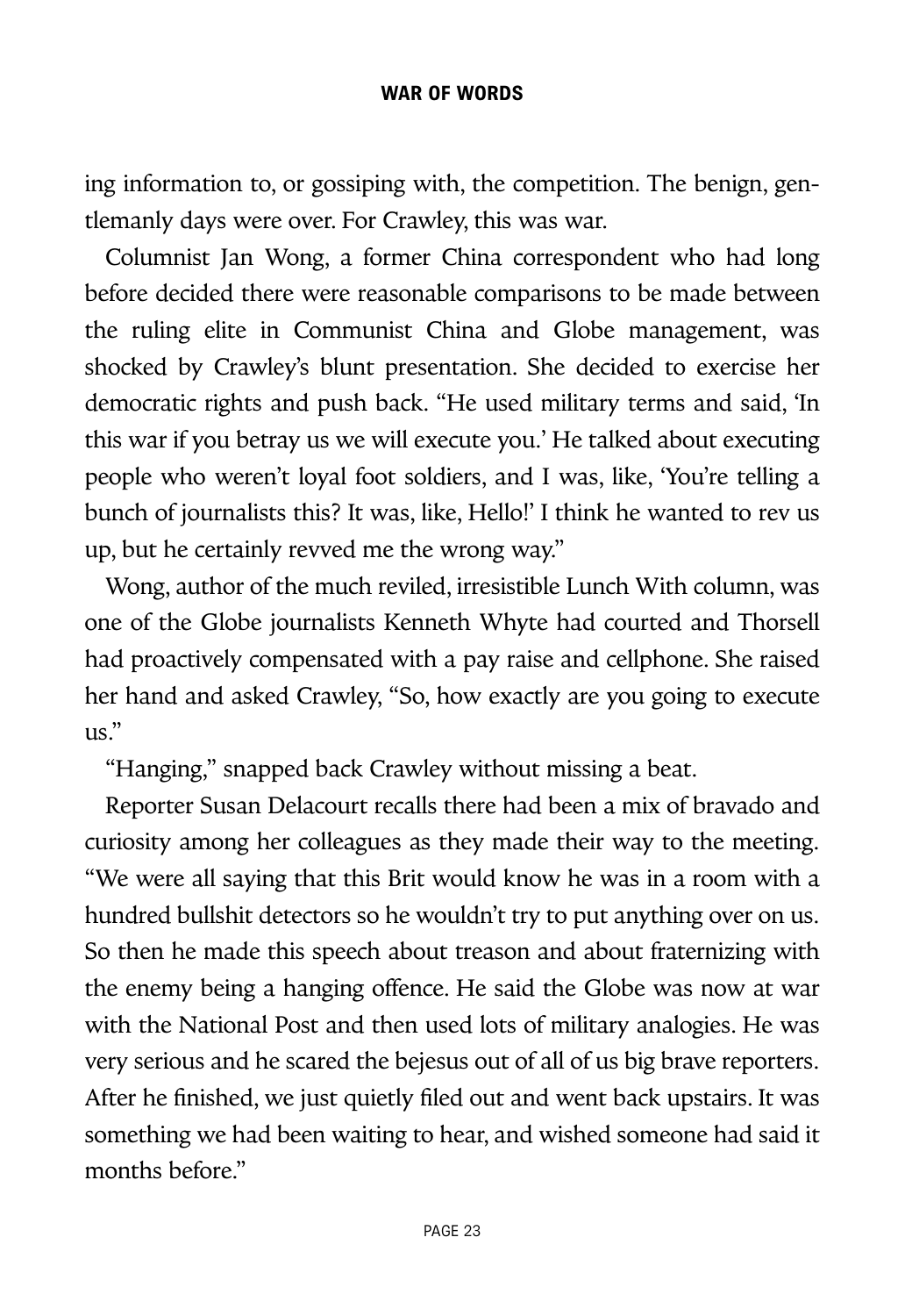ing information to, or gossiping with, the competition. The benign, gentlemanly days were over. For Crawley, this was war.

Columnist Jan Wong, a former China correspondent who had long before decided there were reasonable comparisons to be made between the ruling elite in Communist China and Globe management, was shocked by Crawley's blunt presentation. She decided to exercise her democratic rights and push back. "He used military terms and said, 'In this war if you betray us we will execute you.' He talked about executing people who weren't loyal foot soldiers, and I was, like, 'You're telling a bunch of journalists this? It was, like, Hello!' I think he wanted to rev us up, but he certainly revved me the wrong way."

Wong, author of the much reviled, irresistible Lunch With column, was one of the Globe journalists Kenneth Whyte had courted and Thorsell had proactively compensated with a pay raise and cellphone. She raised her hand and asked Crawley, "So, how exactly are you going to execute  $\overline{\mathsf{u}}$ s."

"Hanging," snapped back Crawley without missing a beat.

Reporter Susan Delacourt recalls there had been a mix of bravado and curiosity among her colleagues as they made their way to the meeting. "We were all saying that this Brit would know he was in a room with a hundred bullshit detectors so he wouldn't try to put anything over on us. So then he made this speech about treason and about fraternizing with the enemy being a hanging offence. He said the Globe was now at war with the National Post and then used lots of military analogies. He was very serious and he scared the bejesus out of all of us big brave reporters. After he finished, we just quietly filed out and went back upstairs. It was something we had been waiting to hear, and wished someone had said it months before."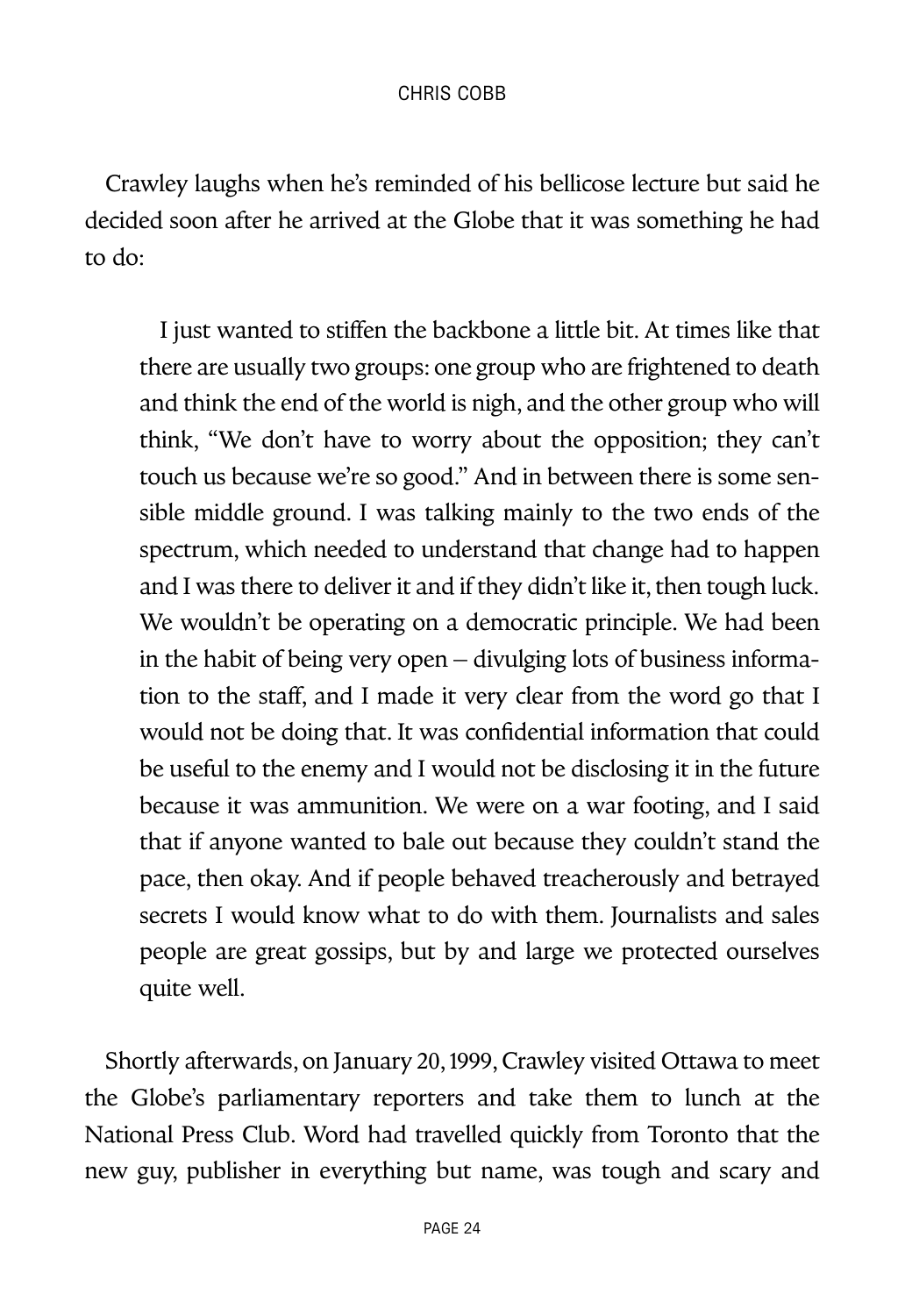Crawley laughs when he's reminded of his bellicose lecture but said he decided soon after he arrived at the Globe that it was something he had to do:

I just wanted to stiffen the backbone a little bit. At times like that there are usually two groups: one group who are frightened to death and think the end of the world is nigh, and the other group who will think, "We don't have to worry about the opposition; they can't touch us because we're so good." And in between there is some sensible middle ground. I was talking mainly to the two ends of the spectrum, which needed to understand that change had to happen and I was there to deliver it and if they didn't like it, then tough luck. We wouldn't be operating on a democratic principle. We had been in the habit of being very open – divulging lots of business information to the staff, and I made it very clear from the word go that I would not be doing that. It was confidential information that could be useful to the enemy and I would not be disclosing it in the future because it was ammunition. We were on a war footing, and I said that if anyone wanted to bale out because they couldn't stand the pace, then okay. And if people behaved treacherously and betrayed secrets I would know what to do with them. Journalists and sales people are great gossips, but by and large we protected ourselves quite well.

Shortly afterwards,on January 20,1999,Crawley visited Ottawa to meet the Globe's parliamentary reporters and take them to lunch at the National Press Club. Word had travelled quickly from Toronto that the new guy, publisher in everything but name, was tough and scary and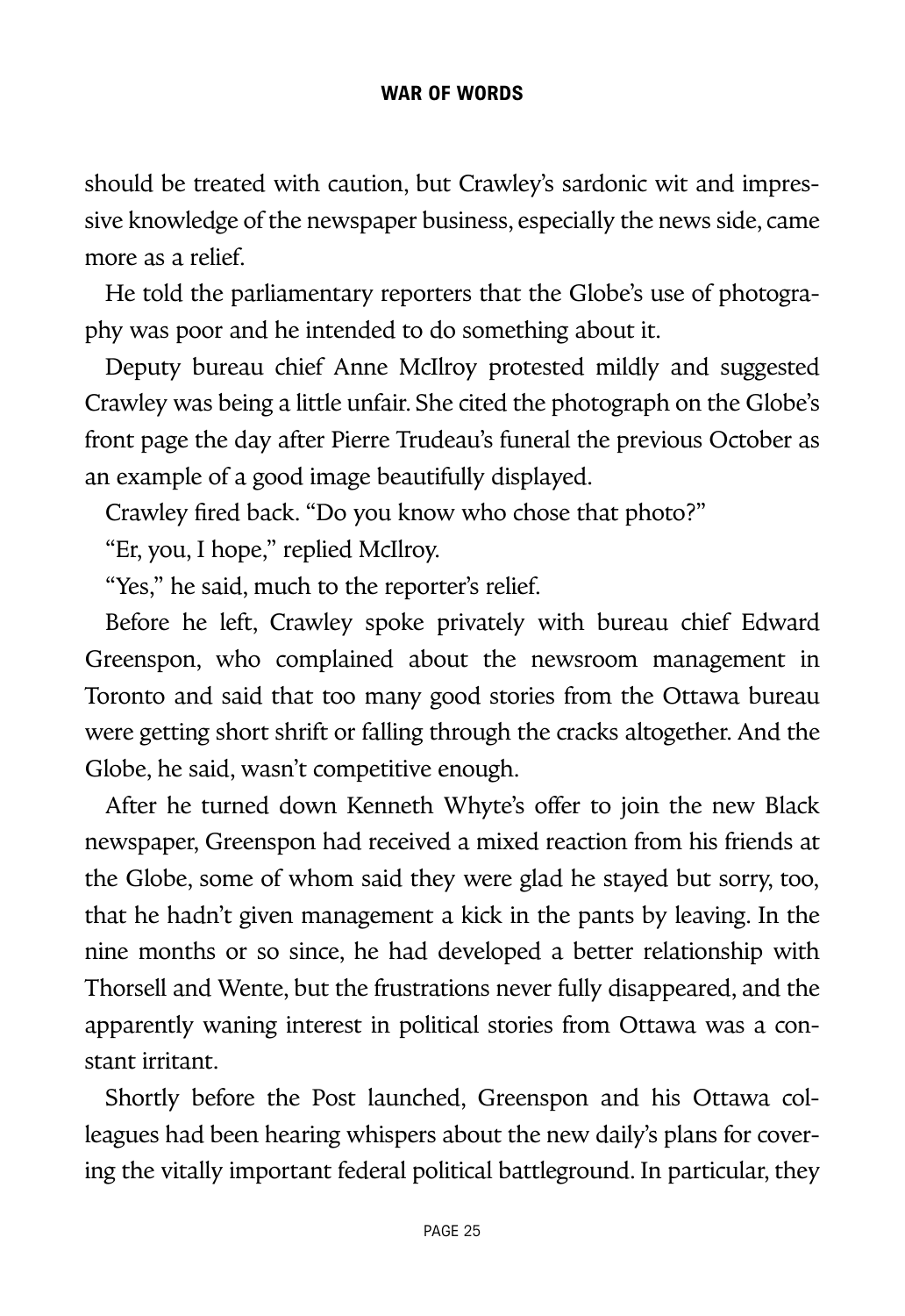should be treated with caution, but Crawley's sardonic wit and impressive knowledge of the newspaper business, especially the news side, came more as a relief.

He told the parliamentary reporters that the Globe's use of photography was poor and he intended to do something about it.

Deputy bureau chief Anne McIlroy protested mildly and suggested Crawley was being a little unfair. She cited the photograph on the Globe's front page the day after Pierre Trudeau's funeral the previous October as an example of a good image beautifully displayed.

Crawley fired back. "Do you know who chose that photo?"

"Er, you, I hope," replied McIlroy.

"Yes," he said, much to the reporter's relief.

Before he left, Crawley spoke privately with bureau chief Edward Greenspon, who complained about the newsroom management in Toronto and said that too many good stories from the Ottawa bureau were getting short shrift or falling through the cracks altogether. And the Globe, he said, wasn't competitive enough.

After he turned down Kenneth Whyte's offer to join the new Black newspaper, Greenspon had received a mixed reaction from his friends at the Globe, some of whom said they were glad he stayed but sorry, too, that he hadn't given management a kick in the pants by leaving. In the nine months or so since, he had developed a better relationship with Thorsell and Wente, but the frustrations never fully disappeared, and the apparently waning interest in political stories from Ottawa was a constant irritant.

Shortly before the Post launched, Greenspon and his Ottawa colleagues had been hearing whispers about the new daily's plans for covering the vitally important federal political battleground. In particular, they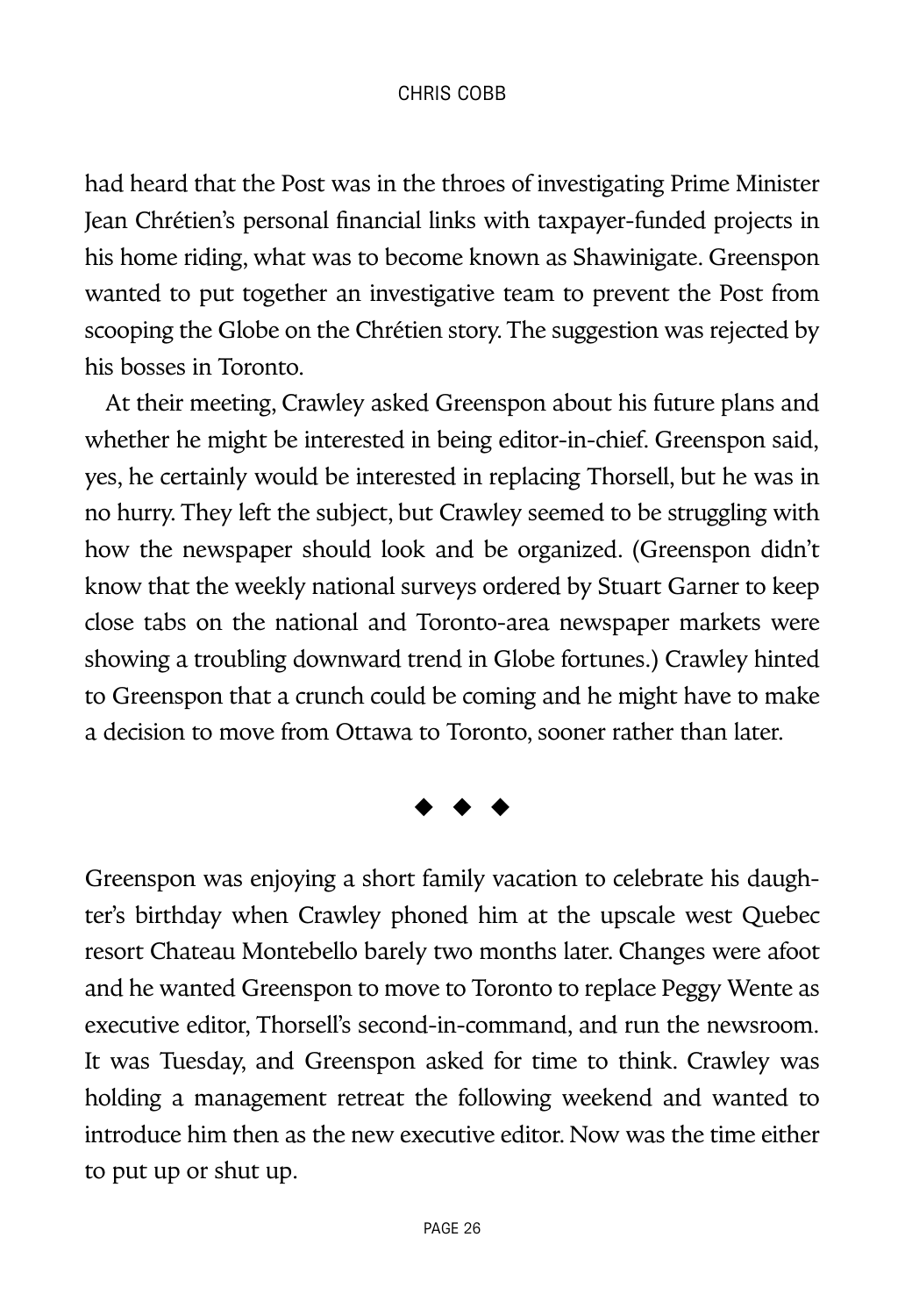had heard that the Post was in the throes of investigating Prime Minister Jean Chrétien's personal financial links with taxpayer-funded projects in his home riding, what was to become known as Shawinigate. Greenspon wanted to put together an investigative team to prevent the Post from scooping the Globe on the Chrétien story. The suggestion was rejected by his bosses in Toronto.

At their meeting, Crawley asked Greenspon about his future plans and whether he might be interested in being editor-in-chief. Greenspon said, yes, he certainly would be interested in replacing Thorsell, but he was in no hurry. They left the subject, but Crawley seemed to be struggling with how the newspaper should look and be organized. (Greenspon didn't know that the weekly national surveys ordered by Stuart Garner to keep close tabs on the national and Toronto-area newspaper markets were showing a troubling downward trend in Globe fortunes.) Crawley hinted to Greenspon that a crunch could be coming and he might have to make a decision to move from Ottawa to Toronto, sooner rather than later.

#### ◆ ◆ ◆

Greenspon was enjoying a short family vacation to celebrate his daughter's birthday when Crawley phoned him at the upscale west Quebec resort Chateau Montebello barely two months later. Changes were afoot and he wanted Greenspon to move to Toronto to replace Peggy Wente as executive editor, Thorsell's second-in-command, and run the newsroom. It was Tuesday, and Greenspon asked for time to think. Crawley was holding a management retreat the following weekend and wanted to introduce him then as the new executive editor. Now was the time either to put up or shut up.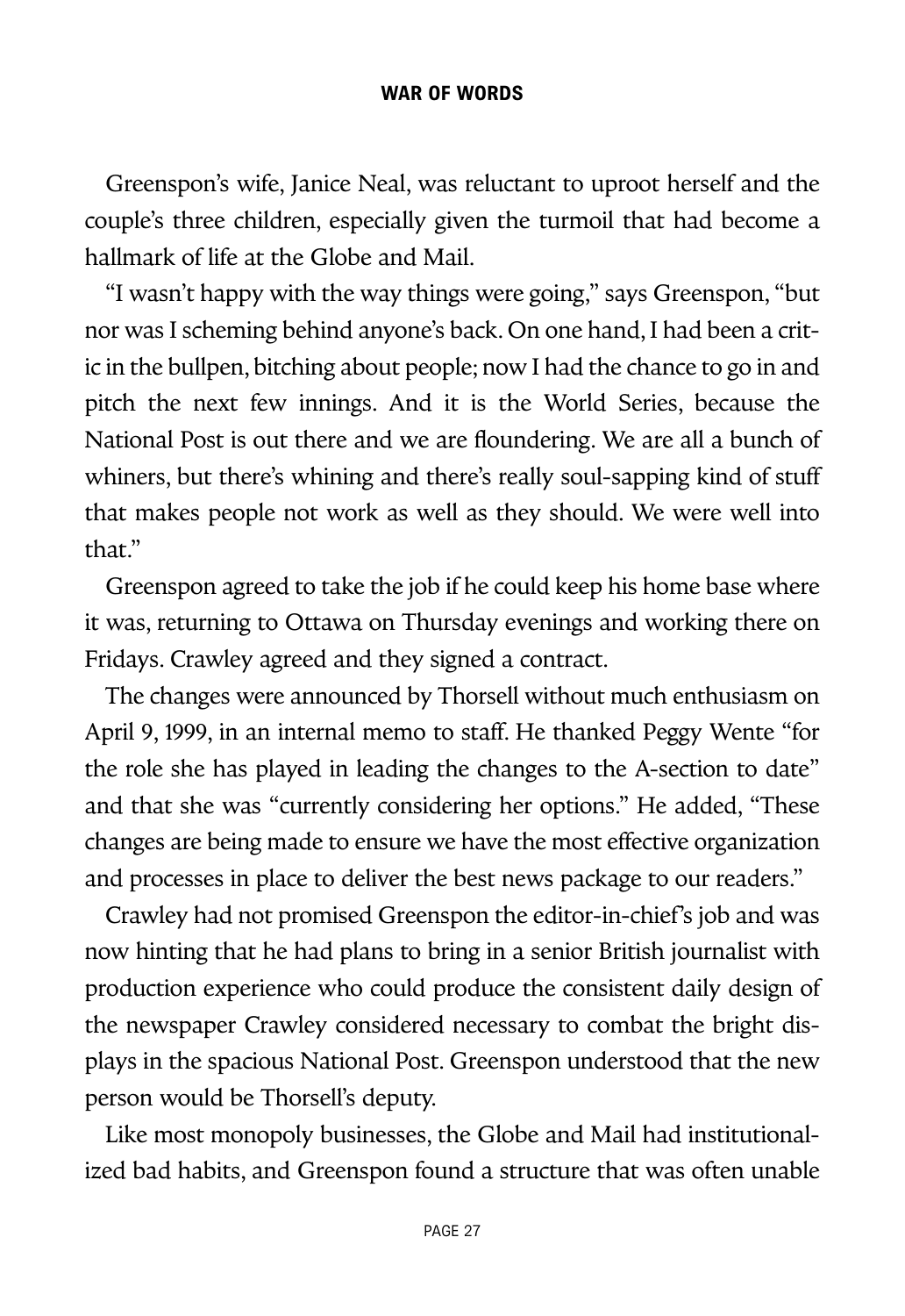Greenspon's wife, Janice Neal, was reluctant to uproot herself and the couple's three children, especially given the turmoil that had become a hallmark of life at the Globe and Mail.

"I wasn't happy with the way things were going," says Greenspon, "but nor was I scheming behind anyone's back. On one hand, I had been a critic in the bullpen, bitching about people; now I had the chance to go in and pitch the next few innings. And it is the World Series, because the National Post is out there and we are floundering. We are all a bunch of whiners, but there's whining and there's really soul-sapping kind of stuff that makes people not work as well as they should. We were well into that"

Greenspon agreed to take the job if he could keep his home base where it was, returning to Ottawa on Thursday evenings and working there on Fridays. Crawley agreed and they signed a contract.

The changes were announced by Thorsell without much enthusiasm on April 9, 1999, in an internal memo to staff. He thanked Peggy Wente "for the role she has played in leading the changes to the A-section to date" and that she was "currently considering her options." He added, "These changes are being made to ensure we have the most effective organization and processes in place to deliver the best news package to our readers."

Crawley had not promised Greenspon the editor-in-chief's job and was now hinting that he had plans to bring in a senior British journalist with production experience who could produce the consistent daily design of the newspaper Crawley considered necessary to combat the bright displays in the spacious National Post. Greenspon understood that the new person would be Thorsell's deputy.

Like most monopoly businesses, the Globe and Mail had institutionalized bad habits, and Greenspon found a structure that was often unable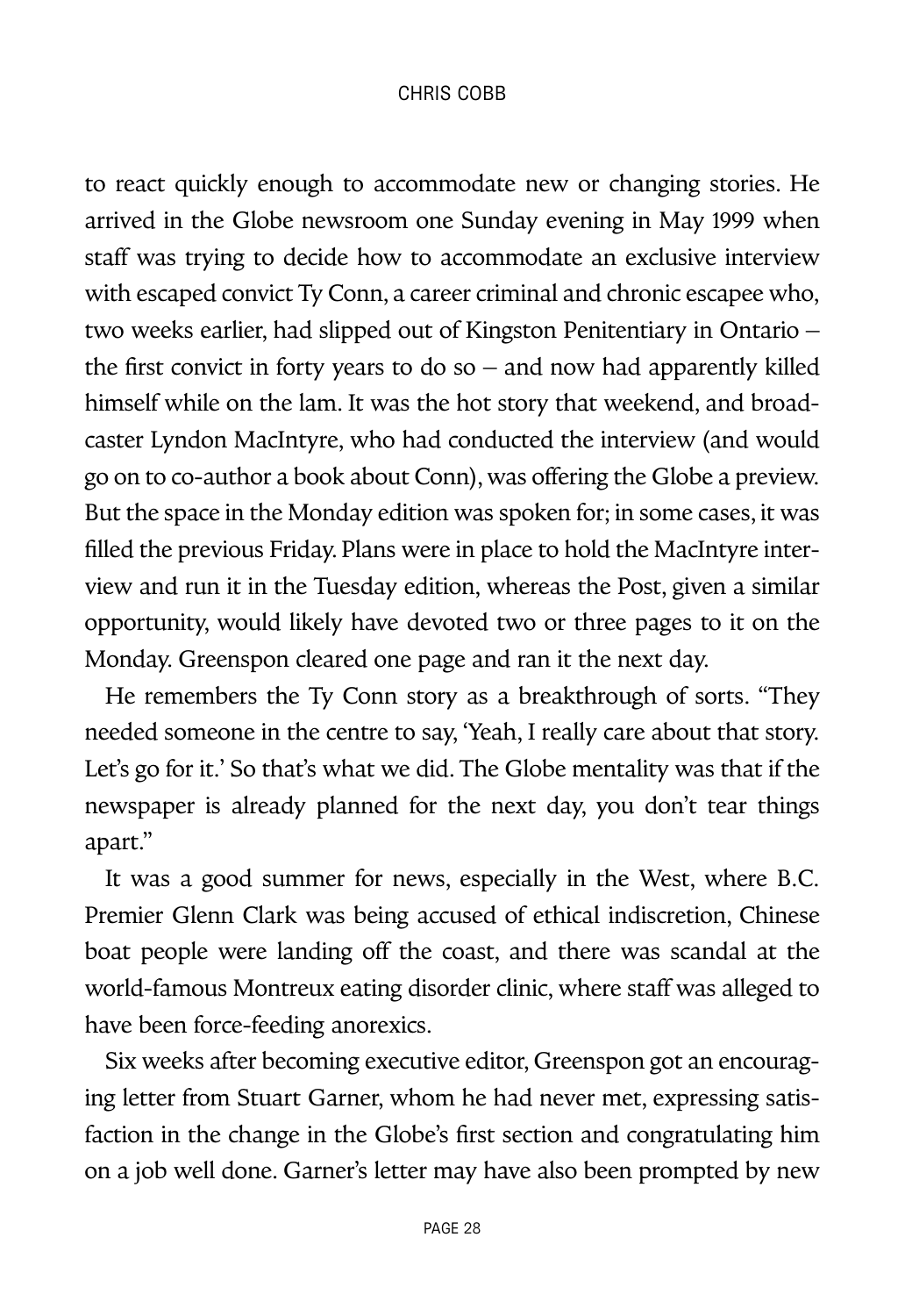to react quickly enough to accommodate new or changing stories. He arrived in the Globe newsroom one Sunday evening in May 1999 when staff was trying to decide how to accommodate an exclusive interview with escaped convict Ty Conn, a career criminal and chronic escapee who, two weeks earlier, had slipped out of Kingston Penitentiary in Ontario – the first convict in forty years to do so  $-$  and now had apparently killed himself while on the lam. It was the hot story that weekend, and broadcaster Lyndon MacIntyre, who had conducted the interview (and would go on to co-author a book about Conn),was offering the Globe a preview. But the space in the Monday edition was spoken for; in some cases, it was filled the previous Friday. Plans were in place to hold the MacIntyre interview and run it in the Tuesday edition, whereas the Post, given a similar opportunity, would likely have devoted two or three pages to it on the Monday. Greenspon cleared one page and ran it the next day.

He remembers the Ty Conn story as a breakthrough of sorts. "They needed someone in the centre to say, 'Yeah, I really care about that story. Let's go for it.' So that's what we did. The Globe mentality was that if the newspaper is already planned for the next day, you don't tear things apart."

It was a good summer for news, especially in the West, where B.C. Premier Glenn Clark was being accused of ethical indiscretion, Chinese boat people were landing off the coast, and there was scandal at the world-famous Montreux eating disorder clinic, where staff was alleged to have been force-feeding anorexics.

Six weeks after becoming executive editor, Greenspon got an encouraging letter from Stuart Garner, whom he had never met, expressing satisfaction in the change in the Globe's first section and congratulating him on a job well done. Garner's letter may have also been prompted by new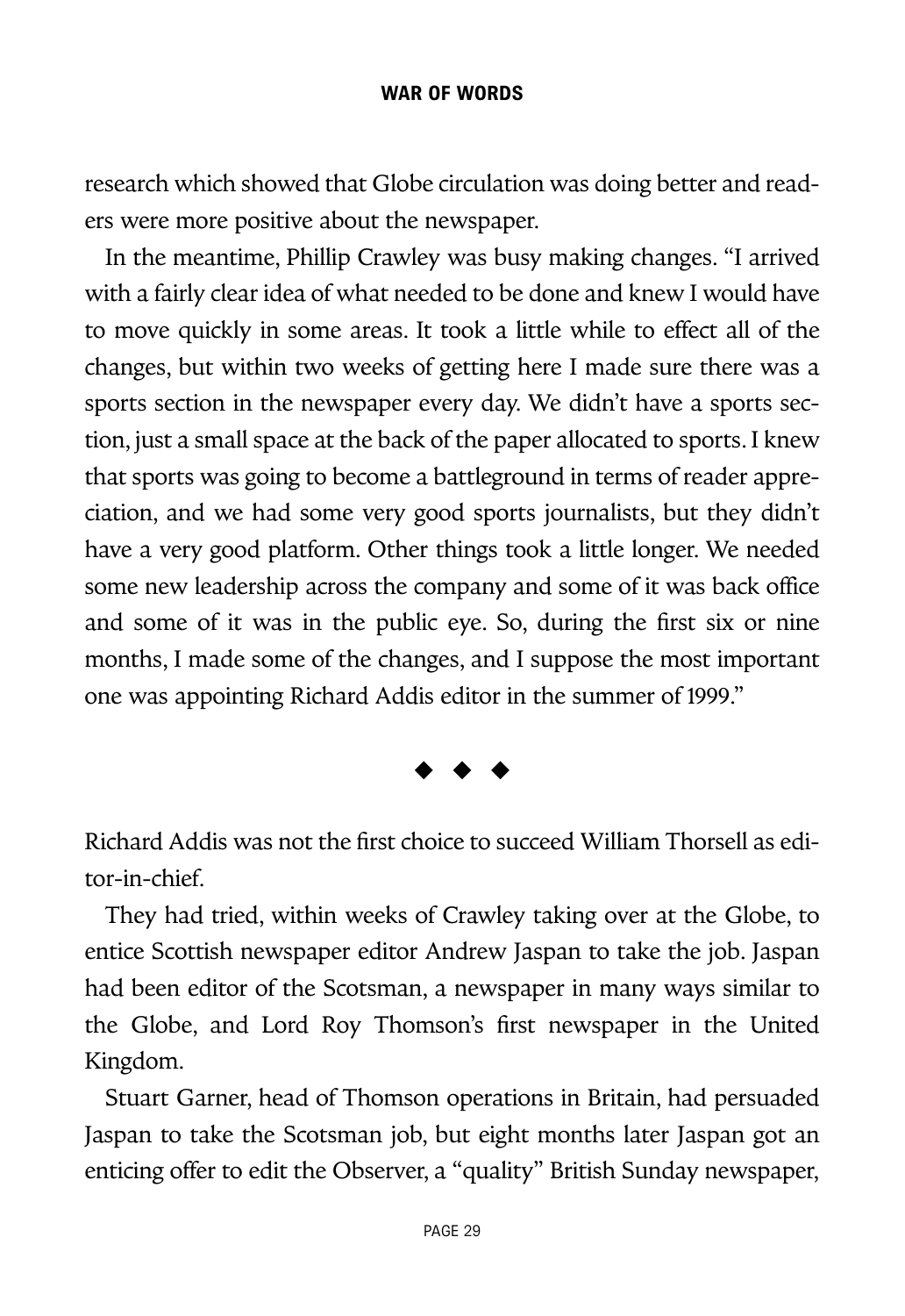research which showed that Globe circulation was doing better and readers were more positive about the newspaper.

In the meantime, Phillip Crawley was busy making changes. "I arrived with a fairly clear idea of what needed to be done and knew I would have to move quickly in some areas. It took a little while to effect all of the changes, but within two weeks of getting here I made sure there was a sports section in the newspaper every day. We didn't have a sports section, just a small space at the back of the paper allocated to sports. I knew that sports was going to become a battleground in terms of reader appreciation, and we had some very good sports journalists, but they didn't have a very good platform. Other things took a little longer. We needed some new leadership across the company and some of it was back office and some of it was in the public eye. So, during the first six or nine months, I made some of the changes, and I suppose the most important one was appointing Richard Addis editor in the summer of 1999."



Richard Addis was not the first choice to succeed William Thorsell as editor-in-chief.

They had tried, within weeks of Crawley taking over at the Globe, to entice Scottish newspaper editor Andrew Jaspan to take the job. Jaspan had been editor of the Scotsman, a newspaper in many ways similar to the Globe, and Lord Roy Thomson's first newspaper in the United Kingdom.

Stuart Garner, head of Thomson operations in Britain, had persuaded Jaspan to take the Scotsman job, but eight months later Jaspan got an enticing offer to edit the Observer, a "quality" British Sunday newspaper,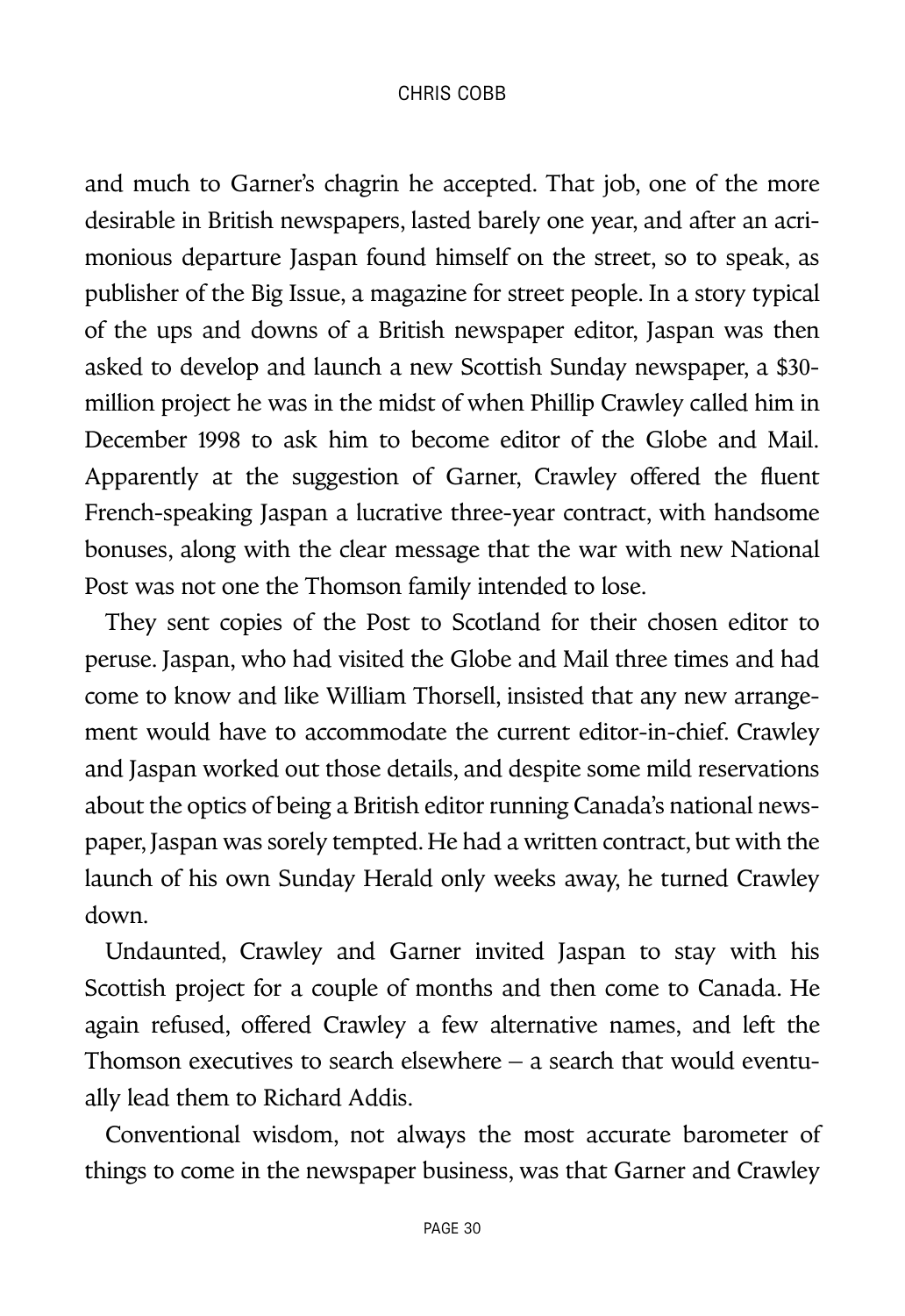and much to Garner's chagrin he accepted. That job, one of the more desirable in British newspapers, lasted barely one year, and after an acrimonious departure Jaspan found himself on the street, so to speak, as publisher of the Big Issue, a magazine for street people. In a story typical of the ups and downs of a British newspaper editor, Jaspan was then asked to develop and launch a new Scottish Sunday newspaper, a \$30 million project he was in the midst of when Phillip Crawley called him in December 1998 to ask him to become editor of the Globe and Mail. Apparently at the suggestion of Garner, Crawley offered the fluent French-speaking Jaspan a lucrative three-year contract, with handsome bonuses, along with the clear message that the war with new National Post was not one the Thomson family intended to lose.

They sent copies of the Post to Scotland for their chosen editor to peruse. Jaspan, who had visited the Globe and Mail three times and had come to know and like William Thorsell, insisted that any new arrangement would have to accommodate the current editor-in-chief. Crawley and Jaspan worked out those details, and despite some mild reservations about the optics of being a British editor running Canada's national newspaper, Jaspan was sorely tempted. He had a written contract, but with the launch of his own Sunday Herald only weeks away, he turned Crawley down.

Undaunted, Crawley and Garner invited Jaspan to stay with his Scottish project for a couple of months and then come to Canada. He again refused, offered Crawley a few alternative names, and left the Thomson executives to search elsewhere – a search that would eventually lead them to Richard Addis.

Conventional wisdom, not always the most accurate barometer of things to come in the newspaper business, was that Garner and Crawley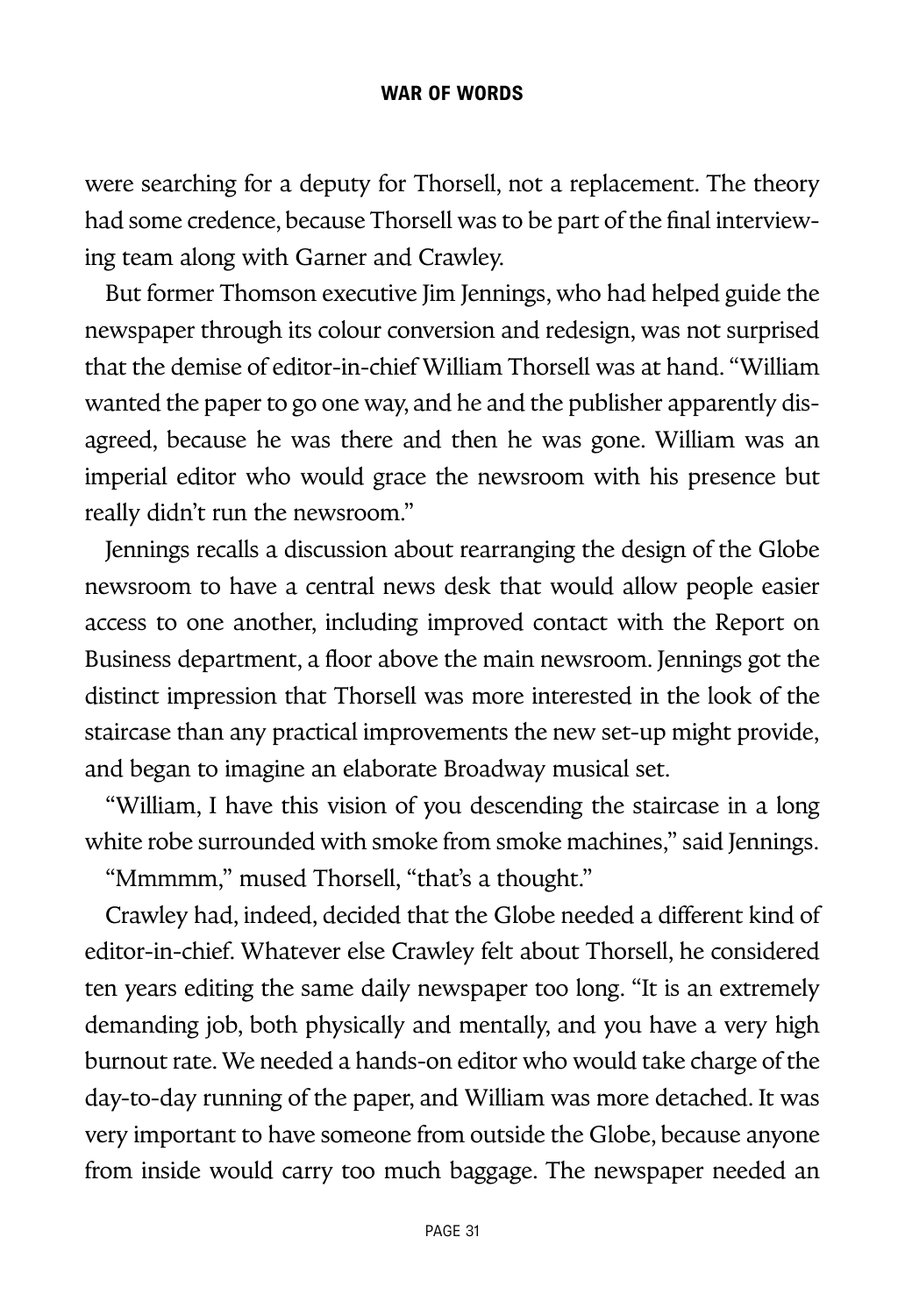were searching for a deputy for Thorsell, not a replacement. The theory had some credence, because Thorsell was to be part of the final interviewing team along with Garner and Crawley.

But former Thomson executive Jim Jennings, who had helped guide the newspaper through its colour conversion and redesign, was not surprised that the demise of editor-in-chief William Thorsell was at hand. "William wanted the paper to go one way, and he and the publisher apparently disagreed, because he was there and then he was gone. William was an imperial editor who would grace the newsroom with his presence but really didn't run the newsroom."

Jennings recalls a discussion about rearranging the design of the Globe newsroom to have a central news desk that would allow people easier access to one another, including improved contact with the Report on Business department, a floor above the main newsroom. Jennings got the distinct impression that Thorsell was more interested in the look of the staircase than any practical improvements the new set-up might provide, and began to imagine an elaborate Broadway musical set.

"William, I have this vision of you descending the staircase in a long white robe surrounded with smoke from smoke machines," said Jennings.

"Mmmmm," mused Thorsell, "that's a thought."

Crawley had, indeed, decided that the Globe needed a different kind of editor-in-chief. Whatever else Crawley felt about Thorsell, he considered ten years editing the same daily newspaper too long. "It is an extremely demanding job, both physically and mentally, and you have a very high burnout rate.We needed a hands-on editor who would take charge of the day-to-day running of the paper, and William was more detached. It was very important to have someone from outside the Globe, because anyone from inside would carry too much baggage. The newspaper needed an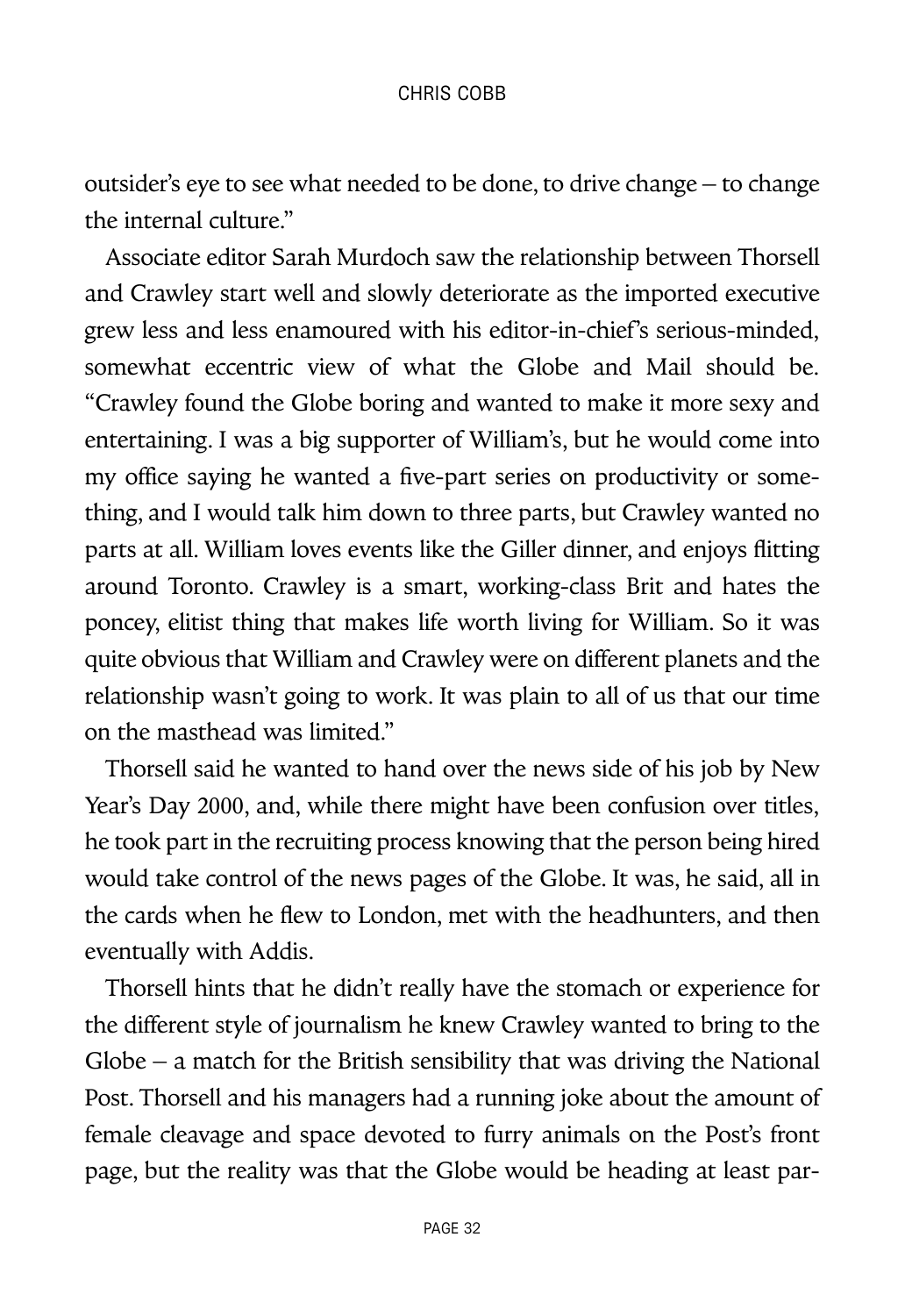outsider's eye to see what needed to be done, to drive change – to change the internal culture."

Associate editor Sarah Murdoch saw the relationship between Thorsell and Crawley start well and slowly deteriorate as the imported executive grew less and less enamoured with his editor-in-chief's serious-minded, somewhat eccentric view of what the Globe and Mail should be. "Crawley found the Globe boring and wanted to make it more sexy and entertaining. I was a big supporter of William's, but he would come into my office saying he wanted a five-part series on productivity or something, and I would talk him down to three parts, but Crawley wanted no parts at all. William loves events like the Giller dinner, and enjoys flitting around Toronto. Crawley is a smart, working-class Brit and hates the poncey, elitist thing that makes life worth living for William. So it was quite obvious that William and Crawley were on different planets and the relationship wasn't going to work. It was plain to all of us that our time on the masthead was limited."

Thorsell said he wanted to hand over the news side of his job by New Year's Day 2000, and, while there might have been confusion over titles, he took part in the recruiting process knowing that the person being hired would take control of the news pages of the Globe. It was, he said, all in the cards when he flew to London, met with the headhunters, and then eventually with Addis.

Thorsell hints that he didn't really have the stomach or experience for the different style of journalism he knew Crawley wanted to bring to the Globe – a match for the British sensibility that was driving the National Post. Thorsell and his managers had a running joke about the amount of female cleavage and space devoted to furry animals on the Post's front page, but the reality was that the Globe would be heading at least par-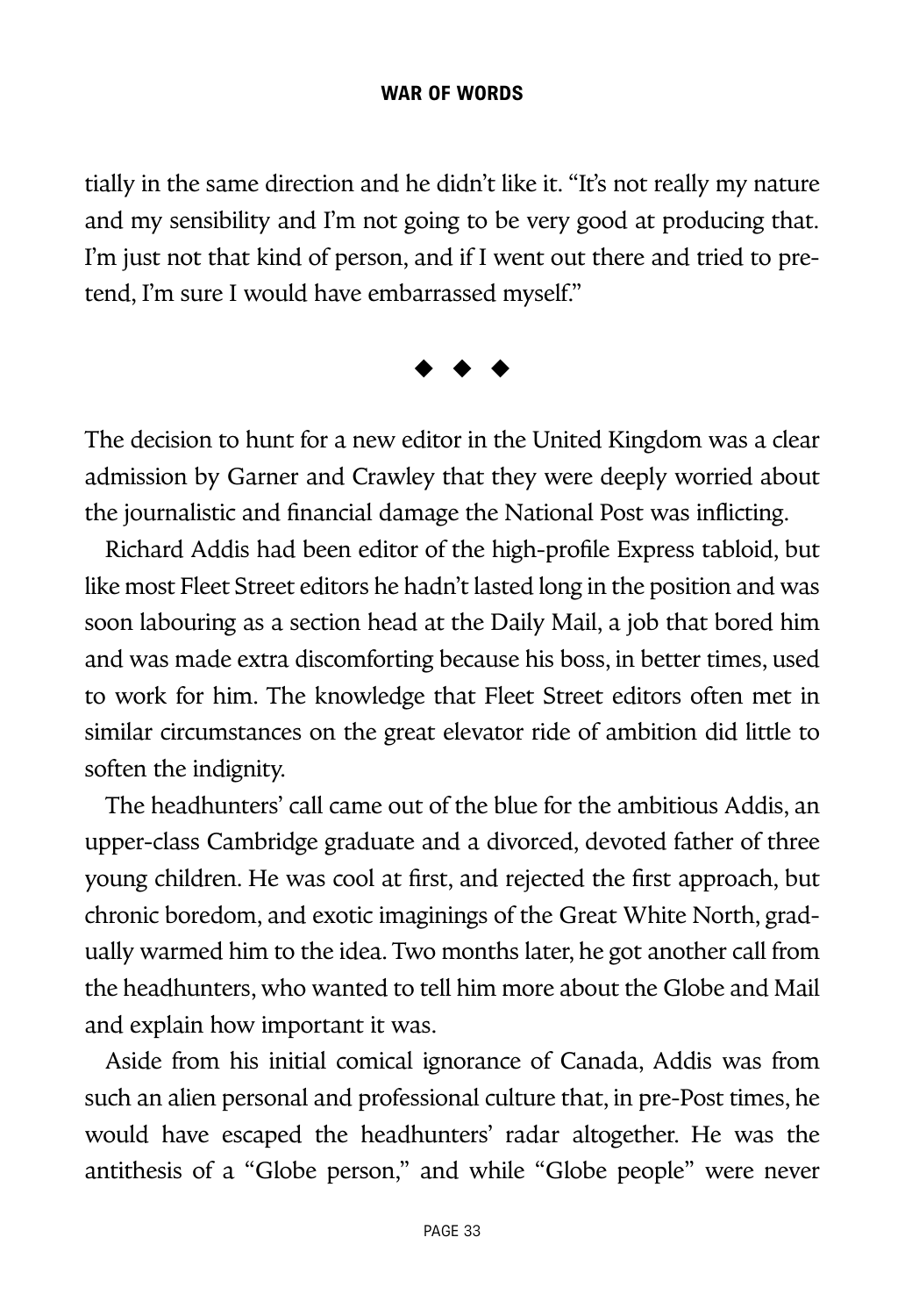tially in the same direction and he didn't like it. "It's not really my nature and my sensibility and I'm not going to be very good at producing that. I'm just not that kind of person, and if I went out there and tried to pretend, I'm sure I would have embarrassed myself."

#### ◆ ◆ ◆

The decision to hunt for a new editor in the United Kingdom was a clear admission by Garner and Crawley that they were deeply worried about the journalistic and financial damage the National Post was inflicting.

Richard Addis had been editor of the high-profile Express tabloid, but like most Fleet Street editors he hadn't lasted long in the position and was soon labouring as a section head at the Daily Mail, a job that bored him and was made extra discomforting because his boss, in better times, used to work for him. The knowledge that Fleet Street editors often met in similar circumstances on the great elevator ride of ambition did little to soften the indignity.

The headhunters' call came out of the blue for the ambitious Addis, an upper-class Cambridge graduate and a divorced, devoted father of three young children. He was cool at first, and rejected the first approach, but chronic boredom, and exotic imaginings of the Great White North, gradually warmed him to the idea. Two months later, he got another call from the headhunters, who wanted to tell him more about the Globe and Mail and explain how important it was.

Aside from his initial comical ignorance of Canada, Addis was from such an alien personal and professional culture that, in pre-Post times, he would have escaped the headhunters' radar altogether. He was the antithesis of a "Globe person," and while "Globe people" were never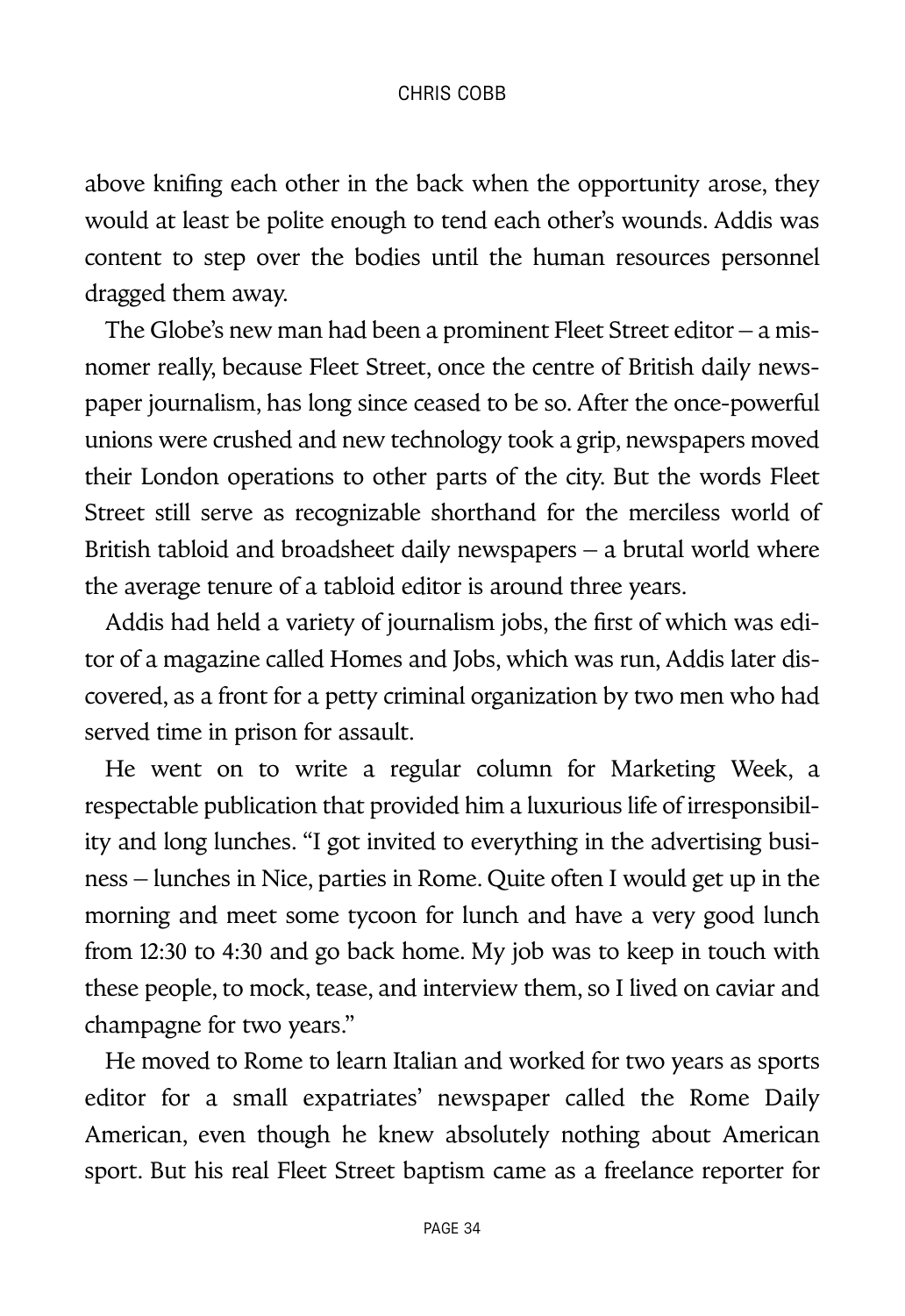above knifing each other in the back when the opportunity arose, they would at least be polite enough to tend each other's wounds. Addis was content to step over the bodies until the human resources personnel dragged them away.

The Globe's new man had been a prominent Fleet Street editor – a misnomer really, because Fleet Street, once the centre of British daily newspaper journalism, has long since ceased to be so. After the once-powerful unions were crushed and new technology took a grip, newspapers moved their London operations to other parts of the city. But the words Fleet Street still serve as recognizable shorthand for the merciless world of British tabloid and broadsheet daily newspapers – a brutal world where the average tenure of a tabloid editor is around three years.

Addis had held a variety of journalism jobs, the first of which was editor of a magazine called Homes and Jobs, which was run, Addis later discovered, as a front for a petty criminal organization by two men who had served time in prison for assault.

He went on to write a regular column for Marketing Week, a respectable publication that provided him a luxurious life of irresponsibility and long lunches. "I got invited to everything in the advertising business – lunches in Nice, parties in Rome. Quite often I would get up in the morning and meet some tycoon for lunch and have a very good lunch from 12:30 to 4:30 and go back home. My job was to keep in touch with these people, to mock, tease, and interview them, so I lived on caviar and champagne for two years."

He moved to Rome to learn Italian and worked for two years as sports editor for a small expatriates' newspaper called the Rome Daily American, even though he knew absolutely nothing about American sport. But his real Fleet Street baptism came as a freelance reporter for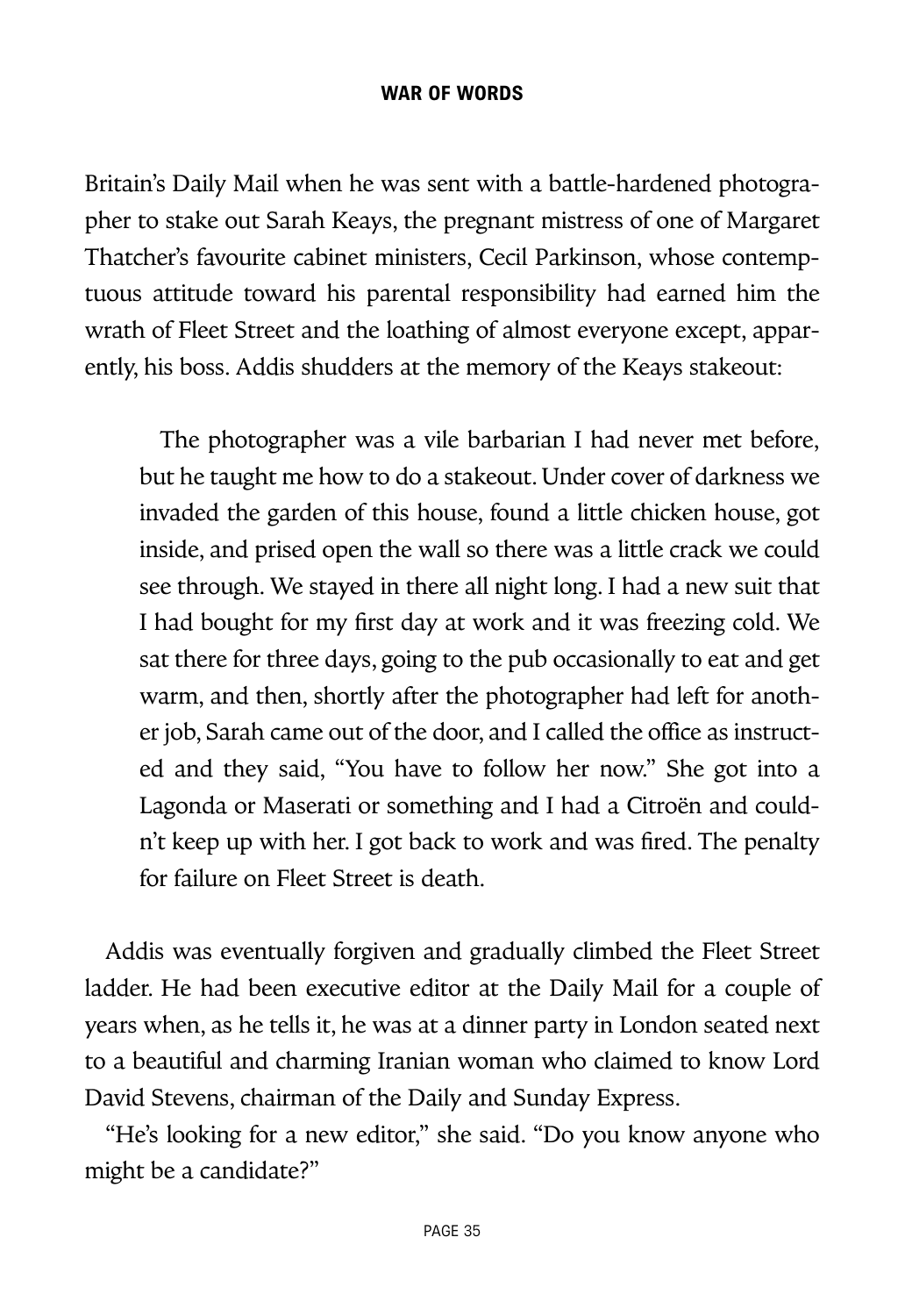Britain's Daily Mail when he was sent with a battle-hardened photographer to stake out Sarah Keays, the pregnant mistress of one of Margaret Thatcher's favourite cabinet ministers, Cecil Parkinson, whose contemptuous attitude toward his parental responsibility had earned him the wrath of Fleet Street and the loathing of almost everyone except, apparently, his boss. Addis shudders at the memory of the Keays stakeout:

The photographer was a vile barbarian I had never met before, but he taught me how to do a stakeout. Under cover of darkness we invaded the garden of this house, found a little chicken house, got inside, and prised open the wall so there was a little crack we could see through. We stayed in there all night long. I had a new suit that I had bought for my first day at work and it was freezing cold. We sat there for three days, going to the pub occasionally to eat and get warm, and then, shortly after the photographer had left for another job, Sarah came out of the door, and I called the office as instructed and they said, "You have to follow her now." She got into a Lagonda or Maserati or something and I had a Citroën and couldn't keep up with her. I got back to work and was fired. The penalty for failure on Fleet Street is death.

Addis was eventually forgiven and gradually climbed the Fleet Street ladder. He had been executive editor at the Daily Mail for a couple of years when, as he tells it, he was at a dinner party in London seated next to a beautiful and charming Iranian woman who claimed to know Lord David Stevens, chairman of the Daily and Sunday Express.

"He's looking for a new editor," she said. "Do you know anyone who might be a candidate?"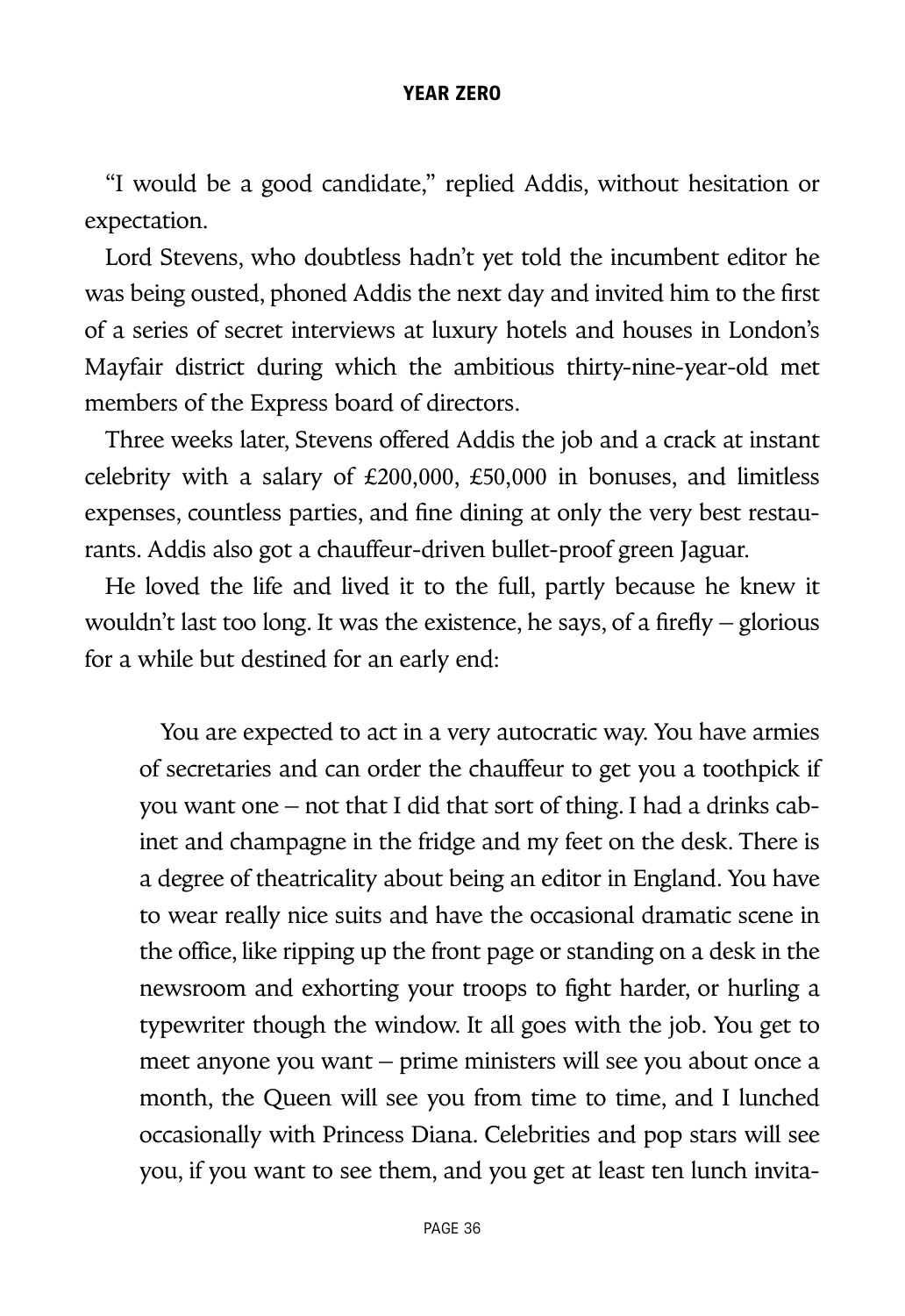#### **YEAR ZERO**

"I would be a good candidate," replied Addis, without hesitation or expectation.

Lord Stevens, who doubtless hadn't yet told the incumbent editor he was being ousted, phoned Addis the next day and invited him to the first of a series of secret interviews at luxury hotels and houses in London's Mayfair district during which the ambitious thirty-nine-year-old met members of the Express board of directors.

Three weeks later, Stevens offered Addis the job and a crack at instant celebrity with a salary of  $£200,000, £50,000$  in bonuses, and limitless expenses, countless parties, and fine dining at only the very best restaurants. Addis also got a chauffeur-driven bullet-proof green Jaguar.

He loved the life and lived it to the full, partly because he knew it wouldn't last too long. It was the existence, he says, of a firefly – glorious for a while but destined for an early end:

You are expected to act in a very autocratic way. You have armies of secretaries and can order the chauffeur to get you a toothpick if you want one – not that I did that sort of thing. I had a drinks cabinet and champagne in the fridge and my feet on the desk. There is a degree of theatricality about being an editor in England. You have to wear really nice suits and have the occasional dramatic scene in the office, like ripping up the front page or standing on a desk in the newsroom and exhorting your troops to fight harder, or hurling a typewriter though the window. It all goes with the job. You get to meet anyone you want – prime ministers will see you about once a month, the Queen will see you from time to time, and I lunched occasionally with Princess Diana. Celebrities and pop stars will see you, if you want to see them, and you get at least ten lunch invita-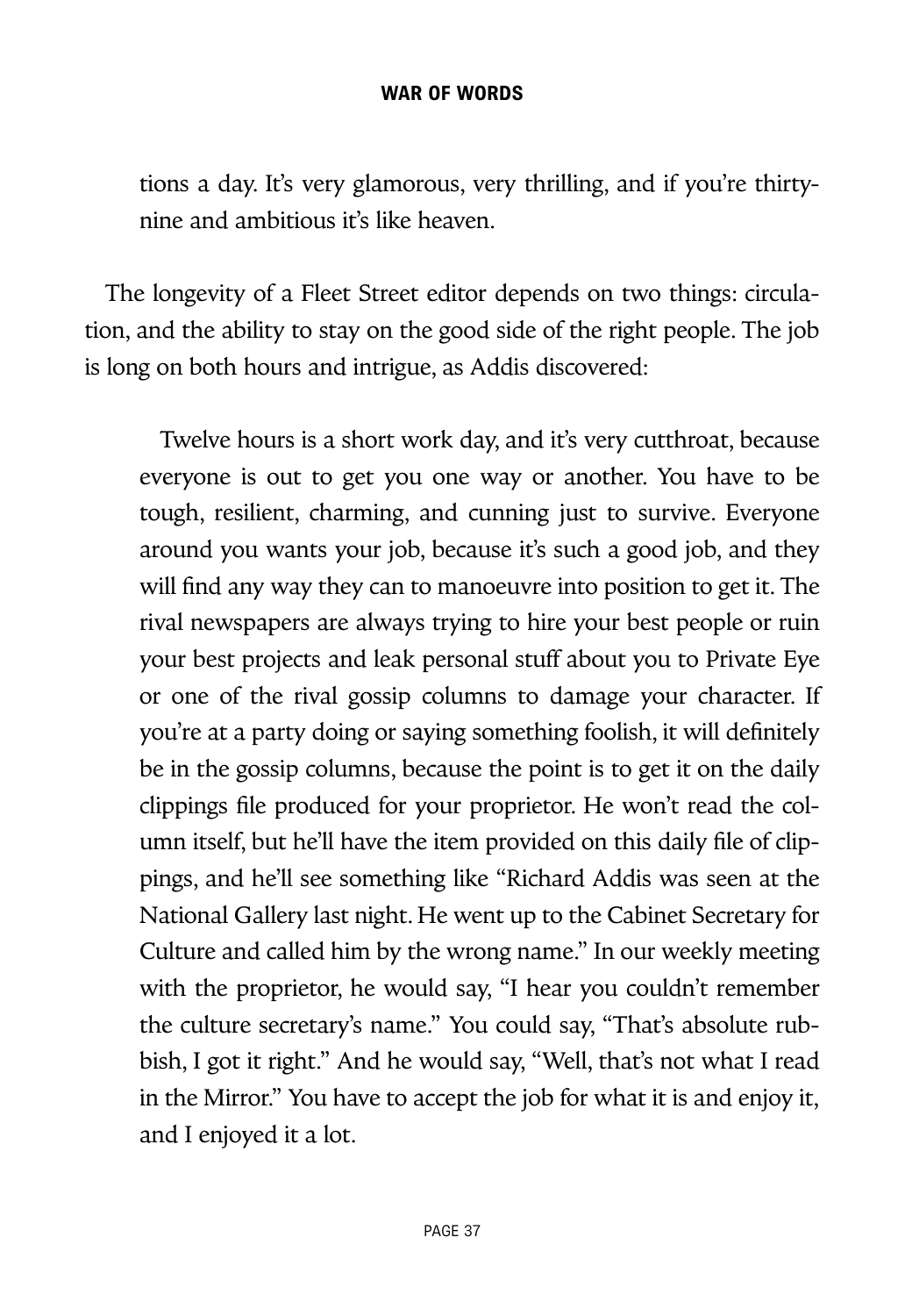tions a day. It's very glamorous, very thrilling, and if you're thirtynine and ambitious it's like heaven.

The longevity of a Fleet Street editor depends on two things: circulation, and the ability to stay on the good side of the right people. The job is long on both hours and intrigue, as Addis discovered:

Twelve hours is a short work day, and it's very cutthroat, because everyone is out to get you one way or another. You have to be tough, resilient, charming, and cunning just to survive. Everyone around you wants your job, because it's such a good job, and they will find any way they can to manoeuvre into position to get it. The rival newspapers are always trying to hire your best people or ruin your best projects and leak personal stuff about you to Private Eye or one of the rival gossip columns to damage your character. If you're at a party doing or saying something foolish, it will definitely be in the gossip columns, because the point is to get it on the daily clippings file produced for your proprietor. He won't read the column itself, but he'll have the item provided on this daily file of clippings, and he'll see something like "Richard Addis was seen at the National Gallery last night. He went up to the Cabinet Secretary for Culture and called him by the wrong name." In our weekly meeting with the proprietor, he would say, "I hear you couldn't remember the culture secretary's name." You could say, "That's absolute rubbish, I got it right." And he would say, "Well, that's not what I read in the Mirror." You have to accept the job for what it is and enjoy it, and I enjoyed it a lot.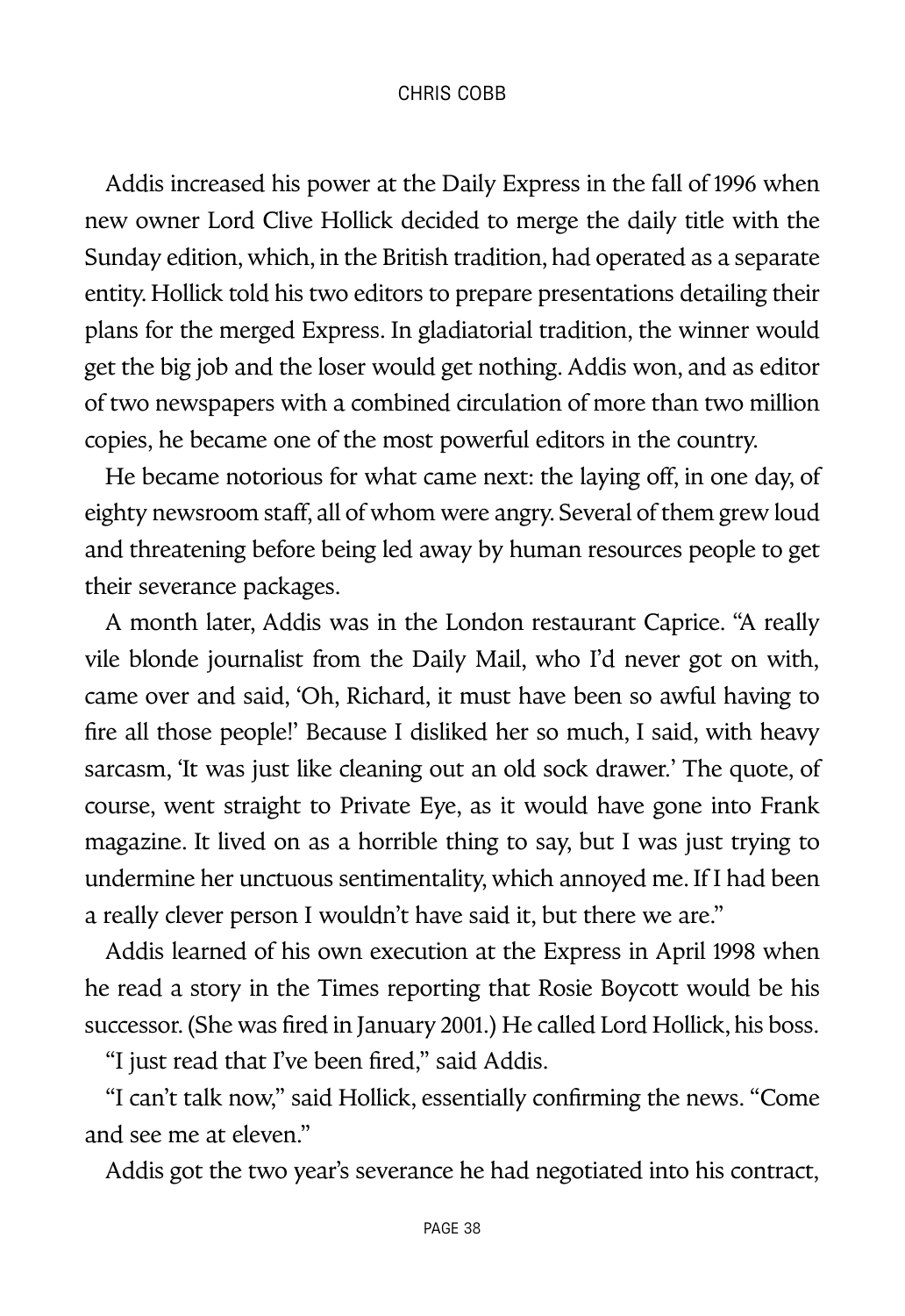Addis increased his power at the Daily Express in the fall of 1996 when new owner Lord Clive Hollick decided to merge the daily title with the Sunday edition, which, in the British tradition, had operated as a separate entity. Hollick told his two editors to prepare presentations detailing their plans for the merged Express. In gladiatorial tradition, the winner would get the big job and the loser would get nothing. Addis won, and as editor of two newspapers with a combined circulation of more than two million copies, he became one of the most powerful editors in the country.

He became notorious for what came next: the laying off, in one day, of eighty newsroom staff, all of whom were angry. Several of them grew loud and threatening before being led away by human resources people to get their severance packages.

A month later, Addis was in the London restaurant Caprice. "A really vile blonde journalist from the Daily Mail, who I'd never got on with, came over and said, 'Oh, Richard, it must have been so awful having to fire all those people!' Because I disliked her so much, I said, with heavy sarcasm, 'It was just like cleaning out an old sock drawer.' The quote, of course, went straight to Private Eye, as it would have gone into Frank magazine. It lived on as a horrible thing to say, but I was just trying to undermine her unctuous sentimentality, which annoyed me. If I had been a really clever person I wouldn't have said it, but there we are."

Addis learned of his own execution at the Express in April 1998 when he read a story in the Times reporting that Rosie Boycott would be his successor. (She was fired in January 2001.) He called Lord Hollick, his boss.

"I just read that I've been fired," said Addis.

"I can't talk now," said Hollick, essentially confirming the news. "Come and see me at eleven."

Addis got the two year's severance he had negotiated into his contract,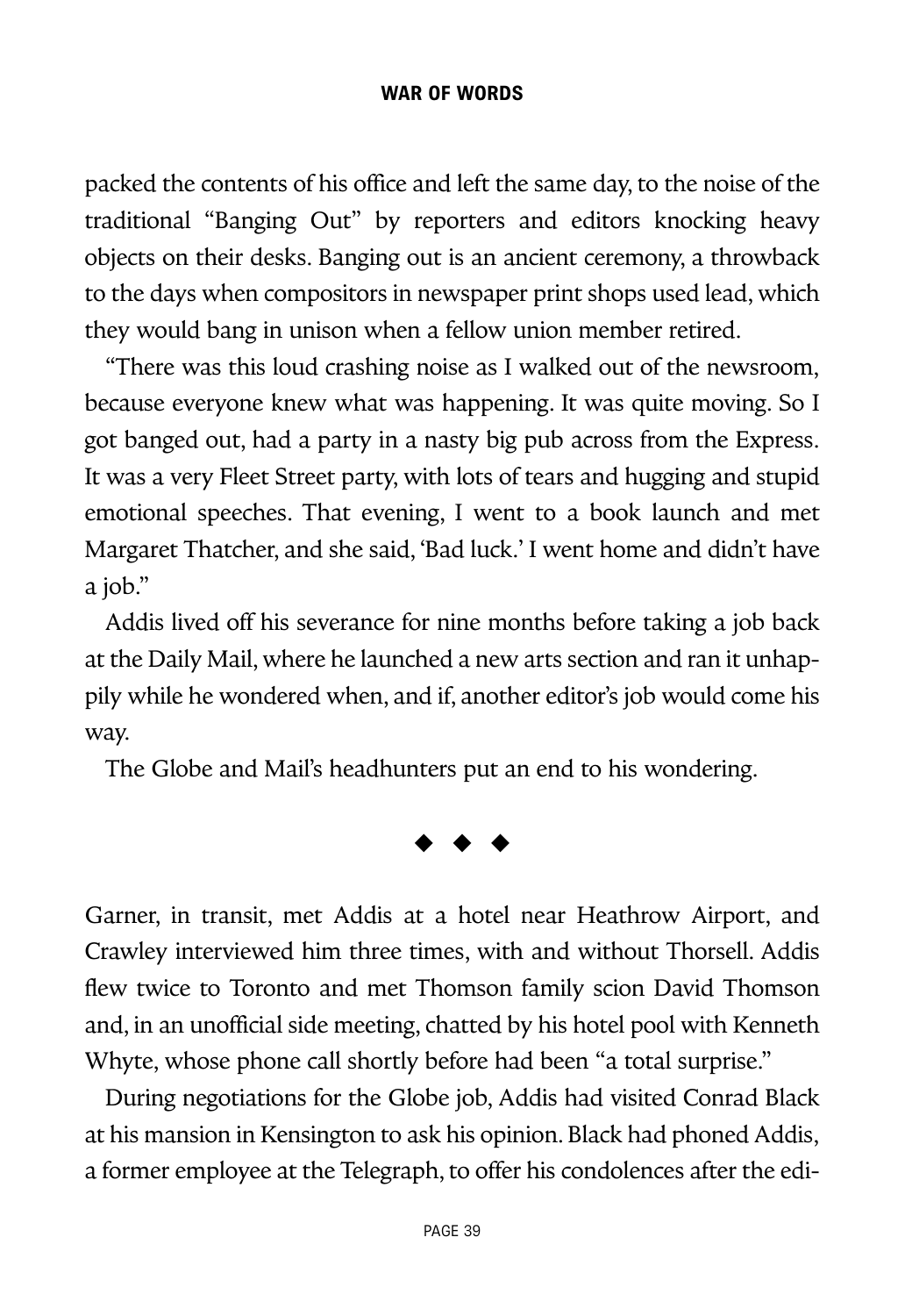packed the contents of his office and left the same day, to the noise of the traditional "Banging Out" by reporters and editors knocking heavy objects on their desks. Banging out is an ancient ceremony, a throwback to the days when compositors in newspaper print shops used lead, which they would bang in unison when a fellow union member retired.

"There was this loud crashing noise as I walked out of the newsroom, because everyone knew what was happening. It was quite moving. So I got banged out, had a party in a nasty big pub across from the Express. It was a very Fleet Street party, with lots of tears and hugging and stupid emotional speeches. That evening, I went to a book launch and met Margaret Thatcher, and she said, 'Bad luck.' I went home and didn't have a job."

Addis lived off his severance for nine months before taking a job back at the Daily Mail, where he launched a new arts section and ran it unhappily while he wondered when, and if, another editor's job would come his way.

The Globe and Mail's headhunters put an end to his wondering.



Garner, in transit, met Addis at a hotel near Heathrow Airport, and Crawley interviewed him three times, with and without Thorsell. Addis flew twice to Toronto and met Thomson family scion David Thomson and, in an unofficial side meeting, chatted by his hotel pool with Kenneth Whyte, whose phone call shortly before had been "a total surprise."

During negotiations for the Globe job, Addis had visited Conrad Black at his mansion in Kensington to ask his opinion. Black had phoned Addis, a former employee at the Telegraph, to offer his condolences after the edi-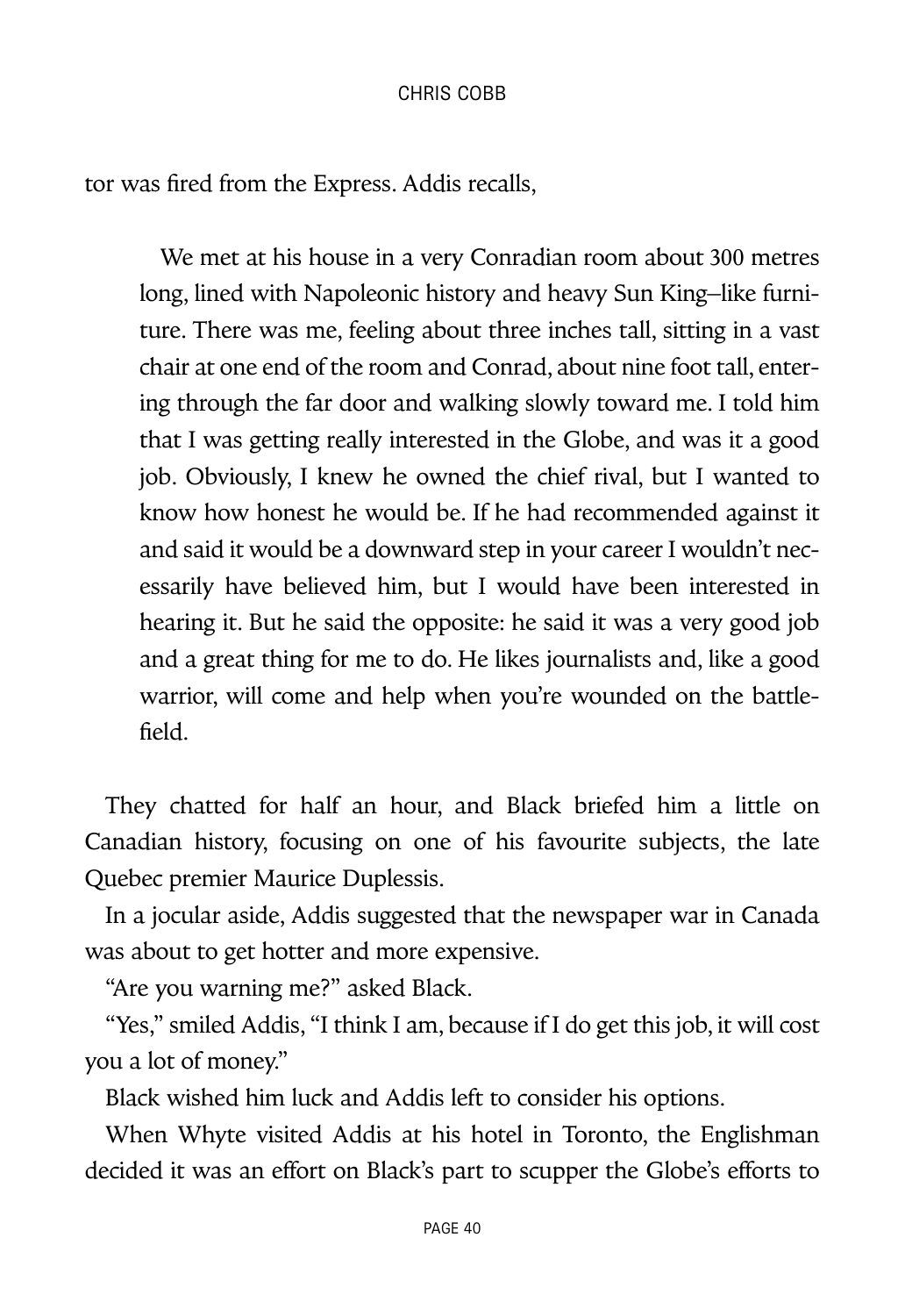tor was fired from the Express. Addis recalls,

We met at his house in a very Conradian room about 300 metres long, lined with Napoleonic history and heavy Sun King–like furniture. There was me, feeling about three inches tall, sitting in a vast chair at one end of the room and Conrad, about nine foot tall, entering through the far door and walking slowly toward me. I told him that I was getting really interested in the Globe, and was it a good job. Obviously, I knew he owned the chief rival, but I wanted to know how honest he would be. If he had recommended against it and said it would be a downward step in your career I wouldn't necessarily have believed him, but I would have been interested in hearing it. But he said the opposite: he said it was a very good job and a great thing for me to do. He likes journalists and, like a good warrior, will come and help when you're wounded on the battlefield.

They chatted for half an hour, and Black briefed him a little on Canadian history, focusing on one of his favourite subjects, the late Quebec premier Maurice Duplessis.

In a jocular aside, Addis suggested that the newspaper war in Canada was about to get hotter and more expensive.

"Are you warning me?" asked Black.

"Yes," smiled Addis, "I think I am, because if I do get this job, it will cost you a lot of money."

Black wished him luck and Addis left to consider his options.

When Whyte visited Addis at his hotel in Toronto, the Englishman decided it was an effort on Black's part to scupper the Globe's efforts to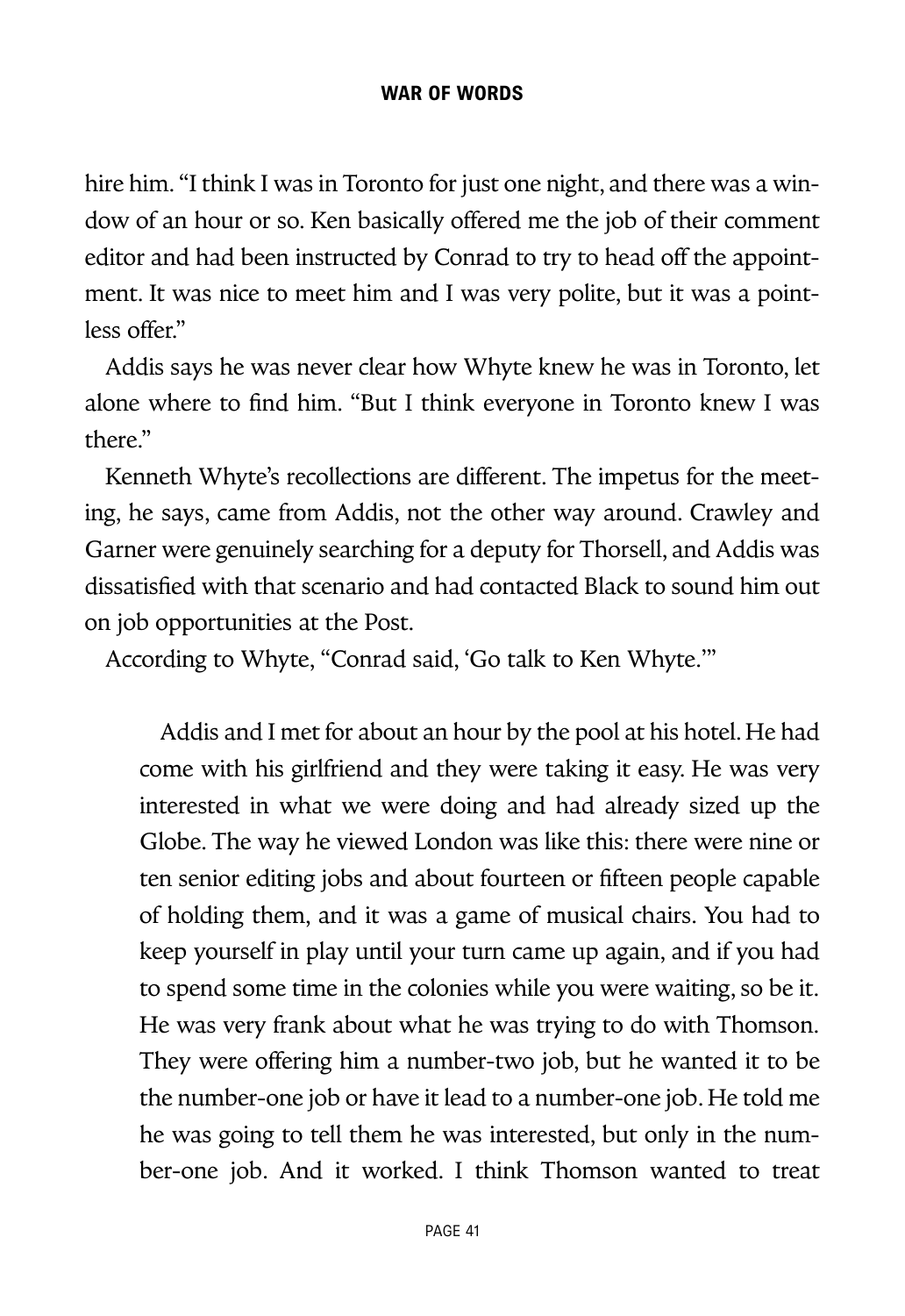hire him. "I think I was in Toronto for just one night, and there was a window of an hour or so. Ken basically offered me the job of their comment editor and had been instructed by Conrad to try to head off the appointment. It was nice to meet him and I was very polite, but it was a pointless offer."

Addis says he was never clear how Whyte knew he was in Toronto, let alone where to find him. "But I think everyone in Toronto knew I was there."

Kenneth Whyte's recollections are different. The impetus for the meeting, he says, came from Addis, not the other way around. Crawley and Garner were genuinely searching for a deputy for Thorsell, and Addis was dissatisfied with that scenario and had contacted Black to sound him out on job opportunities at the Post.

According to Whyte, "Conrad said, 'Go talk to Ken Whyte.'"

Addis and I met for about an hour by the pool at his hotel. He had come with his girlfriend and they were taking it easy. He was very interested in what we were doing and had already sized up the Globe. The way he viewed London was like this: there were nine or ten senior editing jobs and about fourteen or fifteen people capable of holding them, and it was a game of musical chairs. You had to keep yourself in play until your turn came up again, and if you had to spend some time in the colonies while you were waiting, so be it. He was very frank about what he was trying to do with Thomson. They were offering him a number-two job, but he wanted it to be the number-one job or have it lead to a number-one job. He told me he was going to tell them he was interested, but only in the number-one job. And it worked. I think Thomson wanted to treat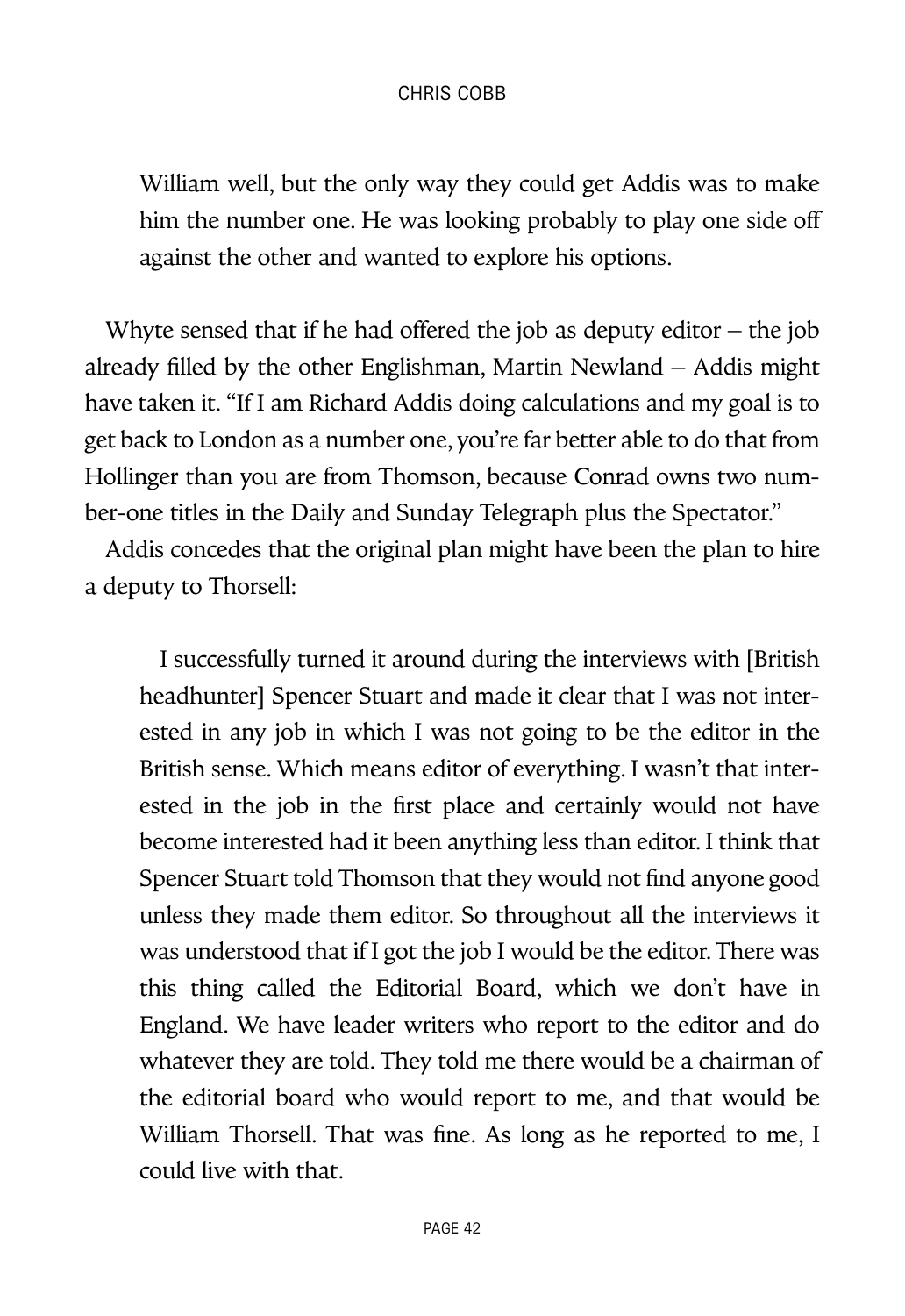William well, but the only way they could get Addis was to make him the number one. He was looking probably to play one side off against the other and wanted to explore his options.

Whyte sensed that if he had offered the job as deputy editor – the job already filled by the other Englishman, Martin Newland – Addis might have taken it. "If I am Richard Addis doing calculations and my goal is to get back to London as a number one,you're far better able to do that from Hollinger than you are from Thomson, because Conrad owns two number-one titles in the Daily and Sunday Telegraph plus the Spectator."

Addis concedes that the original plan might have been the plan to hire a deputy to Thorsell:

I successfully turned it around during the interviews with [British headhunter] Spencer Stuart and made it clear that I was not interested in any job in which I was not going to be the editor in the British sense. Which means editor of everything. I wasn't that interested in the job in the first place and certainly would not have become interested had it been anything less than editor. I think that Spencer Stuart told Thomson that they would not find anyone good unless they made them editor. So throughout all the interviews it was understood that if I got the job I would be the editor. There was this thing called the Editorial Board, which we don't have in England. We have leader writers who report to the editor and do whatever they are told. They told me there would be a chairman of the editorial board who would report to me, and that would be William Thorsell. That was fine. As long as he reported to me, I could live with that.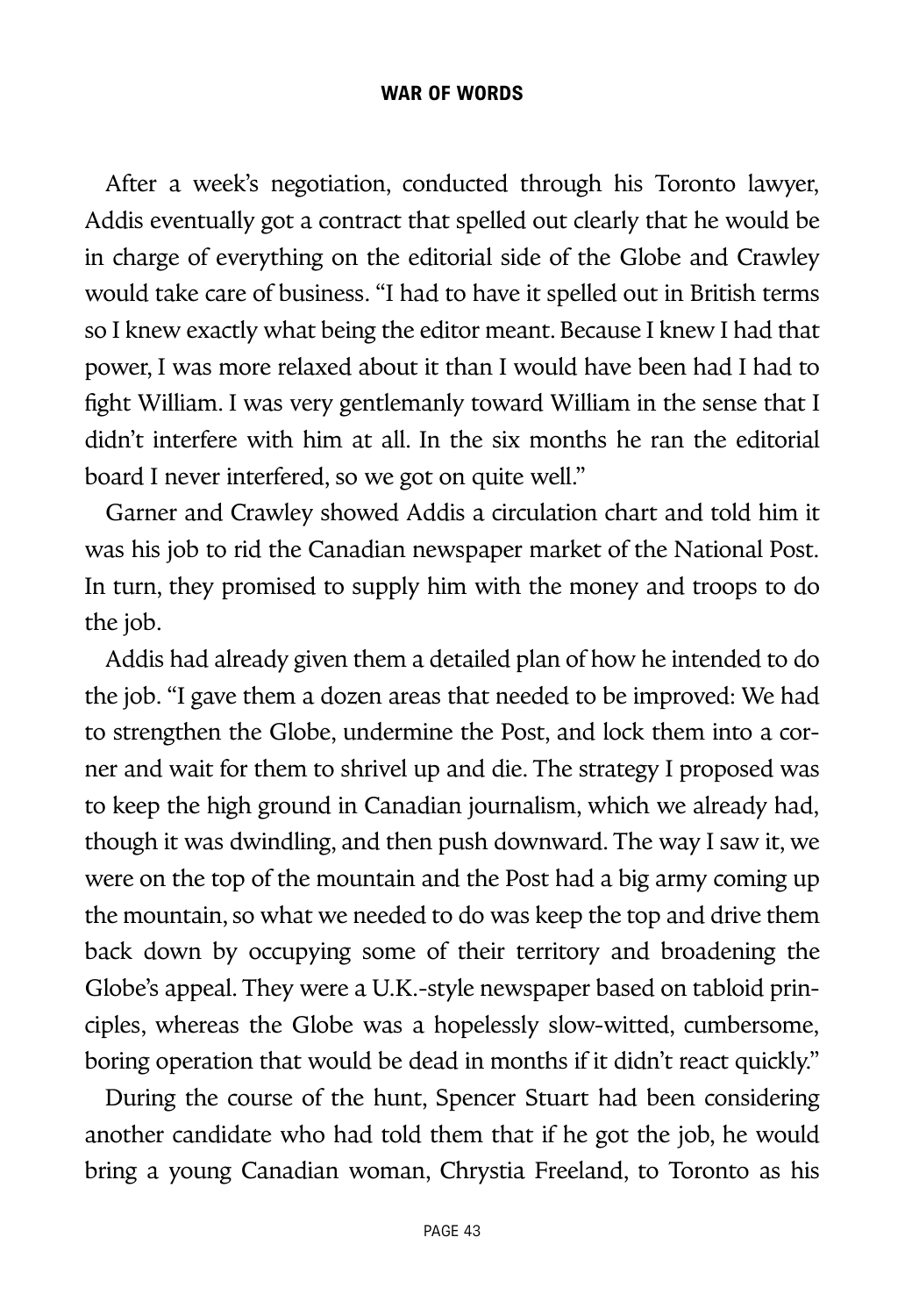After a week's negotiation, conducted through his Toronto lawyer, Addis eventually got a contract that spelled out clearly that he would be in charge of everything on the editorial side of the Globe and Crawley would take care of business. "I had to have it spelled out in British terms so I knew exactly what being the editor meant. Because I knew I had that power, I was more relaxed about it than I would have been had I had to fight William. I was very gentlemanly toward William in the sense that I didn't interfere with him at all. In the six months he ran the editorial board I never interfered, so we got on quite well."

Garner and Crawley showed Addis a circulation chart and told him it was his job to rid the Canadian newspaper market of the National Post. In turn, they promised to supply him with the money and troops to do the job.

Addis had already given them a detailed plan of how he intended to do the job. "I gave them a dozen areas that needed to be improved: We had to strengthen the Globe, undermine the Post, and lock them into a corner and wait for them to shrivel up and die. The strategy I proposed was to keep the high ground in Canadian journalism, which we already had, though it was dwindling, and then push downward. The way I saw it, we were on the top of the mountain and the Post had a big army coming up the mountain, so what we needed to do was keep the top and drive them back down by occupying some of their territory and broadening the Globe's appeal. They were a U.K.-style newspaper based on tabloid principles, whereas the Globe was a hopelessly slow-witted, cumbersome, boring operation that would be dead in months if it didn't react quickly."

During the course of the hunt, Spencer Stuart had been considering another candidate who had told them that if he got the job, he would bring a young Canadian woman, Chrystia Freeland, to Toronto as his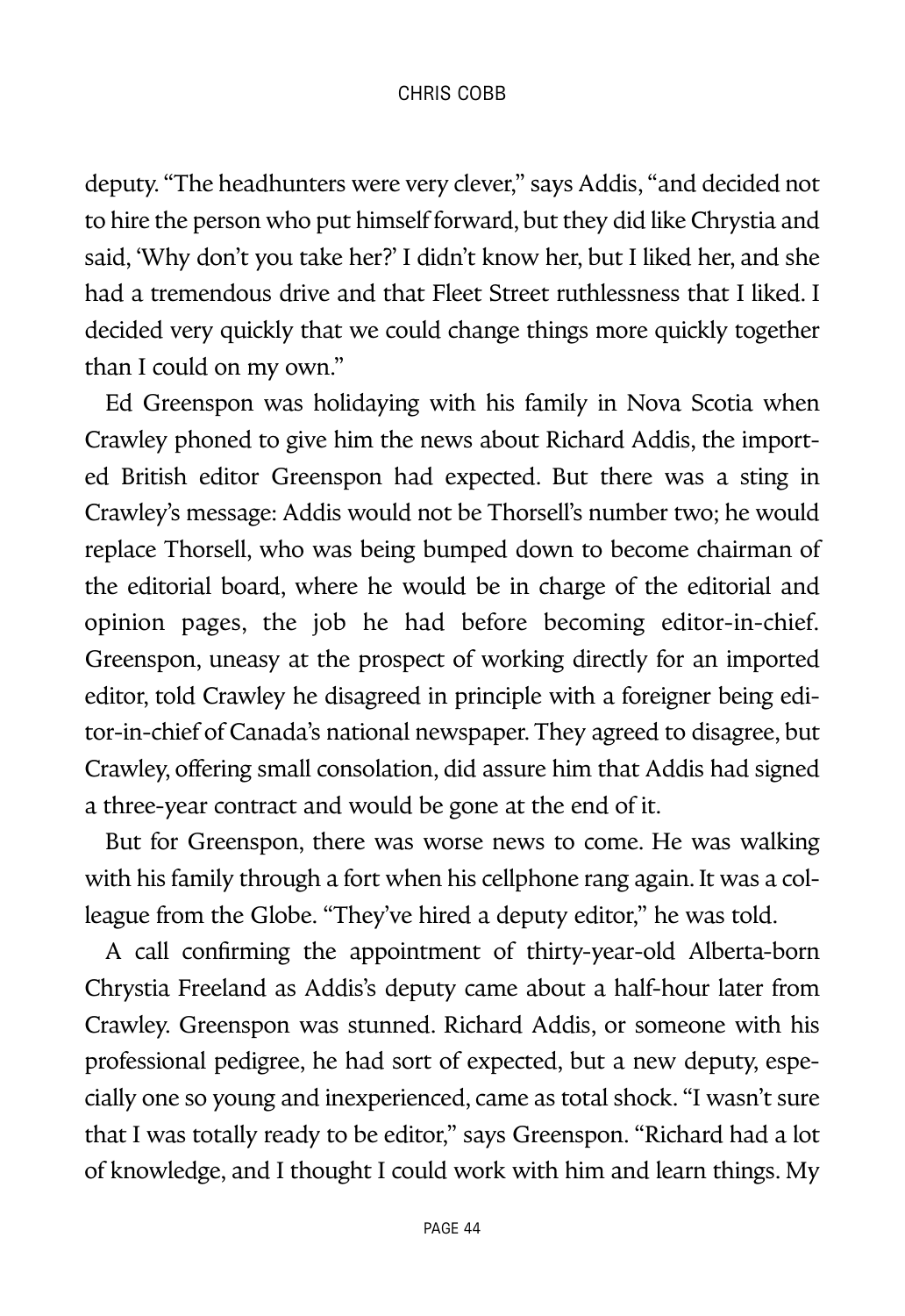deputy. "The headhunters were very clever," says Addis, "and decided not to hire the person who put himself forward, but they did like Chrystia and said, 'Why don't you take her?' I didn't know her, but I liked her, and she had a tremendous drive and that Fleet Street ruthlessness that I liked. I decided very quickly that we could change things more quickly together than I could on my own."

Ed Greenspon was holidaying with his family in Nova Scotia when Crawley phoned to give him the news about Richard Addis, the imported British editor Greenspon had expected. But there was a sting in Crawley's message: Addis would not be Thorsell's number two; he would replace Thorsell, who was being bumped down to become chairman of the editorial board, where he would be in charge of the editorial and opinion pages, the job he had before becoming editor-in-chief. Greenspon, uneasy at the prospect of working directly for an imported editor, told Crawley he disagreed in principle with a foreigner being editor-in-chief of Canada's national newspaper. They agreed to disagree, but Crawley, offering small consolation, did assure him that Addis had signed a three-year contract and would be gone at the end of it.

But for Greenspon, there was worse news to come. He was walking with his family through a fort when his cellphone rang again. It was a colleague from the Globe. "They've hired a deputy editor," he was told.

A call confirming the appointment of thirty-year-old Alberta-born Chrystia Freeland as Addis's deputy came about a half-hour later from Crawley. Greenspon was stunned. Richard Addis, or someone with his professional pedigree, he had sort of expected, but a new deputy, especially one so young and inexperienced, came as total shock. "I wasn't sure that I was totally ready to be editor," says Greenspon. "Richard had a lot of knowledge, and I thought I could work with him and learn things. My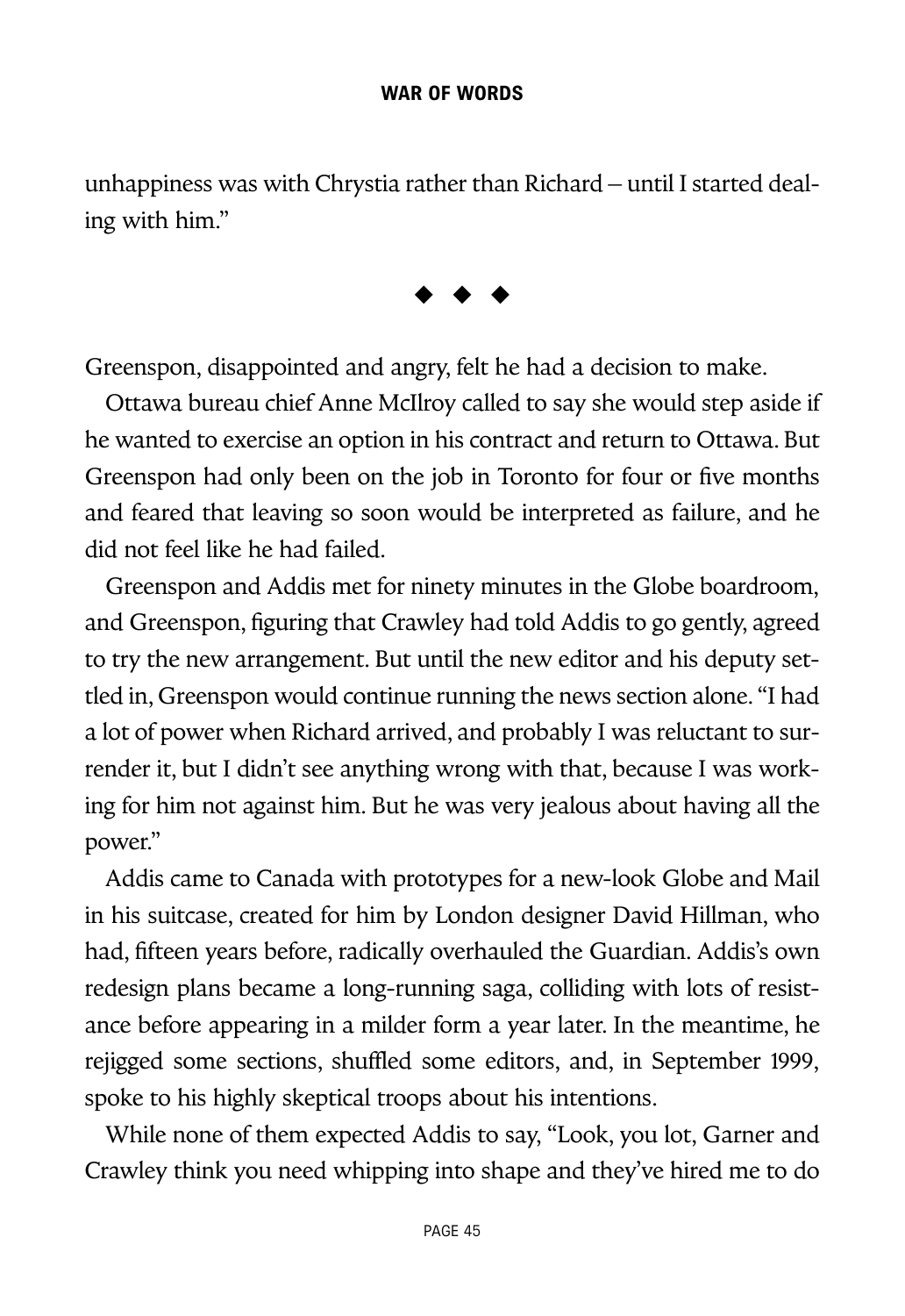unhappiness was with Chrystia rather than Richard – until I started dealing with him."

◆ ◆ ◆

Greenspon, disappointed and angry, felt he had a decision to make.

Ottawa bureau chief Anne McIlroy called to say she would step aside if he wanted to exercise an option in his contract and return to Ottawa. But Greenspon had only been on the job in Toronto for four or five months and feared that leaving so soon would be interpreted as failure, and he did not feel like he had failed.

Greenspon and Addis met for ninety minutes in the Globe boardroom, and Greenspon, figuring that Crawley had told Addis to go gently, agreed to try the new arrangement. But until the new editor and his deputy settled in, Greenspon would continue running the news section alone. "I had a lot of power when Richard arrived, and probably I was reluctant to surrender it, but I didn't see anything wrong with that, because I was working for him not against him. But he was very jealous about having all the power."

Addis came to Canada with prototypes for a new-look Globe and Mail in his suitcase, created for him by London designer David Hillman, who had, fifteen years before, radically overhauled the Guardian. Addis's own redesign plans became a long-running saga, colliding with lots of resistance before appearing in a milder form a year later. In the meantime, he rejigged some sections, shuffled some editors, and, in September 1999, spoke to his highly skeptical troops about his intentions.

While none of them expected Addis to say, "Look, you lot, Garner and Crawley think you need whipping into shape and they've hired me to do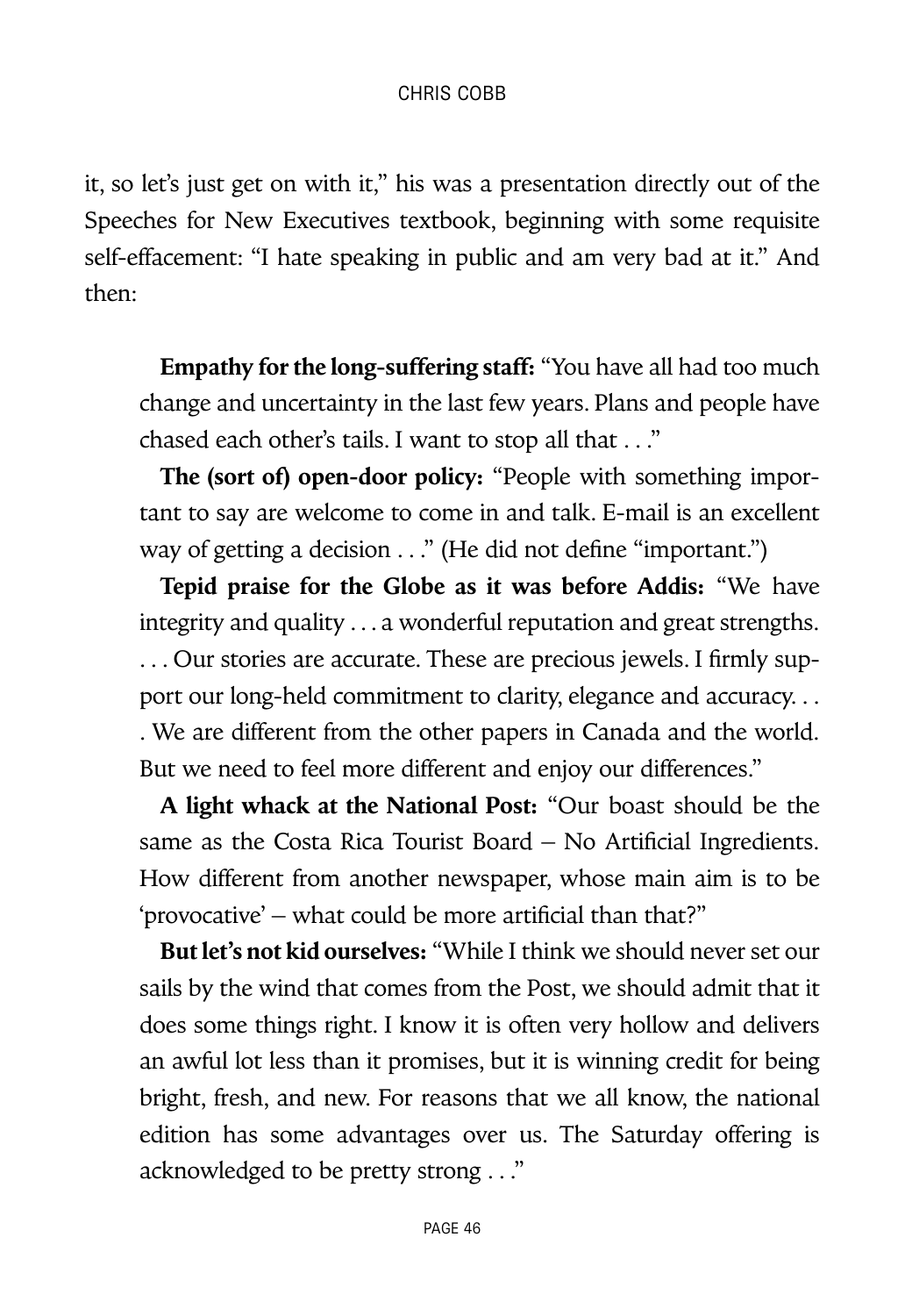it, so let's just get on with it," his was a presentation directly out of the Speeches for New Executives textbook, beginning with some requisite self-effacement: "I hate speaking in public and am very bad at it." And then:

**Empathy for the long-suffering staff:** "You have all had too much change and uncertainty in the last few years. Plans and people have chased each other's tails. I want to stop all that . . ."

**The (sort of) open-door policy:** "People with something important to say are welcome to come in and talk. E-mail is an excellent way of getting a decision . . ." (He did not define "important.")

**Tepid praise for the Globe as it was before Addis:** "We have integrity and quality . . . a wonderful reputation and great strengths. . . . Our stories are accurate. These are precious jewels. I firmly support our long-held commitment to clarity, elegance and accuracy. . . . We are different from the other papers in Canada and the world. But we need to feel more different and enjoy our differences."

**A light whack at the National Post:** "Our boast should be the same as the Costa Rica Tourist Board – No Artificial Ingredients. How different from another newspaper, whose main aim is to be 'provocative' – what could be more artificial than that?"

**But let's not kid ourselves:** "While I think we should never set our sails by the wind that comes from the Post, we should admit that it does some things right. I know it is often very hollow and delivers an awful lot less than it promises, but it is winning credit for being bright, fresh, and new. For reasons that we all know, the national edition has some advantages over us. The Saturday offering is acknowledged to be pretty strong . . ."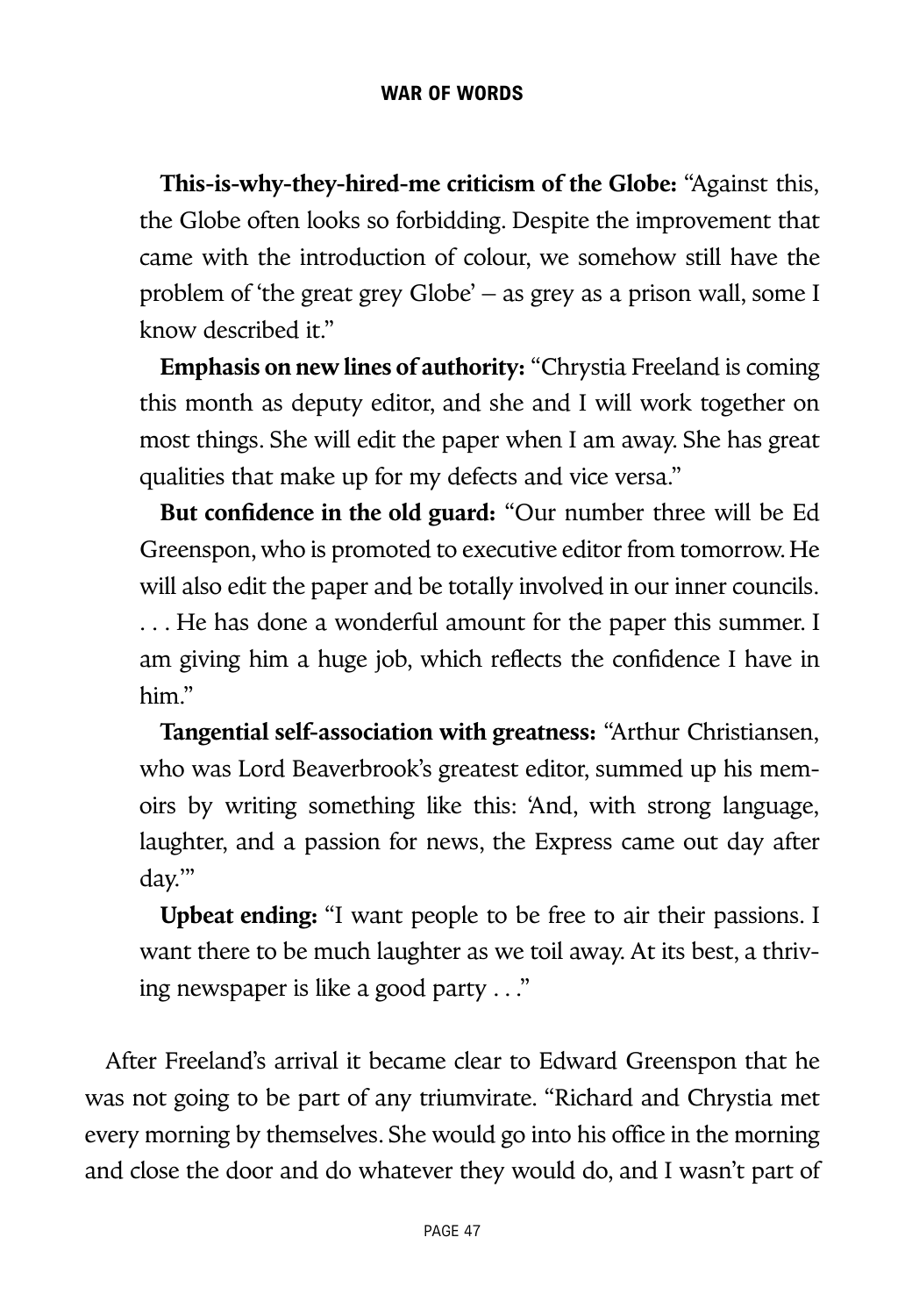**This-is-why-they-hired-me criticism of the Globe:** "Against this, the Globe often looks so forbidding. Despite the improvement that came with the introduction of colour, we somehow still have the problem of 'the great grey Globe' – as grey as a prison wall, some I know described it."

**Emphasis on new lines of authority:** "Chrystia Freeland is coming this month as deputy editor, and she and I will work together on most things. She will edit the paper when I am away. She has great qualities that make up for my defects and vice versa."

**But confidence in the old guard:** "Our number three will be Ed Greenspon,who is promoted to executive editor from tomorrow.He will also edit the paper and be totally involved in our inner councils. . . . He has done a wonderful amount for the paper this summer. I am giving him a huge job, which reflects the confidence I have in him."

**Tangential self-association with greatness:** "Arthur Christiansen, who was Lord Beaverbrook's greatest editor, summed up his memoirs by writing something like this: 'And, with strong language, laughter, and a passion for news, the Express came out day after day.'"

**Upbeat ending:** "I want people to be free to air their passions. I want there to be much laughter as we toil away. At its best, a thriving newspaper is like a good party . . ."

After Freeland's arrival it became clear to Edward Greenspon that he was not going to be part of any triumvirate. "Richard and Chrystia met every morning by themselves. She would go into his office in the morning and close the door and do whatever they would do, and I wasn't part of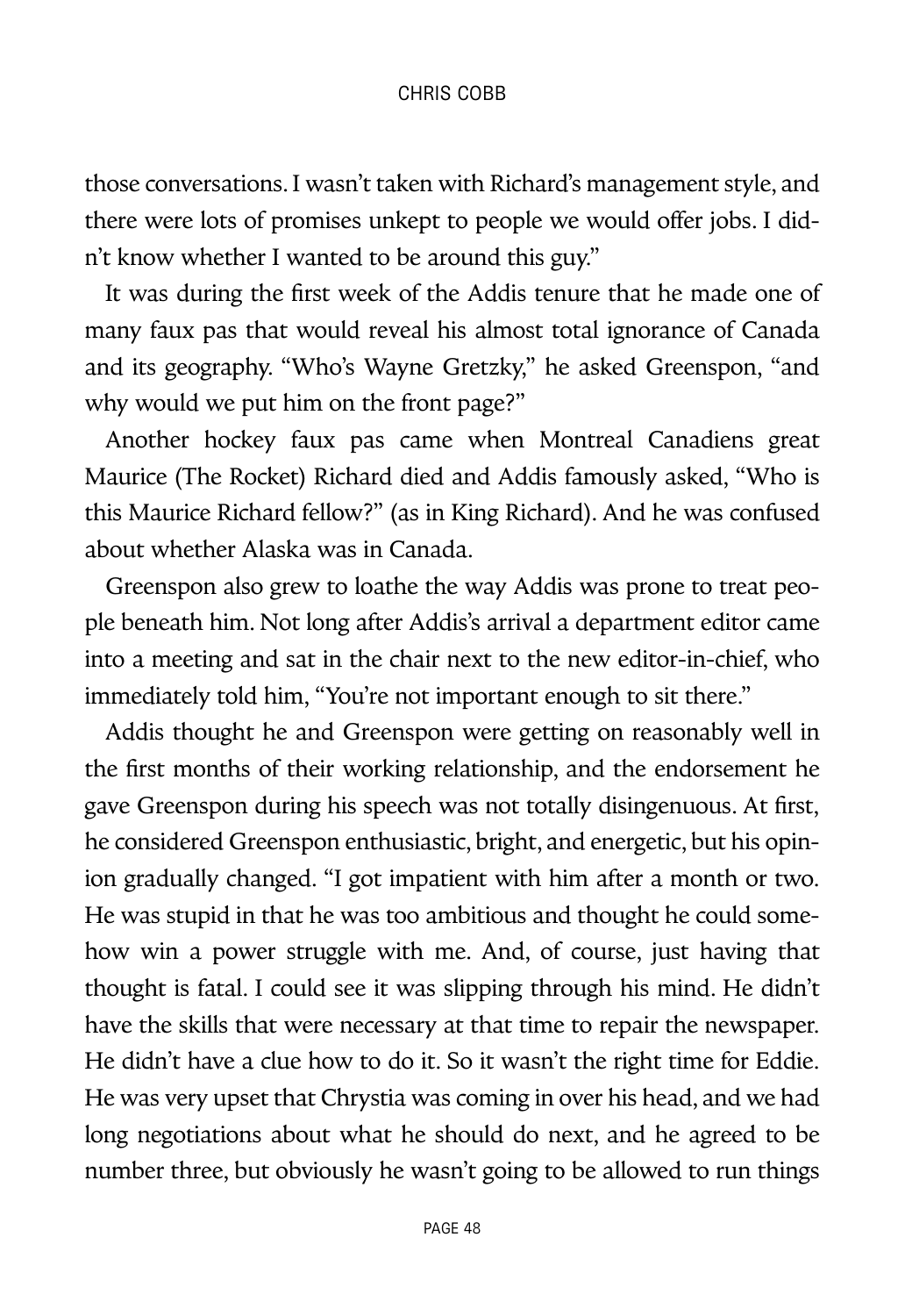those conversations. I wasn't taken with Richard's management style, and there were lots of promises unkept to people we would offer jobs. I didn't know whether I wanted to be around this guy."

It was during the first week of the Addis tenure that he made one of many faux pas that would reveal his almost total ignorance of Canada and its geography. "Who's Wayne Gretzky," he asked Greenspon, "and why would we put him on the front page?"

Another hockey faux pas came when Montreal Canadiens great Maurice (The Rocket) Richard died and Addis famously asked, "Who is this Maurice Richard fellow?" (as in King Richard). And he was confused about whether Alaska was in Canada.

Greenspon also grew to loathe the way Addis was prone to treat people beneath him. Not long after Addis's arrival a department editor came into a meeting and sat in the chair next to the new editor-in-chief, who immediately told him, "You're not important enough to sit there."

Addis thought he and Greenspon were getting on reasonably well in the first months of their working relationship, and the endorsement he gave Greenspon during his speech was not totally disingenuous. At first, he considered Greenspon enthusiastic, bright, and energetic, but his opinion gradually changed. "I got impatient with him after a month or two. He was stupid in that he was too ambitious and thought he could somehow win a power struggle with me. And, of course, just having that thought is fatal. I could see it was slipping through his mind. He didn't have the skills that were necessary at that time to repair the newspaper. He didn't have a clue how to do it. So it wasn't the right time for Eddie. He was very upset that Chrystia was coming in over his head, and we had long negotiations about what he should do next, and he agreed to be number three, but obviously he wasn't going to be allowed to run things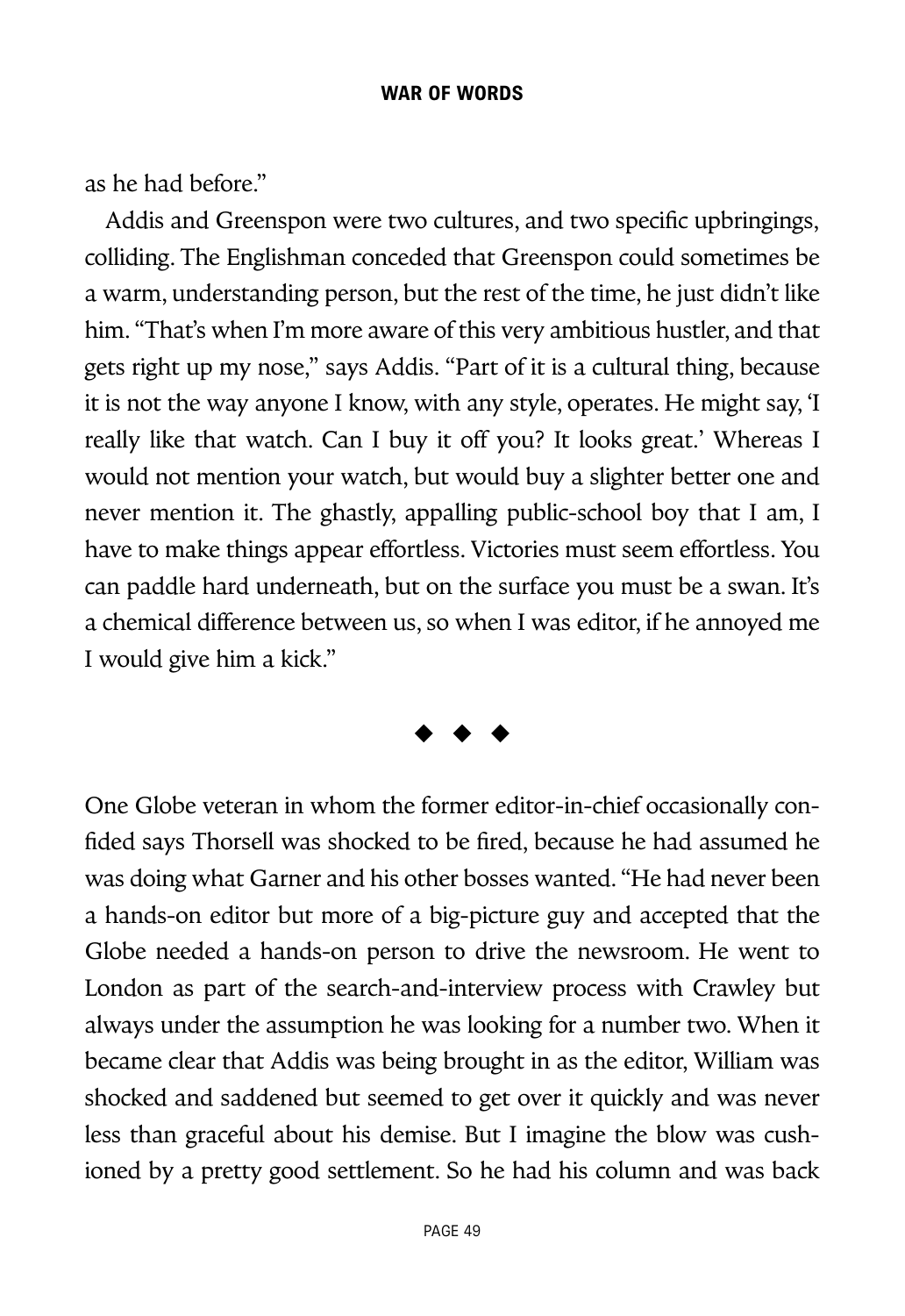as he had before."

Addis and Greenspon were two cultures, and two specific upbringings, colliding. The Englishman conceded that Greenspon could sometimes be a warm, understanding person, but the rest of the time, he just didn't like him. "That's when I'm more aware of this very ambitious hustler, and that gets right up my nose," says Addis. "Part of it is a cultural thing, because it is not the way anyone I know, with any style, operates. He might say, 'I really like that watch. Can I buy it off you? It looks great.' Whereas I would not mention your watch, but would buy a slighter better one and never mention it. The ghastly, appalling public-school boy that I am, I have to make things appear effortless. Victories must seem effortless. You can paddle hard underneath, but on the surface you must be a swan. It's a chemical difference between us, so when I was editor, if he annoyed me I would give him a kick."

#### ◆ ◆ ◆

One Globe veteran in whom the former editor-in-chief occasionally confided says Thorsell was shocked to be fired, because he had assumed he was doing what Garner and his other bosses wanted. "He had never been a hands-on editor but more of a big-picture guy and accepted that the Globe needed a hands-on person to drive the newsroom. He went to London as part of the search-and-interview process with Crawley but always under the assumption he was looking for a number two. When it became clear that Addis was being brought in as the editor, William was shocked and saddened but seemed to get over it quickly and was never less than graceful about his demise. But I imagine the blow was cushioned by a pretty good settlement. So he had his column and was back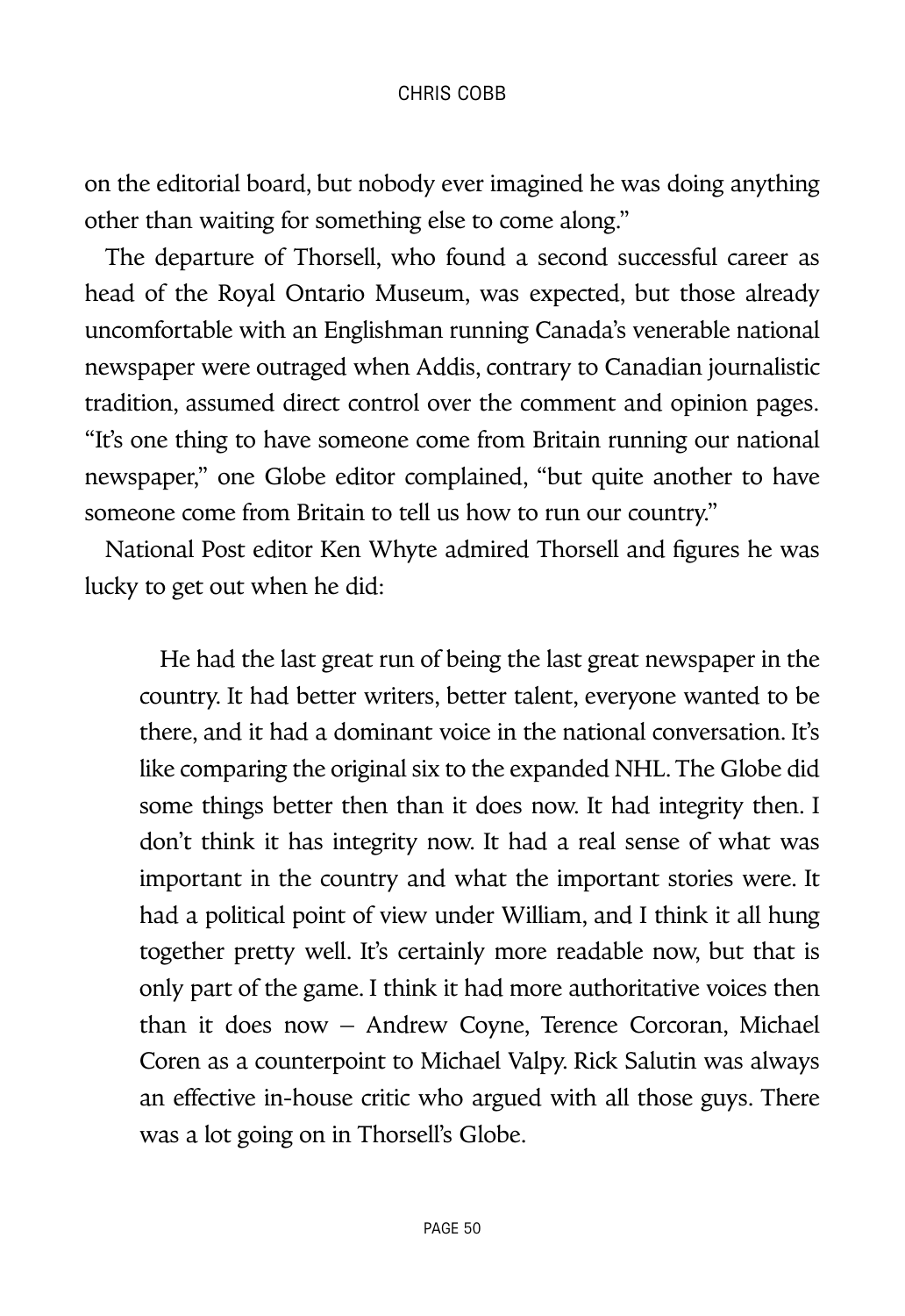on the editorial board, but nobody ever imagined he was doing anything other than waiting for something else to come along."

The departure of Thorsell, who found a second successful career as head of the Royal Ontario Museum, was expected, but those already uncomfortable with an Englishman running Canada's venerable national newspaper were outraged when Addis, contrary to Canadian journalistic tradition, assumed direct control over the comment and opinion pages. "It's one thing to have someone come from Britain running our national newspaper," one Globe editor complained, "but quite another to have someone come from Britain to tell us how to run our country."

National Post editor Ken Whyte admired Thorsell and figures he was lucky to get out when he did:

He had the last great run of being the last great newspaper in the country. It had better writers, better talent, everyone wanted to be there, and it had a dominant voice in the national conversation. It's like comparing the original six to the expanded NHL. The Globe did some things better then than it does now. It had integrity then. I don't think it has integrity now. It had a real sense of what was important in the country and what the important stories were. It had a political point of view under William, and I think it all hung together pretty well. It's certainly more readable now, but that is only part of the game. I think it had more authoritative voices then than it does now – Andrew Coyne, Terence Corcoran, Michael Coren as a counterpoint to Michael Valpy. Rick Salutin was always an effective in-house critic who argued with all those guys. There was a lot going on in Thorsell's Globe.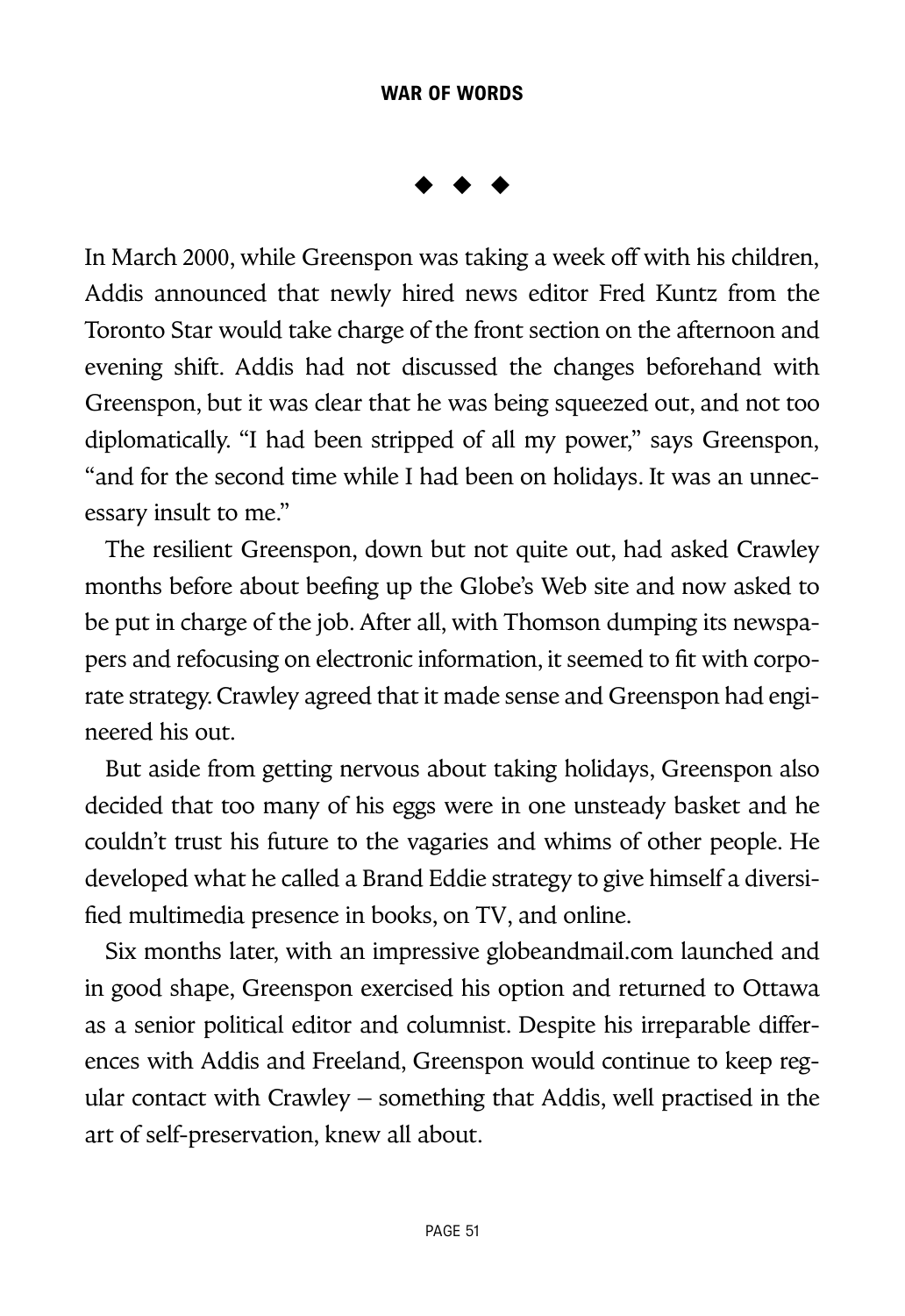#### ◆ ◆ ◆

In March 2000, while Greenspon was taking a week off with his children, Addis announced that newly hired news editor Fred Kuntz from the Toronto Star would take charge of the front section on the afternoon and evening shift. Addis had not discussed the changes beforehand with Greenspon, but it was clear that he was being squeezed out, and not too diplomatically. "I had been stripped of all my power," says Greenspon, "and for the second time while I had been on holidays. It was an unnecessary insult to me."

The resilient Greenspon, down but not quite out, had asked Crawley months before about beefing up the Globe's Web site and now asked to be put in charge of the job. After all, with Thomson dumping its newspapers and refocusing on electronic information, it seemed to fit with corporate strategy. Crawley agreed that it made sense and Greenspon had engineered his out.

But aside from getting nervous about taking holidays, Greenspon also decided that too many of his eggs were in one unsteady basket and he couldn't trust his future to the vagaries and whims of other people. He developed what he called a Brand Eddie strategy to give himself a diversified multimedia presence in books, on TV, and online.

Six months later, with an impressive globeandmail.com launched and in good shape, Greenspon exercised his option and returned to Ottawa as a senior political editor and columnist. Despite his irreparable differences with Addis and Freeland, Greenspon would continue to keep regular contact with Crawley – something that Addis, well practised in the art of self-preservation, knew all about.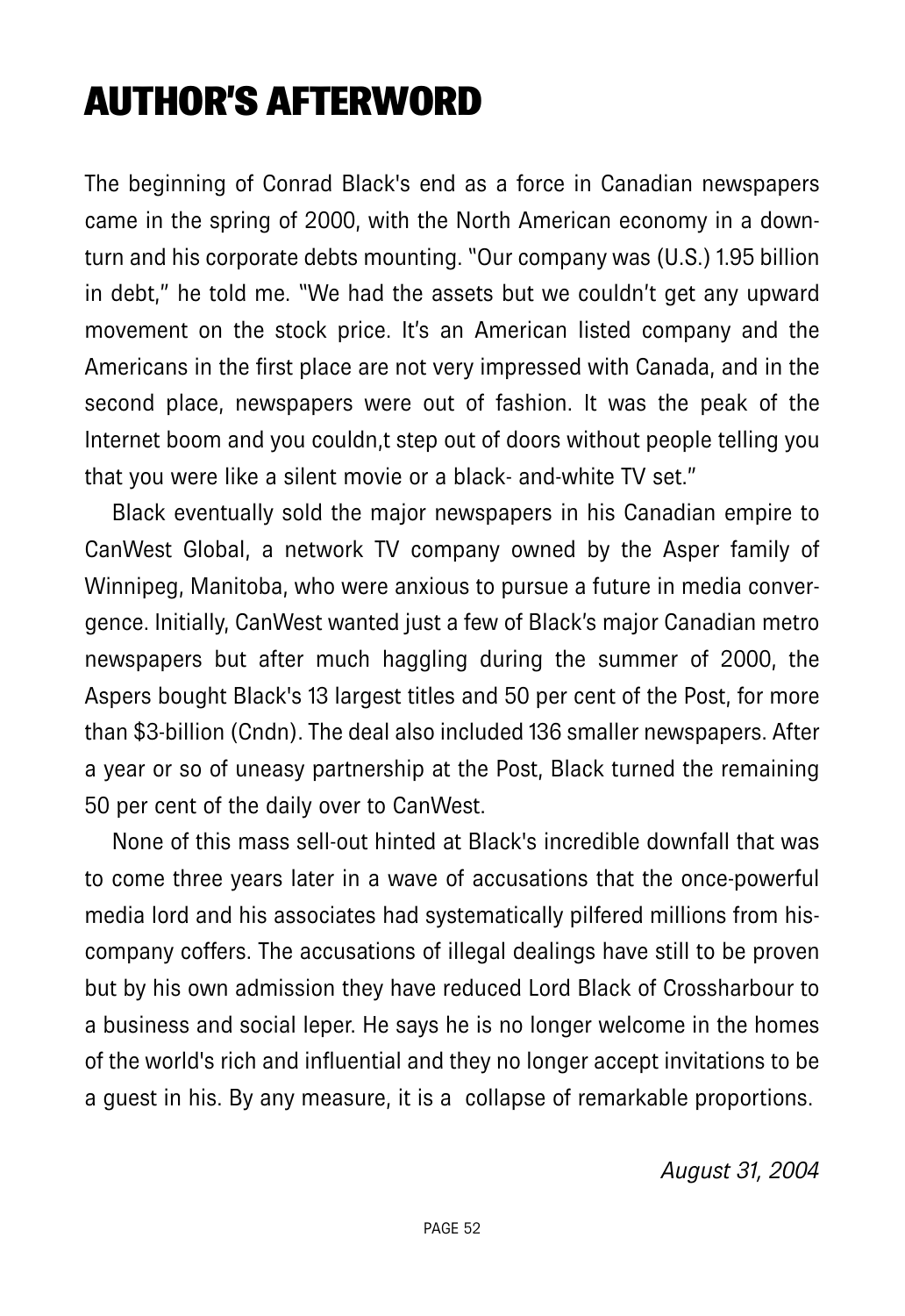## AUTHOR'S AFTERWORD

The beginning of Conrad Black's end as a force in Canadian newspapers came in the spring of 2000, with the North American economy in a downturn and his corporate debts mounting. "Our company was (U.S.) 1.95 billion in debt," he told me. "We had the assets but we couldn't get any upward movement on the stock price. It's an American listed company and the Americans in the first place are not very impressed with Canada, and in the second place, newspapers were out of fashion. It was the peak of the Internet boom and you couldn,t step out of doors without people telling you that you were like a silent movie or a black- and-white TV set."

Black eventually sold the major newspapers in his Canadian empire to CanWest Global, a network TV company owned by the Asper family of Winnipeg, Manitoba, who were anxious to pursue a future in media convergence. Initially, CanWest wanted just a few of Black's major Canadian metro newspapers but after much haggling during the summer of 2000, the Aspers bought Black's 13 largest titles and 50 per cent of the Post, for more than \$3-billion (Cndn). The deal also included 136 smaller newspapers. After a year or so of uneasy partnership at the Post, Black turned the remaining 50 per cent of the daily over to CanWest.

None of this mass sell-out hinted at Black's incredible downfall that was to come three years later in a wave of accusations that the once-powerful media lord and his associates had systematically pilfered millions from hiscompany coffers. The accusations of illegal dealings have still to be proven but by his own admission they have reduced Lord Black of Crossharbour to a business and social leper. He says he is no longer welcome in the homes of the world's rich and influential and they no longer accept invitations to be a guest in his. By any measure, it is a collapse of remarkable proportions.

*August 31, 2004*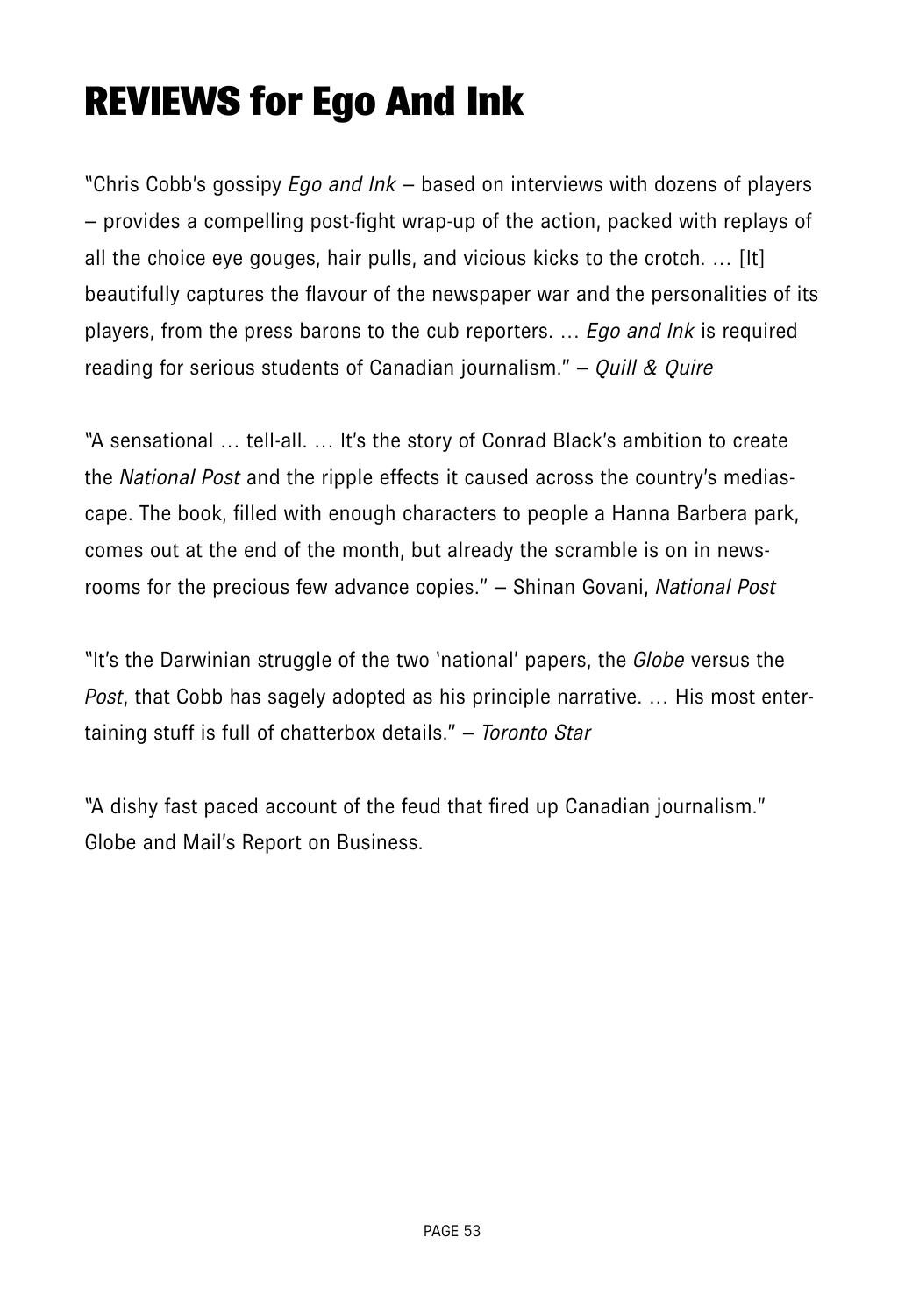## REVIEWS for Ego And Ink

"Chris Cobb's gossipy *Ego and Ink* – based on interviews with dozens of players – provides a compelling post-fight wrap-up of the action, packed with replays of all the choice eye gouges, hair pulls, and vicious kicks to the crotch. … [It] beautifully captures the flavour of the newspaper war and the personalities of its players, from the press barons to the cub reporters. … *Ego and Ink* is required reading for serious students of Canadian journalism." – *Quill & Quire*

"A sensational … tell-all. … It's the story of Conrad Black's ambition to create the *National Post* and the ripple effects it caused across the country's mediascape. The book, filled with enough characters to people a Hanna Barbera park, comes out at the end of the month, but already the scramble is on in newsrooms for the precious few advance copies." – Shinan Govani, *National Post*

"It's the Darwinian struggle of the two 'national' papers, the *Globe* versus the *Post*, that Cobb has sagely adopted as his principle narrative. … His most entertaining stuff is full of chatterbox details." – *Toronto Star*

"A dishy fast paced account of the feud that fired up Canadian journalism." Globe and Mail's Report on Business.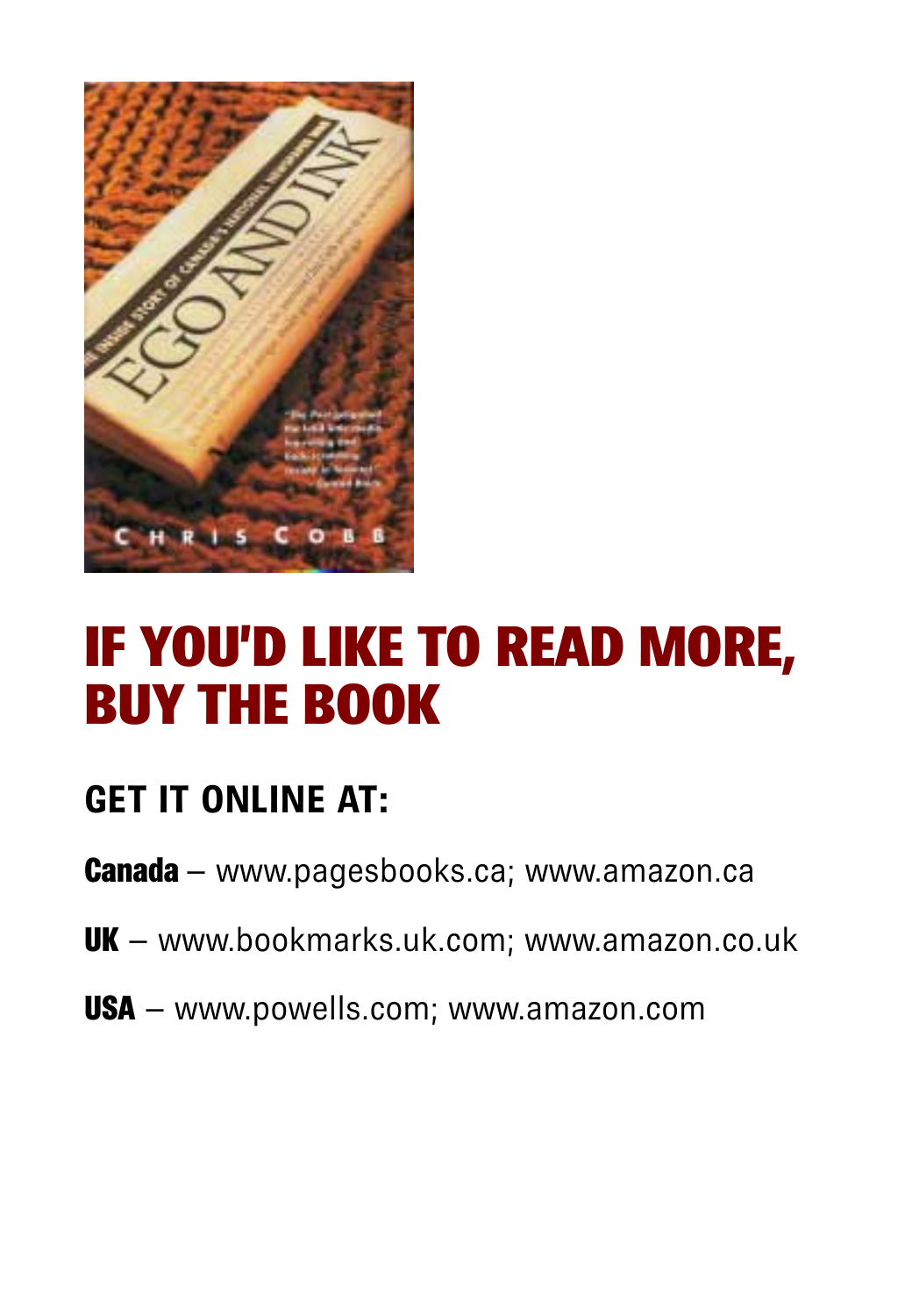

# IF YOU'D LIKE TO READ MORE, BUY THE BOOK

## **GET IT ONLINE AT:**

- **Canada** www.pagesbooks.ca; www.amazon.ca
- UK www.bookmarks.uk.com; www.amazon.co.uk
- **USA** www.powells.com; www.amazon.com